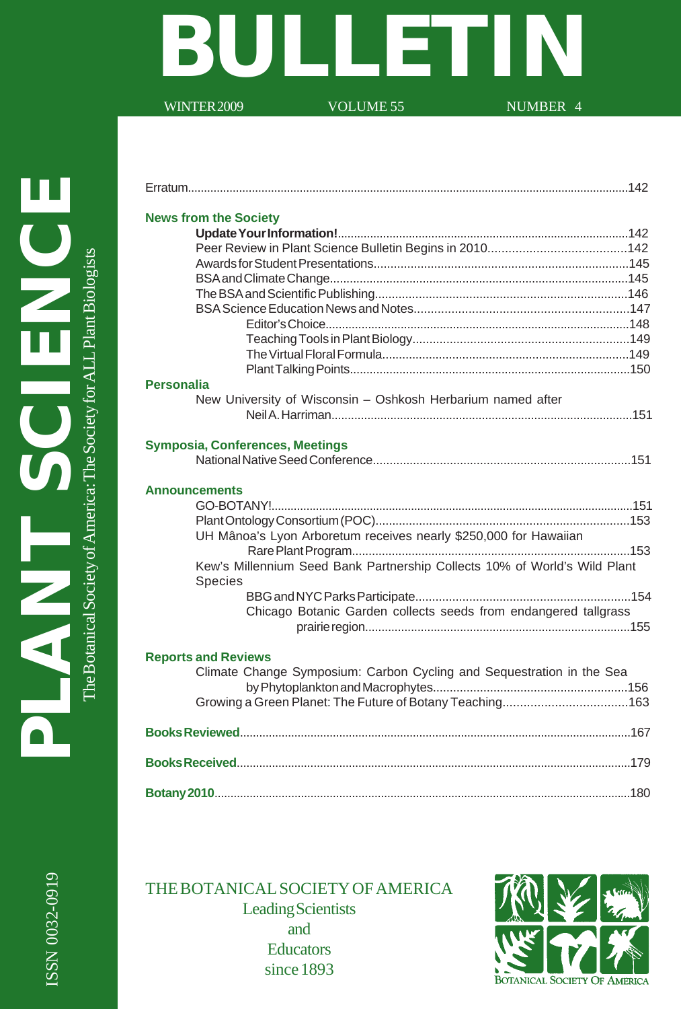# **BULLETIN**

WINTER 2009 VOLUME 55 NUMBER 4

Erratum..........................................................................................................................................142

ISSN 0032-0919

ISSN 0032-0919

| <b>News from the Society</b>                                              |
|---------------------------------------------------------------------------|
|                                                                           |
|                                                                           |
|                                                                           |
|                                                                           |
|                                                                           |
|                                                                           |
|                                                                           |
|                                                                           |
|                                                                           |
| <b>Personalia</b>                                                         |
| New University of Wisconsin - Oshkosh Herbarium named after               |
|                                                                           |
| Symposia, Conferences, Meetings                                           |
|                                                                           |
| <b>Announcements</b>                                                      |
|                                                                           |
| UH Mânoa's Lyon Arboretum receives nearly \$250,000 for Hawaiian          |
|                                                                           |
| Kew's Millennium Seed Bank Partnership Collects 10% of World's Wild Plant |
| <b>Species</b>                                                            |
| Chicago Botanic Garden collects seeds from endangered tallgrass           |
|                                                                           |
| <b>Reports and Reviews</b>                                                |
| Climate Change Symposium: Carbon Cycling and Sequestration in the Sea     |
|                                                                           |
|                                                                           |
|                                                                           |
|                                                                           |

THE BOTANICAL SOCIETY OF AMERICA Leading Scientists and **Educators** since 1893

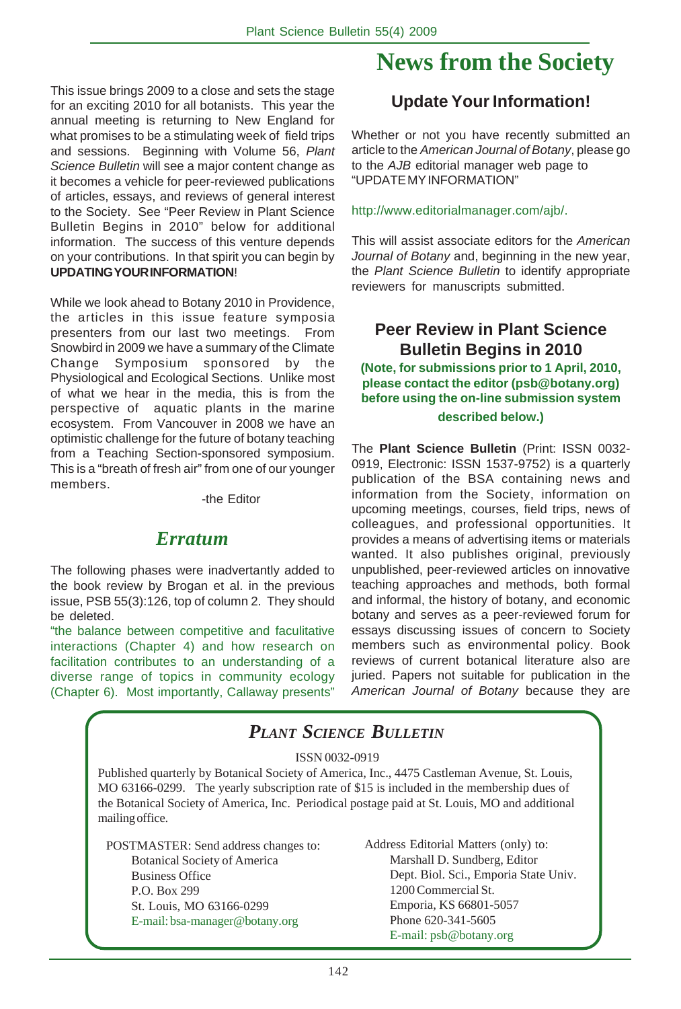This issue brings 2009 to a close and sets the stage for an exciting 2010 for all botanists. This year the annual meeting is returning to New England for what promises to be a stimulating week of field trips and sessions. Beginning with Volume 56, *Plant Science Bulletin* will see a major content change as it becomes a vehicle for peer-reviewed publications of articles, essays, and reviews of general interest to the Society. See "Peer Review in Plant Science Bulletin Begins in 2010" below for additional information. The success of this venture depends on your contributions. In that spirit you can begin by **UPDATING YOUR INFORMATION**!

While we look ahead to Botany 2010 in Providence, the articles in this issue feature symposia presenters from our last two meetings. From Snowbird in 2009 we have a summary of the Climate Change Symposium sponsored by the Physiological and Ecological Sections. Unlike most of what we hear in the media, this is from the perspective of aquatic plants in the marine ecosystem. From Vancouver in 2008 we have an optimistic challenge for the future of botany teaching from a Teaching Section-sponsored symposium. This is a "breath of fresh air" from one of our younger members.

-the Editor

#### *Erratum*

The following phases were inadvertantly added to the book review by Brogan et al. in the previous issue, PSB 55(3):126, top of column 2. They should be deleted.

"the balance between competitive and faculitative interactions (Chapter 4) and how research on facilitation contributes to an understanding of a diverse range of topics in community ecology (Chapter 6). Most importantly, Callaway presents"

## **News from the Society**

### **Update Your Information!**

Whether or not you have recently submitted an article to the *American Journal of Botany*, please go to the *AJB* editorial manager web page to "UPDATE MY INFORMATION"

#### http://www.editorialmanager.com/ajb/.

This will assist associate editors for the *American Journal of Botany* and, beginning in the new year, the *Plant Science Bulletin* to identify appropriate reviewers for manuscripts submitted.

### **Peer Review in Plant Science Bulletin Begins in 2010**

**(Note, for submissions prior to 1 April, 2010, please contact the editor (psb@botany.org) before using the on-line submission system described below.)**

The **Plant Science Bulletin** (Print: ISSN 0032- 0919, Electronic: ISSN 1537-9752) is a quarterly publication of the BSA containing news and information from the Society, information on upcoming meetings, courses, field trips, news of colleagues, and professional opportunities. It provides a means of advertising items or materials wanted. It also publishes original, previously unpublished, peer-reviewed articles on innovative teaching approaches and methods, both formal and informal, the history of botany, and economic botany and serves as a peer-reviewed forum for essays discussing issues of concern to Society members such as environmental policy. Book reviews of current botanical literature also are juried. Papers not suitable for publication in the *American Journal of Botany* because they are

## *PLANT SCIENCE BULLETIN*

#### ISSN 0032-0919

Published quarterly by Botanical Society of America, Inc., 4475 Castleman Avenue, St. Louis, MO 63166-0299. The yearly subscription rate of \$15 is included in the membership dues of the Botanical Society of America, Inc. Periodical postage paid at St. Louis, MO and additional mailing office.

POSTMASTER: Send address changes to: Botanical Society of America Business Office P.O. Box 299 St. Louis, MO 63166-0299 E-mail: bsa-manager@botany.org

Address Editorial Matters (only) to: Marshall D. Sundberg, Editor Dept. Biol. Sci., Emporia State Univ. 1200 Commercial St. Emporia, KS 66801-5057 Phone 620-341-5605 E-mail: psb@botany.org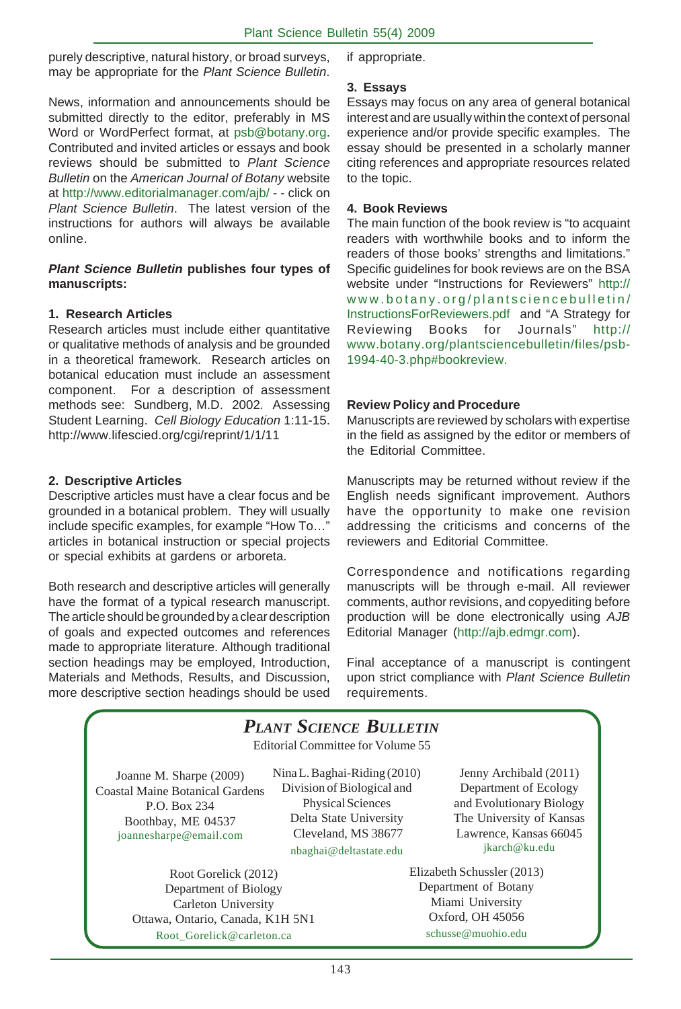purely descriptive, natural history, or broad surveys, may be appropriate for the *Plant Science Bulletin*.

News, information and announcements should be submitted directly to the editor, preferably in MS Word or WordPerfect format, at psb@botany.org. Contributed and invited articles or essays and book reviews should be submitted to *Plant Science Bulletin* on the *American Journal of Botany* website at http://www.editorialmanager.com/ajb/ - - click on *Plant Science Bulletin*. The latest version of the instructions for authors will always be available online.

#### *Plant Science Bulletin* **publishes four types of manuscripts:**

#### **1. Research Articles**

Research articles must include either quantitative or qualitative methods of analysis and be grounded in a theoretical framework. Research articles on botanical education must include an assessment component. For a description of assessment methods see: Sundberg, M.D. 2002*.* Assessing Student Learning. *Cell Biology Education* 1:11-15. http://www.lifescied.org/cgi/reprint/1/1/11

#### **2. Descriptive Articles**

Descriptive articles must have a clear focus and be grounded in a botanical problem. They will usually include specific examples, for example "How To…" articles in botanical instruction or special projects or special exhibits at gardens or arboreta.

Both research and descriptive articles will generally have the format of a typical research manuscript. The article should be grounded by a clear description of goals and expected outcomes and references made to appropriate literature. Although traditional section headings may be employed, Introduction, Materials and Methods, Results, and Discussion, more descriptive section headings should be used if appropriate.

#### **3. Essays**

Essays may focus on any area of general botanical interest and are usually within the context of personal experience and/or provide specific examples. The essay should be presented in a scholarly manner citing references and appropriate resources related to the topic.

#### **4. Book Reviews**

The main function of the book review is "to acquaint readers with worthwhile books and to inform the readers of those books' strengths and limitations." Specific guidelines for book reviews are on the BSA website under "Instructions for Reviewers" http:// www.botany.org/plantsciencebulletin/ InstructionsForReviewers.pdf and "A Strategy for Reviewing Books for Journals" http:// www.botany.org/plantsciencebulletin/files/psb-1994-40-3.php#bookreview.

#### **Review Policy and Procedure**

Manuscripts are reviewed by scholars with expertise in the field as assigned by the editor or members of the Editorial Committee.

Manuscripts may be returned without review if the English needs significant improvement. Authors have the opportunity to make one revision addressing the criticisms and concerns of the reviewers and Editorial Committee.

Correspondence and notifications regarding manuscripts will be through e-mail. All reviewer comments, author revisions, and copyediting before production will be done electronically using *AJB* Editorial Manager (http://ajb.edmgr.com).

Final acceptance of a manuscript is contingent upon strict compliance with *Plant Science Bulletin* requirements.

| <b>PLANT SCIENCE BULLETIN</b><br>Editorial Committee for Volume 55                                                                    |                                                                                                                                                                   |                                                                                                                                                    |  |  |
|---------------------------------------------------------------------------------------------------------------------------------------|-------------------------------------------------------------------------------------------------------------------------------------------------------------------|----------------------------------------------------------------------------------------------------------------------------------------------------|--|--|
| Joanne M. Sharpe (2009)<br><b>Coastal Maine Botanical Gardens</b><br>P.O. Box 234<br>Boothbay, ME 04537<br>joannesharpe@email.com     | Nina L. Baghai-Riding (2010)<br>Division of Biological and<br><b>Physical Sciences</b><br>Delta State University<br>Cleveland, MS 38677<br>nbaghai@deltastate.edu | Jenny Archibald (2011)<br>Department of Ecology<br>and Evolutionary Biology<br>The University of Kansas<br>Lawrence, Kansas 66045<br>jkarch@ku.edu |  |  |
| Root Gorelick (2012)<br>Department of Biology<br>Carleton University<br>Ottawa, Ontario, Canada, K1H 5N1<br>Root Gorelick@carleton.ca |                                                                                                                                                                   | Elizabeth Schussler (2013)<br>Department of Botany<br>Miami University<br>Oxford, OH 45056<br>schusse@muohio.edu                                   |  |  |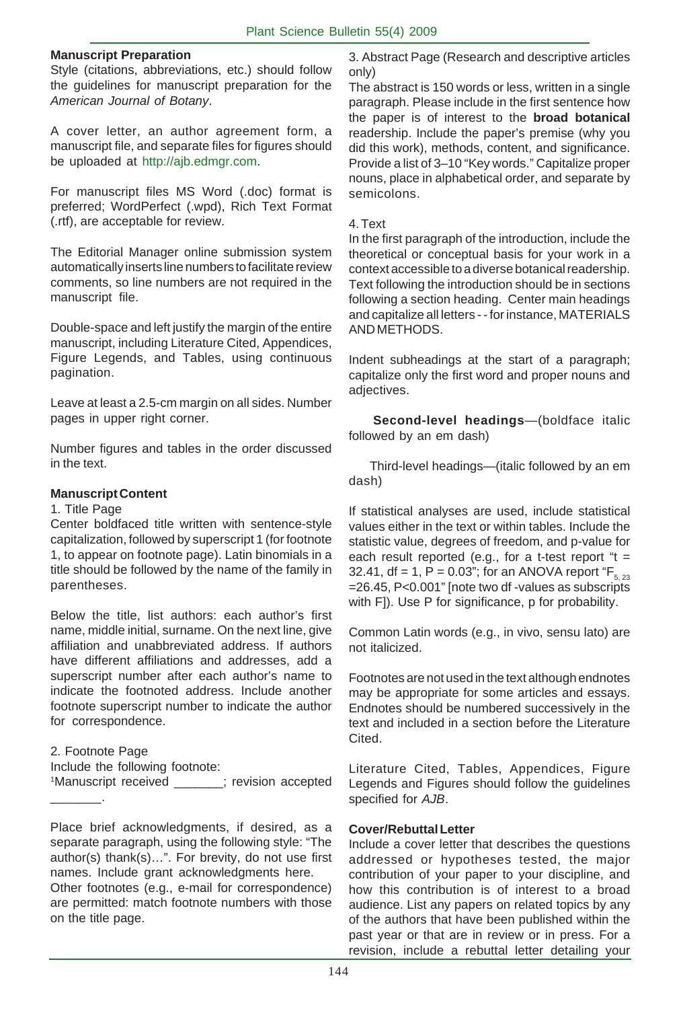#### **Manuscript Preparation**

Style (citations, abbreviations, etc.) should follow the guidelines for manuscript preparation for the *American Journal of Botany*.

A cover letter, an author agreement form, a manuscript file, and separate files for figures should be uploaded at http://ajb.edmgr.com.

For manuscript files MS Word (.doc) format is preferred; WordPerfect (.wpd), Rich Text Format (.rtf), are acceptable for review.

The Editorial Manager online submission system automatically inserts line numbers to facilitate review comments, so line numbers are not required in the manuscript file.

Double-space and left justify the margin of the entire manuscript, including Literature Cited, Appendices, Figure Legends, and Tables, using continuous pagination.

Leave at least a 2.5-cm margin on all sides. Number pages in upper right corner.

Number figures and tables in the order discussed in the text.

#### **Manuscript Content**

#### 1. Title Page

Center boldfaced title written with sentence-style capitalization, followed by superscript 1 (for footnote 1, to appear on footnote page). Latin binomials in a title should be followed by the name of the family in parentheses.

Below the title, list authors: each author's first name, middle initial, surname. On the next line, give affiliation and unabbreviated address. If authors have different affiliations and addresses, add a superscript number after each author's name to indicate the footnoted address. Include another footnote superscript number to indicate the author for correspondence.

2. Footnote Page Include the following footnote: 1 Manuscript received \_\_\_\_\_\_\_; revision accepted \_\_\_\_\_\_\_.

Place brief acknowledgments, if desired, as a separate paragraph, using the following style: "The author(s) thank(s)…". For brevity, do not use first names. Include grant acknowledgments here. Other footnotes (e.g., e-mail for correspondence) are permitted: match footnote numbers with those on the title page.

3. Abstract Page (Research and descriptive articles only)

The abstract is 150 words or less, written in a single paragraph. Please include in the first sentence how the paper is of interest to the **broad botanical** readership. Include the paper's premise (why you did this work), methods, content, and significance. Provide a list of 3–10 "Key words." Capitalize proper nouns, place in alphabetical order, and separate by semicolons.

#### 4. Text

In the first paragraph of the introduction, include the theoretical or conceptual basis for your work in a context accessible to a diverse botanical readership. Text following the introduction should be in sections following a section heading. Center main headings and capitalize all letters - - for instance, MATERIALS AND METHODS.

Indent subheadings at the start of a paragraph; capitalize only the first word and proper nouns and adjectives.

 **Second-level headings**—(boldface italic followed by an em dash)

 Third-level headings—(italic followed by an em dash)

If statistical analyses are used, include statistical values either in the text or within tables. Include the statistic value, degrees of freedom, and p-value for each result reported (e.g., for a t-test report " $t =$ 32.41, df = 1, P = 0.03"; for an ANOVA report " $F_{5, 23}$ =26.45, P<0.001" [note two df -values as subscripts with F]). Use P for significance, p for probability.

Common Latin words (e.g., in vivo, sensu lato) are not italicized.

Footnotes are not used in the text although endnotes may be appropriate for some articles and essays. Endnotes should be numbered successively in the text and included in a section before the Literature Cited.

Literature Cited, Tables, Appendices, Figure Legends and Figures should follow the guidelines specified for *AJB*.

#### **Cover/Rebuttal Letter**

Include a cover letter that describes the questions addressed or hypotheses tested, the major contribution of your paper to your discipline, and how this contribution is of interest to a broad audience. List any papers on related topics by any of the authors that have been published within the past year or that are in review or in press. For a revision, include a rebuttal letter detailing your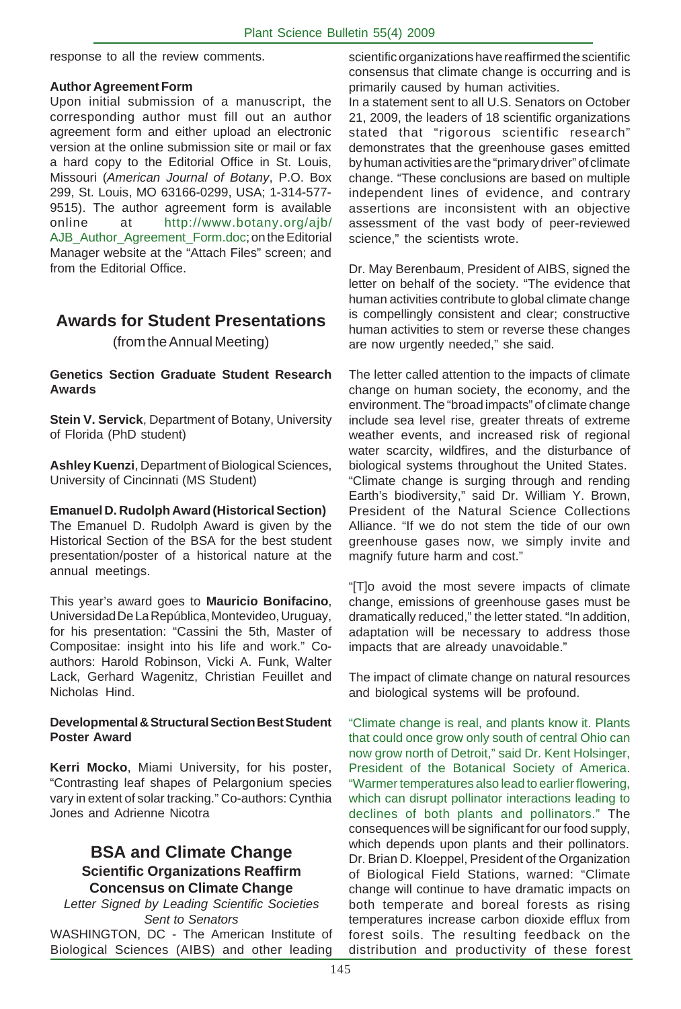response to all the review comments.

#### **Author Agreement Form**

Upon initial submission of a manuscript, the corresponding author must fill out an author agreement form and either upload an electronic version at the online submission site or mail or fax a hard copy to the Editorial Office in St. Louis, Missouri (*American Journal of Botany*, P.O. Box 299, St. Louis, MO 63166-0299, USA; 1-314-577- 9515). The author agreement form is available online at http://www.botany.org/ajb/ AJB\_Author\_Agreement\_Form.doc; on the Editorial Manager website at the "Attach Files" screen; and from the Editorial Office.

## **Awards for Student Presentations**

(from the Annual Meeting)

#### **Genetics Section Graduate Student Research Awards**

**Stein V. Servick**, Department of Botany, University of Florida (PhD student)

**Ashley Kuenzi**, Department of Biological Sciences, University of Cincinnati (MS Student)

#### **Emanuel D. Rudolph Award (Historical Section)**

The Emanuel D. Rudolph Award is given by the Historical Section of the BSA for the best student presentation/poster of a historical nature at the annual meetings.

This year's award goes to **Mauricio Bonifacino**, Universidad De La República, Montevideo, Uruguay, for his presentation: "Cassini the 5th, Master of Compositae: insight into his life and work." Coauthors: Harold Robinson, Vicki A. Funk, Walter Lack, Gerhard Wagenitz, Christian Feuillet and Nicholas Hind.

#### **Developmental & Structural Section Best Student Poster Award**

**Kerri Mocko**, Miami University, for his poster, "Contrasting leaf shapes of Pelargonium species vary in extent of solar tracking." Co-authors: Cynthia Jones and Adrienne Nicotra

#### **BSA and Climate Change Scientific Organizations Reaffirm Concensus on Climate Change**

*Letter Signed by Leading Scientific Societies Sent to Senators*

WASHINGTON, DC - The American Institute of Biological Sciences (AIBS) and other leading

scientific organizations have reaffirmed the scientific consensus that climate change is occurring and is primarily caused by human activities.

In a statement sent to all U.S. Senators on October 21, 2009, the leaders of 18 scientific organizations stated that "rigorous scientific research" demonstrates that the greenhouse gases emitted by human activities are the "primary driver" of climate change. "These conclusions are based on multiple independent lines of evidence, and contrary assertions are inconsistent with an objective assessment of the vast body of peer-reviewed science," the scientists wrote.

Dr. May Berenbaum, President of AIBS, signed the letter on behalf of the society. "The evidence that human activities contribute to global climate change is compellingly consistent and clear; constructive human activities to stem or reverse these changes are now urgently needed," she said.

The letter called attention to the impacts of climate change on human society, the economy, and the environment. The "broad impacts" of climate change include sea level rise, greater threats of extreme weather events, and increased risk of regional water scarcity, wildfires, and the disturbance of biological systems throughout the United States. "Climate change is surging through and rending Earth's biodiversity," said Dr. William Y. Brown, President of the Natural Science Collections Alliance. "If we do not stem the tide of our own greenhouse gases now, we simply invite and magnify future harm and cost."

"[T]o avoid the most severe impacts of climate change, emissions of greenhouse gases must be dramatically reduced," the letter stated. "In addition, adaptation will be necessary to address those impacts that are already unavoidable."

The impact of climate change on natural resources and biological systems will be profound.

"Climate change is real, and plants know it. Plants that could once grow only south of central Ohio can now grow north of Detroit," said Dr. Kent Holsinger, President of the Botanical Society of America. "Warmer temperatures also lead to earlier flowering, which can disrupt pollinator interactions leading to declines of both plants and pollinators." The consequences will be significant for our food supply, which depends upon plants and their pollinators. Dr. Brian D. Kloeppel, President of the Organization of Biological Field Stations, warned: "Climate change will continue to have dramatic impacts on both temperate and boreal forests as rising temperatures increase carbon dioxide efflux from forest soils. The resulting feedback on the distribution and productivity of these forest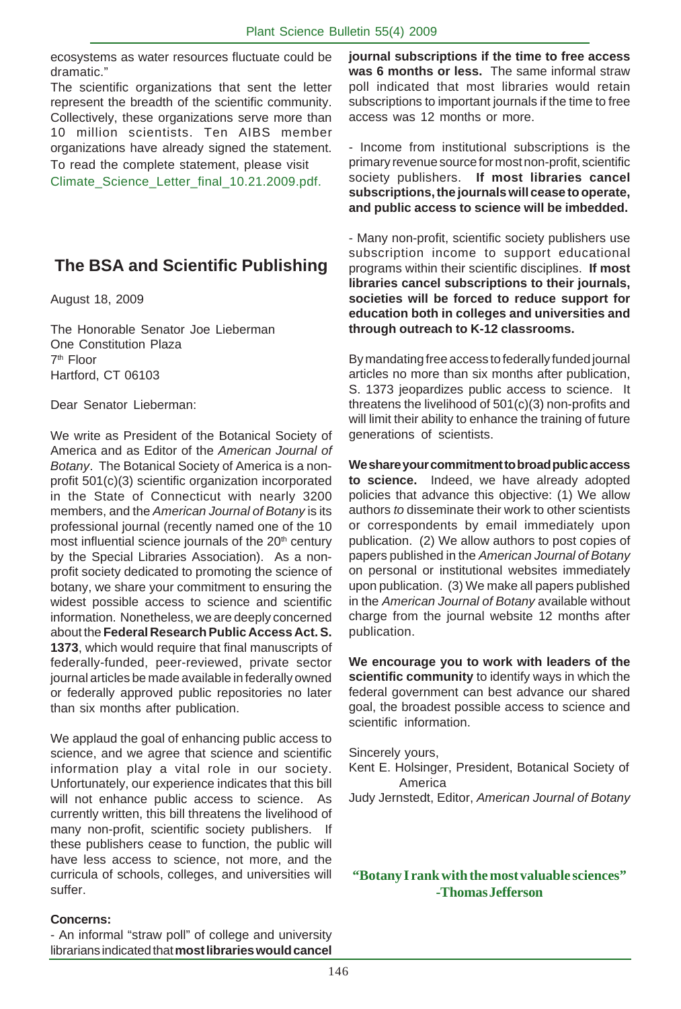ecosystems as water resources fluctuate could be dramatic."

The scientific organizations that sent the letter represent the breadth of the scientific community. Collectively, these organizations serve more than 10 million scientists. Ten AIBS member organizations have already signed the statement. To read the complete statement, please visit

Climate Science Letter final 10.21.2009.pdf.

## **The BSA and Scientific Publishing**

August 18, 2009

The Honorable Senator Joe Lieberman One Constitution Plaza 7th Floor Hartford, CT 06103

Dear Senator Lieberman:

We write as President of the Botanical Society of America and as Editor of the *American Journal of Botany*. The Botanical Society of America is a nonprofit 501(c)(3) scientific organization incorporated in the State of Connecticut with nearly 3200 members, and the *American Journal of Botany* is its professional journal (recently named one of the 10 most influential science journals of the 20<sup>th</sup> century by the Special Libraries Association). As a nonprofit society dedicated to promoting the science of botany, we share your commitment to ensuring the widest possible access to science and scientific information. Nonetheless, we are deeply concerned about the **Federal Research Public Access Act. S. 1373**, which would require that final manuscripts of federally-funded, peer-reviewed, private sector journal articles be made available in federally owned or federally approved public repositories no later than six months after publication.

We applaud the goal of enhancing public access to science, and we agree that science and scientific information play a vital role in our society. Unfortunately, our experience indicates that this bill will not enhance public access to science. As currently written, this bill threatens the livelihood of many non-profit, scientific society publishers. If these publishers cease to function, the public will have less access to science, not more, and the curricula of schools, colleges, and universities will suffer.

**journal subscriptions if the time to free access was 6 months or less.** The same informal straw poll indicated that most libraries would retain subscriptions to important journals if the time to free access was 12 months or more.

- Income from institutional subscriptions is the primary revenue source for most non-profit, scientific society publishers. **If most libraries cancel subscriptions, the journals will cease to operate, and public access to science will be imbedded.**

- Many non-profit, scientific society publishers use subscription income to support educational programs within their scientific disciplines. **If most libraries cancel subscriptions to their journals, societies will be forced to reduce support for education both in colleges and universities and through outreach to K-12 classrooms.**

By mandating free access to federally funded journal articles no more than six months after publication, S. 1373 jeopardizes public access to science. It threatens the livelihood of 501(c)(3) non-profits and will limit their ability to enhance the training of future generations of scientists.

**We share your commitment to broad public access to science.** Indeed, we have already adopted policies that advance this objective: (1) We allow authors *to* disseminate their work to other scientists or correspondents by email immediately upon publication. (2) We allow authors to post copies of papers published in the *American Journal of Botany* on personal or institutional websites immediately upon publication. (3) We make all papers published in the *American Journal of Botany* available without charge from the journal website 12 months after publication.

**We encourage you to work with leaders of the scientific community** to identify ways in which the federal government can best advance our shared goal, the broadest possible access to science and scientific information.

Sincerely yours,

- Kent E. Holsinger, President, Botanical Society of America
- Judy Jernstedt, Editor, *American Journal of Botany*

#### **"Botany I rank with the most valuable sciences" -Thomas Jefferson**

#### **Concerns:**

- An informal "straw poll" of college and university librarians indicated that **most libraries would cancel**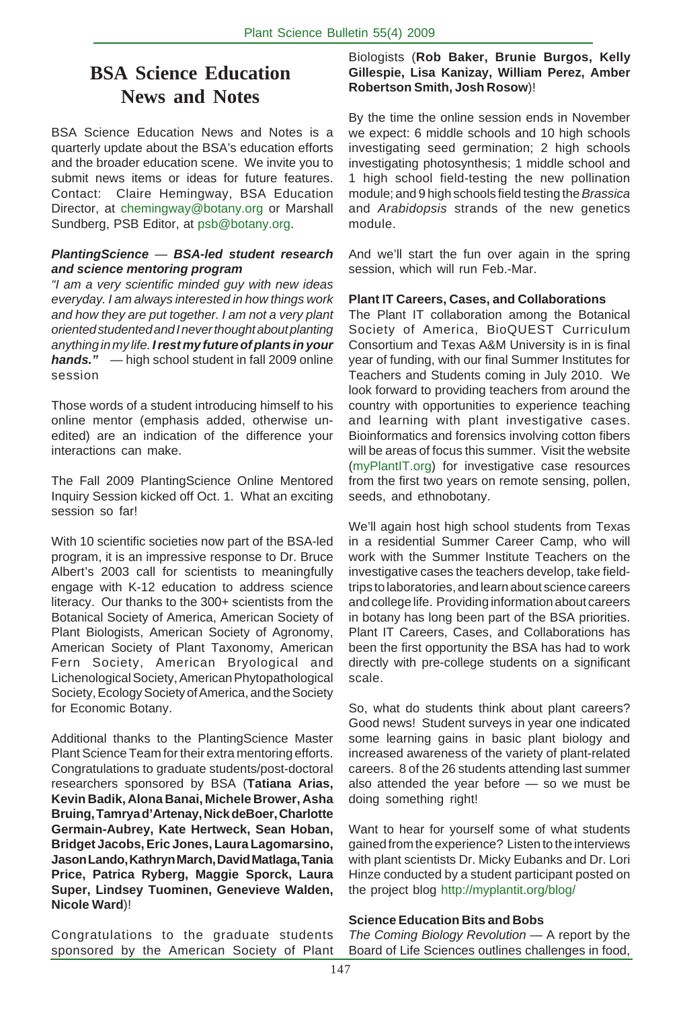## **BSA Science Education News and Notes**

BSA Science Education News and Notes is a quarterly update about the BSA's education efforts and the broader education scene. We invite you to submit news items or ideas for future features. Contact: Claire Hemingway, BSA Education Director, at chemingway@botany.org or Marshall Sundberg, PSB Editor, at psb@botany.org.

#### *PlantingScience* — *BSA-led student research and science mentoring program*

*"I am a very scientific minded guy with new ideas everyday. I am always interested in how things work and how they are put together. I am not a very plant oriented studented and I never thought about planting anything in my life. I rest my future of plants in your hands."*— high school student in fall 2009 online session

Those words of a student introducing himself to his online mentor (emphasis added, otherwise unedited) are an indication of the difference your interactions can make.

The Fall 2009 PlantingScience Online Mentored Inquiry Session kicked off Oct. 1. What an exciting session so far!

With 10 scientific societies now part of the BSA-led program, it is an impressive response to Dr. Bruce Albert's 2003 call for scientists to meaningfully engage with K-12 education to address science literacy. Our thanks to the 300+ scientists from the Botanical Society of America, American Society of Plant Biologists, American Society of Agronomy, American Society of Plant Taxonomy, American Fern Society, American Bryological and Lichenological Society, American Phytopathological Society, Ecology Society of America, and the Society for Economic Botany.

Additional thanks to the PlantingScience Master Plant Science Team for their extra mentoring efforts. Congratulations to graduate students/post-doctoral researchers sponsored by BSA (**Tatiana Arias, Kevin Badik, Alona Banai, Michele Brower, Asha Bruing, Tamrya d'Artenay, Nick deBoer, Charlotte Germain-Aubrey, Kate Hertweck, Sean Hoban, Bridget Jacobs, Eric Jones, Laura Lagomarsino, Jason Lando, Kathryn March, David Matlaga, Tania Price, Patrica Ryberg, Maggie Sporck, Laura Super, Lindsey Tuominen, Genevieve Walden, Nicole Ward**)!

Biologists (**Rob Baker, Brunie Burgos, Kelly Gillespie, Lisa Kanizay, William Perez, Amber Robertson Smith, Josh Rosow**)!

By the time the online session ends in November we expect: 6 middle schools and 10 high schools investigating seed germination; 2 high schools investigating photosynthesis; 1 middle school and 1 high school field-testing the new pollination module; and 9 high schools field testing the *Brassica* and *Arabidopsis* strands of the new genetics module.

And we'll start the fun over again in the spring session, which will run Feb.-Mar.

#### **Plant IT Careers, Cases, and Collaborations**

The Plant IT collaboration among the Botanical Society of America, BioQUEST Curriculum Consortium and Texas A&M University is in is final year of funding, with our final Summer Institutes for Teachers and Students coming in July 2010. We look forward to providing teachers from around the country with opportunities to experience teaching and learning with plant investigative cases. Bioinformatics and forensics involving cotton fibers will be areas of focus this summer. Visit the website (myPlantIT.org) for investigative case resources from the first two years on remote sensing, pollen, seeds, and ethnobotany.

We'll again host high school students from Texas in a residential Summer Career Camp, who will work with the Summer Institute Teachers on the investigative cases the teachers develop, take fieldtrips to laboratories, and learn about science careers and college life. Providing information about careers in botany has long been part of the BSA priorities. Plant IT Careers, Cases, and Collaborations has been the first opportunity the BSA has had to work directly with pre-college students on a significant scale.

. Good news! Student surveys in year one indicated So, what do students think about plant careers? some learning gains in basic plant biology and increased awareness of the variety of plant-related careers. 8 of the 26 students attending last summer also attended the year before — so we must be doing something right!

Want to hear for yourself some of what students gained from the experience? Listen to the interviews with plant scientists Dr. Micky Eubanks and Dr. Lori Hinze conducted by a student participant posted on the project blog http://myplantit.org/blog/

#### **Science Education Bits and Bobs**

Congratulations to the graduate students sponsored by the American Society of Plant *The Coming Biology Revolution* — A report by the Board of Life Sciences outlines challenges in food,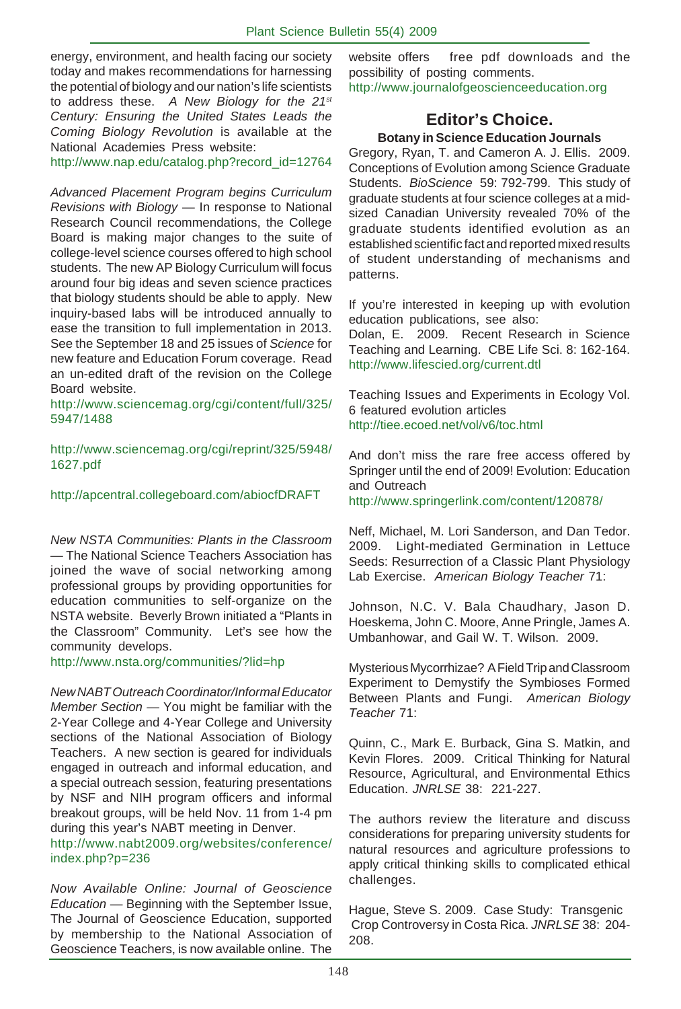energy, environment, and health facing our society today and makes recommendations for harnessing the potential of biology and our nation's life scientists to address these. *A New Biology for the 21st Century: Ensuring the United States Leads the Coming Biology Revolution* is available at the National Academies Press website:

http://www.nap.edu/catalog.php?record\_id=12764

*Advanced Placement Program begins Curriculum Revisions with Biology* — In response to National Research Council recommendations, the College Board is making major changes to the suite of college-level science courses offered to high school students. The new AP Biology Curriculum will focus around four big ideas and seven science practices that biology students should be able to apply. New inquiry-based labs will be introduced annually to ease the transition to full implementation in 2013. See the September 18 and 25 issues of *Science* for new feature and Education Forum coverage. Read an un-edited draft of the revision on the College Board website.

http://www.sciencemag.org/cgi/content/full/325/ 5947/1488

http://www.sciencemag.org/cgi/reprint/325/5948/ 1627.pdf

http://apcentral.collegeboard.com/abiocfDRAFT

*New NSTA Communities: Plants in the Classroom* — The National Science Teachers Association has joined the wave of social networking among professional groups by providing opportunities for education communities to self-organize on the NSTA website. Beverly Brown initiated a "Plants in the Classroom" Community. Let's see how the community develops.

#### http://www.nsta.org/communities/?lid=hp

*New NABT Outreach Coordinator/Informal Educator Member Section* — You might be familiar with the 2-Year College and 4-Year College and University sections of the National Association of Biology Teachers. A new section is geared for individuals engaged in outreach and informal education, and a special outreach session, featuring presentations by NSF and NIH program officers and informal breakout groups, will be held Nov. 11 from 1-4 pm during this year's NABT meeting in Denver.

http://www.nabt2009.org/websites/conference/ index.php?p=236

*Now Available Online: Journal of Geoscience Education* — Beginning with the September Issue, The Journal of Geoscience Education, supported by membership to the National Association of Geoscience Teachers, is now available online. The

website offers free pdf downloads and the possibility of posting comments. http://www.journalofgeoscienceeducation.org

#### **Editor's Choice. Botany in Science Education Journals**

Gregory, Ryan, T. and Cameron A. J. Ellis. 2009. Conceptions of Evolution among Science Graduate Students. *BioScience* 59: 792-799. This study of graduate students at four science colleges at a midsized Canadian University revealed 70% of the graduate students identified evolution as an established scientific fact and reported mixed results of student understanding of mechanisms and patterns.

If you're interested in keeping up with evolution education publications, see also:

Dolan, E. 2009. Recent Research in Science Teaching and Learning. CBE Life Sci. 8: 162-164. http://www.lifescied.org/current.dtl

Teaching Issues and Experiments in Ecology Vol. 6 featured evolution articles http://tiee.ecoed.net/vol/v6/toc.html

And don't miss the rare free access offered by Springer until the end of 2009! Evolution: Education and Outreach

http://www.springerlink.com/content/120878/

Neff, Michael, M. Lori Sanderson, and Dan Tedor. 2009. Light-mediated Germination in Lettuce Seeds: Resurrection of a Classic Plant Physiology Lab Exercise. *American Biology Teacher* 71:

Johnson, N.C. V. Bala Chaudhary, Jason D. Hoeskema, John C. Moore, Anne Pringle, James A. Umbanhowar, and Gail W. T. Wilson. 2009.

Mysterious Mycorrhizae? A Field Trip and Classroom Experiment to Demystify the Symbioses Formed Between Plants and Fungi. *American Biology Teacher* 71:

Quinn, C., Mark E. Burback, Gina S. Matkin, and Kevin Flores. 2009. Critical Thinking for Natural Resource, Agricultural, and Environmental Ethics Education. *JNRLSE* 38: 221-227.

The authors review the literature and discuss considerations for preparing university students for natural resources and agriculture professions to apply critical thinking skills to complicated ethical challenges.

Hague, Steve S. 2009. Case Study: Transgenic Crop Controversy in Costa Rica. *JNRLSE* 38: 204- 208.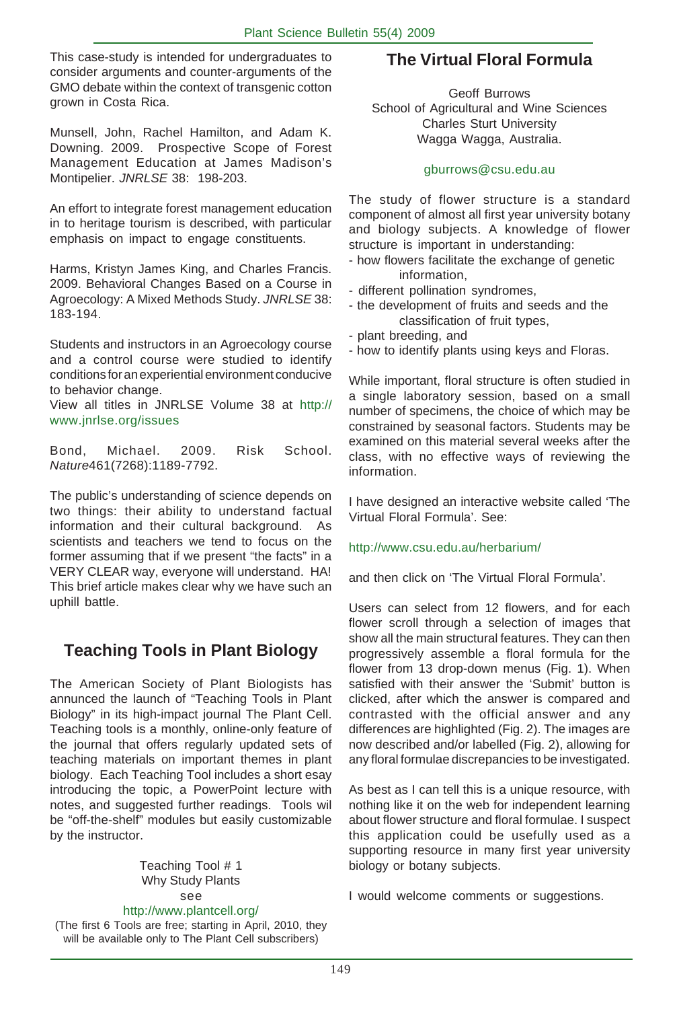This case-study is intended for undergraduates to consider arguments and counter-arguments of the GMO debate within the context of transgenic cotton grown in Costa Rica.

Munsell, John, Rachel Hamilton, and Adam K. Downing. 2009. Prospective Scope of Forest Management Education at James Madison's Montipelier. *JNRLSE* 38: 198-203.

An effort to integrate forest management education in to heritage tourism is described, with particular emphasis on impact to engage constituents.

Harms, Kristyn James King, and Charles Francis. 2009. Behavioral Changes Based on a Course in Agroecology: A Mixed Methods Study. *JNRLSE* 38: 183-194.

Students and instructors in an Agroecology course and a control course were studied to identify conditions for an experiential environment conducive to behavior change.

View all titles in JNRLSE Volume 38 at http:// www.jnrlse.org/issues

Bond, Michael. 2009. Risk School. *Nature*461(7268):1189-7792.

The public's understanding of science depends on two things: their ability to understand factual information and their cultural background. As scientists and teachers we tend to focus on the former assuming that if we present "the facts" in a VERY CLEAR way, everyone will understand. HA! This brief article makes clear why we have such an uphill battle.

## **Teaching Tools in Plant Biology**

The American Society of Plant Biologists has annunced the launch of "Teaching Tools in Plant Biology" in its high-impact journal The Plant Cell. Teaching tools is a monthly, online-only feature of the journal that offers regularly updated sets of teaching materials on important themes in plant biology. Each Teaching Tool includes a short esay introducing the topic, a PowerPoint lecture with notes, and suggested further readings. Tools wil be "off-the-shelf" modules but easily customizable by the instructor.

> Teaching Tool # 1 Why Study Plants see

#### http://www.plantcell.org/

(The first 6 Tools are free; starting in April, 2010, they will be available only to The Plant Cell subscribers)

## **The Virtual Floral Formula**

Geoff Burrows School of Agricultural and Wine Sciences Charles Sturt University Wagga Wagga, Australia.

#### gburrows@csu.edu.au

The study of flower structure is a standard component of almost all first year university botany and biology subjects. A knowledge of flower structure is important in understanding:

- how flowers facilitate the exchange of genetic information,
- different pollination syndromes,
- the development of fruits and seeds and the classification of fruit types,
- plant breeding, and
- how to identify plants using keys and Floras.

While important, floral structure is often studied in a single laboratory session, based on a small number of specimens, the choice of which may be constrained by seasonal factors. Students may be examined on this material several weeks after the class, with no effective ways of reviewing the information.

I have designed an interactive website called 'The Virtual Floral Formula'. See:

#### http://www.csu.edu.au/herbarium/

and then click on 'The Virtual Floral Formula'.

Users can select from 12 flowers, and for each flower scroll through a selection of images that show all the main structural features. They can then progressively assemble a floral formula for the flower from 13 drop-down menus (Fig. 1). When satisfied with their answer the 'Submit' button is clicked, after which the answer is compared and contrasted with the official answer and any differences are highlighted (Fig. 2). The images are now described and/or labelled (Fig. 2), allowing for any floral formulae discrepancies to be investigated.

As best as I can tell this is a unique resource, with nothing like it on the web for independent learning about flower structure and floral formulae. I suspect this application could be usefully used as a supporting resource in many first year university biology or botany subjects.

I would welcome comments or suggestions.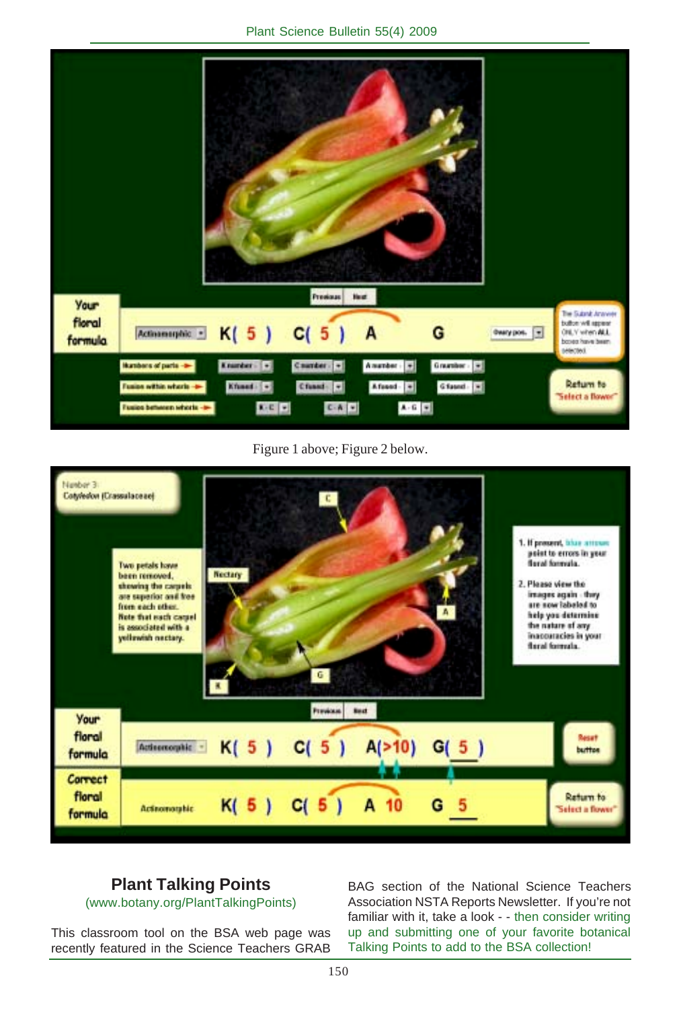

Figure 1 above; Figure 2 below.



## **Plant Talking Points**

(www.botany.org/PlantTalkingPoints)

This classroom tool on the BSA web page was recently featured in the Science Teachers GRAB BAG section of the National Science Teachers Association NSTA Reports Newsletter. If you're not familiar with it, take a look - - then consider writing up and submitting one of your favorite botanical Talking Points to add to the BSA collection!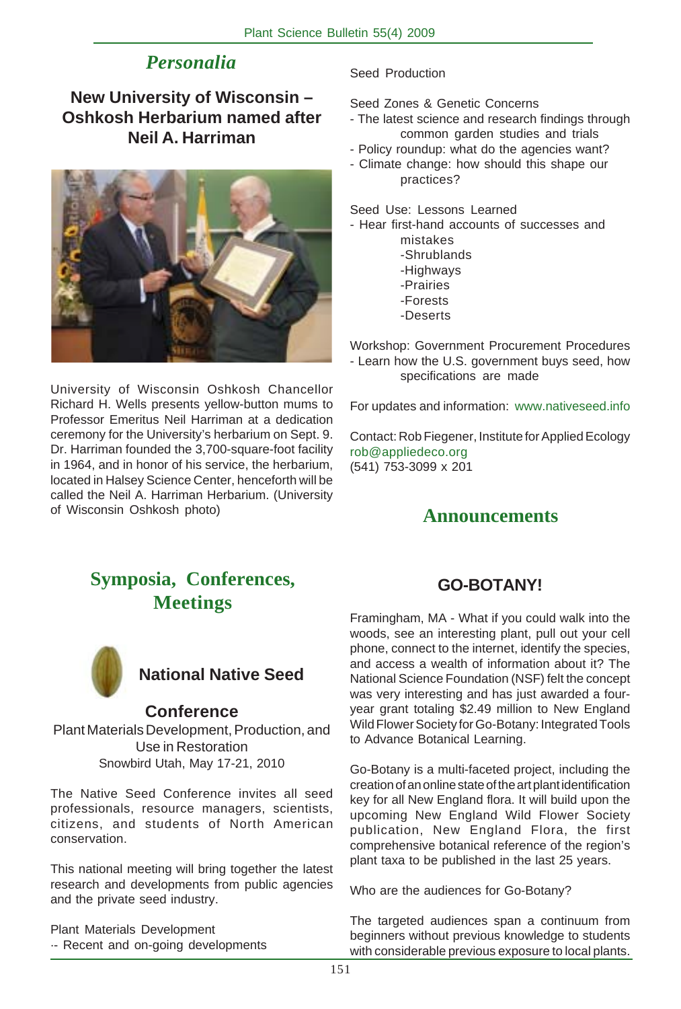## *Personalia*

## **New University of Wisconsin – Oshkosh Herbarium named after Neil A. Harriman**



University of Wisconsin Oshkosh Chancellor Richard H. Wells presents yellow-button mums to Professor Emeritus Neil Harriman at a dedication ceremony for the University's herbarium on Sept. 9. Dr. Harriman founded the 3,700-square-foot facility in 1964, and in honor of his service, the herbarium, located in Halsey Science Center, henceforth will be called the Neil A. Harriman Herbarium. (University of Wisconsin Oshkosh photo)

Seed Production

Seed Zones & Genetic Concerns

- The latest science and research findings through common garden studies and trials
- Policy roundup: what do the agencies want?
- Climate change: how should this shape our practices?

Seed Use: Lessons Learned

- Hear first-hand accounts of successes and mistakes
	- -Shrublands
	- -Highways
	- -Prairies
	- -Forests
	- -Deserts

Workshop: Government Procurement Procedures - Learn how the U.S. government buys seed, how specifications are made

For updates and information: www.nativeseed.info

Contact: Rob Fiegener, Institute for Applied Ecology rob@appliedeco.org (541) 753-3099 x 201

## **Announcements**

## **Symposia, Conferences, Meetings**



## **National Native Seed**

#### **Conference**

Plant Materials Development, Production, and Use in Restoration Snowbird Utah, May 17-21, 2010

The Native Seed Conference invites all seed professionals, resource managers, scientists, citizens, and students of North American conservation.

This national meeting will bring together the latest research and developments from public agencies and the private seed industry.

Plant Materials Development ·- Recent and on-going developments

## **GO-BOTANY!**

Framingham, MA - What if you could walk into the woods, see an interesting plant, pull out your cell phone, connect to the internet, identify the species, and access a wealth of information about it? The National Science Foundation (NSF) felt the concept was very interesting and has just awarded a fouryear grant totaling \$2.49 million to New England Wild Flower Society for Go-Botany: Integrated Tools to Advance Botanical Learning.

Go-Botany is a multi-faceted project, including the creation of an online state of the art plant identification key for all New England flora. It will build upon the upcoming New England Wild Flower Society publication, New England Flora, the first comprehensive botanical reference of the region's plant taxa to be published in the last 25 years.

Who are the audiences for Go-Botany?

The targeted audiences span a continuum from beginners without previous knowledge to students with considerable previous exposure to local plants.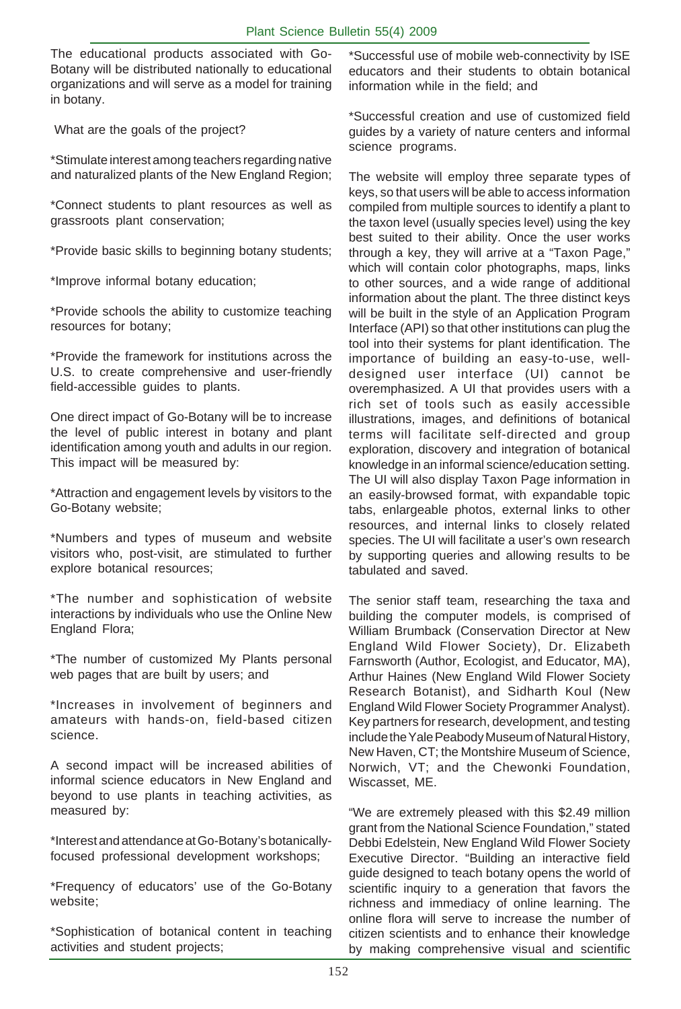The educational products associated with Go-Botany will be distributed nationally to educational organizations and will serve as a model for training in botany.

What are the goals of the project?

\*Stimulate interest among teachers regarding native and naturalized plants of the New England Region;

\*Connect students to plant resources as well as grassroots plant conservation;

\*Provide basic skills to beginning botany students;

\*Improve informal botany education;

\*Provide schools the ability to customize teaching resources for botany;

\*Provide the framework for institutions across the U.S. to create comprehensive and user-friendly field-accessible guides to plants.

One direct impact of Go-Botany will be to increase the level of public interest in botany and plant identification among youth and adults in our region. This impact will be measured by:

\*Attraction and engagement levels by visitors to the Go-Botany website;

\*Numbers and types of museum and website visitors who, post-visit, are stimulated to further explore botanical resources;

\*The number and sophistication of website interactions by individuals who use the Online New England Flora;

\*The number of customized My Plants personal web pages that are built by users; and

\*Increases in involvement of beginners and amateurs with hands-on, field-based citizen science.

A second impact will be increased abilities of informal science educators in New England and beyond to use plants in teaching activities, as measured by:

\*Interest and attendance at Go-Botany's botanicallyfocused professional development workshops;

\*Frequency of educators' use of the Go-Botany website;

\*Sophistication of botanical content in teaching activities and student projects;

\*Successful use of mobile web-connectivity by ISE educators and their students to obtain botanical information while in the field; and

\*Successful creation and use of customized field guides by a variety of nature centers and informal science programs.

The website will employ three separate types of keys, so that users will be able to access information compiled from multiple sources to identify a plant to the taxon level (usually species level) using the key best suited to their ability. Once the user works through a key, they will arrive at a "Taxon Page," which will contain color photographs, maps, links to other sources, and a wide range of additional information about the plant. The three distinct keys will be built in the style of an Application Program Interface (API) so that other institutions can plug the tool into their systems for plant identification. The importance of building an easy-to-use, welldesigned user interface (UI) cannot be overemphasized. A UI that provides users with a rich set of tools such as easily accessible illustrations, images, and definitions of botanical terms will facilitate self-directed and group exploration, discovery and integration of botanical knowledge in an informal science/education setting. The UI will also display Taxon Page information in an easily-browsed format, with expandable topic tabs, enlargeable photos, external links to other resources, and internal links to closely related species. The UI will facilitate a user's own research by supporting queries and allowing results to be tabulated and saved.

The senior staff team, researching the taxa and building the computer models, is comprised of William Brumback (Conservation Director at New England Wild Flower Society), Dr. Elizabeth Farnsworth (Author, Ecologist, and Educator, MA), Arthur Haines (New England Wild Flower Society Research Botanist), and Sidharth Koul (New England Wild Flower Society Programmer Analyst). Key partners for research, development, and testing include the Yale Peabody Museum of Natural History, New Haven, CT; the Montshire Museum of Science, Norwich, VT; and the Chewonki Foundation, Wiscasset, ME.

"We are extremely pleased with this \$2.49 million grant from the National Science Foundation," stated Debbi Edelstein, New England Wild Flower Society Executive Director. "Building an interactive field guide designed to teach botany opens the world of scientific inquiry to a generation that favors the richness and immediacy of online learning. The online flora will serve to increase the number of citizen scientists and to enhance their knowledge by making comprehensive visual and scientific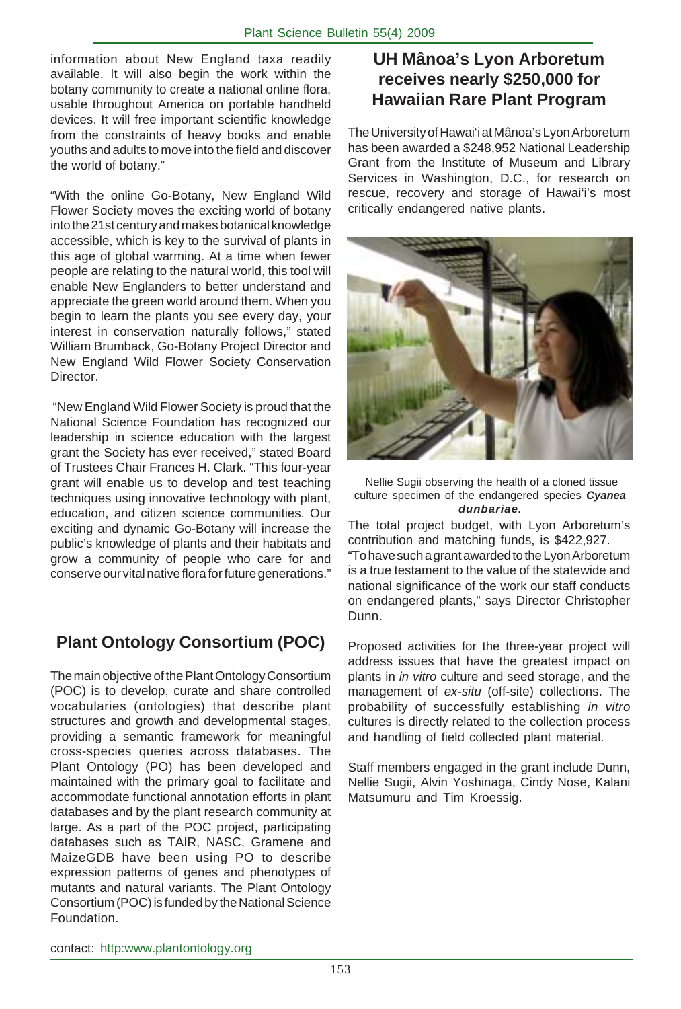information about New England taxa readily available. It will also begin the work within the botany community to create a national online flora, usable throughout America on portable handheld devices. It will free important scientific knowledge from the constraints of heavy books and enable youths and adults to move into the field and discover the world of botany."

"With the online Go-Botany, New England Wild Flower Society moves the exciting world of botany into the 21st century and makes botanical knowledge accessible, which is key to the survival of plants in this age of global warming. At a time when fewer people are relating to the natural world, this tool will enable New Englanders to better understand and appreciate the green world around them. When you begin to learn the plants you see every day, your interest in conservation naturally follows," stated William Brumback, Go-Botany Project Director and New England Wild Flower Society Conservation Director.

 "New England Wild Flower Society is proud that the National Science Foundation has recognized our leadership in science education with the largest grant the Society has ever received," stated Board of Trustees Chair Frances H. Clark. "This four-year grant will enable us to develop and test teaching techniques using innovative technology with plant, education, and citizen science communities. Our exciting and dynamic Go-Botany will increase the public's knowledge of plants and their habitats and grow a community of people who care for and conserve our vital native flora for future generations."

## **Plant Ontology Consortium (POC)**

The main objective of the Plant Ontology Consortium (POC) is to develop, curate and share controlled vocabularies (ontologies) that describe plant structures and growth and developmental stages, providing a semantic framework for meaningful cross-species queries across databases. The Plant Ontology (PO) has been developed and maintained with the primary goal to facilitate and accommodate functional annotation efforts in plant databases and by the plant research community at large. As a part of the POC project, participating databases such as TAIR, NASC, Gramene and MaizeGDB have been using PO to describe expression patterns of genes and phenotypes of mutants and natural variants. The Plant Ontology Consortium (POC) is funded by the National Science Foundation.

## **UH Mânoa's Lyon Arboretum receives nearly \$250,000 for Hawaiian Rare Plant Program**

The University of Hawai'i at Mânoa's Lyon Arboretum has been awarded a \$248,952 National Leadership Grant from the Institute of Museum and Library Services in Washington, D.C., for research on rescue, recovery and storage of Hawai'i's most critically endangered native plants.



Nellie Sugii observing the health of a cloned tissue culture specimen of the endangered species *Cyanea dunbariae.*

The total project budget, with Lyon Arboretum's contribution and matching funds, is \$422,927. "To have such a grant awarded to the Lyon Arboretum is a true testament to the value of the statewide and national significance of the work our staff conducts on endangered plants," says Director Christopher Dunn.

Proposed activities for the three-year project will address issues that have the greatest impact on plants in *in vitro* culture and seed storage, and the management of *ex-situ* (off-site) collections. The probability of successfully establishing *in vitro* cultures is directly related to the collection process and handling of field collected plant material.

Staff members engaged in the grant include Dunn, Nellie Sugii, Alvin Yoshinaga, Cindy Nose, Kalani Matsumuru and Tim Kroessig.

contact: http:www.plantontology.org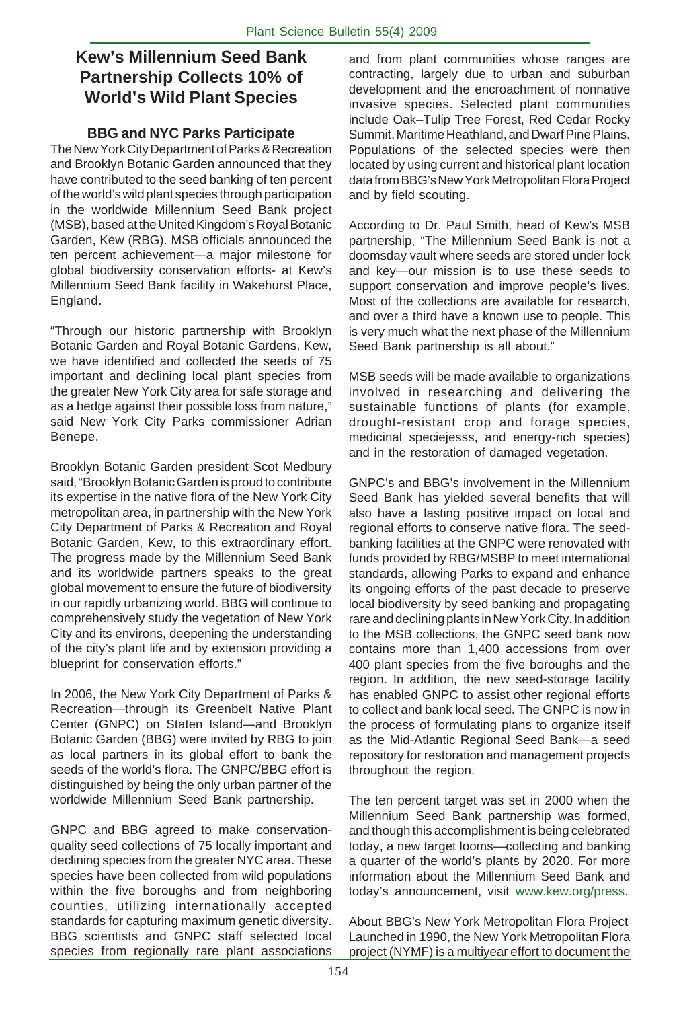## **Kew's Millennium Seed Bank Partnership Collects 10% of World's Wild Plant Species**

#### **BBG and NYC Parks Participate**

The New York City Department of Parks & Recreation and Brooklyn Botanic Garden announced that they have contributed to the seed banking of ten percent of the world's wild plant species through participation in the worldwide Millennium Seed Bank project (MSB), based at the United Kingdom's Royal Botanic Garden, Kew (RBG). MSB officials announced the ten percent achievement—a major milestone for global biodiversity conservation efforts- at Kew's Millennium Seed Bank facility in Wakehurst Place, England.

"Through our historic partnership with Brooklyn Botanic Garden and Royal Botanic Gardens, Kew, we have identified and collected the seeds of 75 important and declining local plant species from the greater New York City area for safe storage and as a hedge against their possible loss from nature," said New York City Parks commissioner Adrian Benepe.

Brooklyn Botanic Garden president Scot Medbury said, "Brooklyn Botanic Garden is proud to contribute its expertise in the native flora of the New York City metropolitan area, in partnership with the New York City Department of Parks & Recreation and Royal Botanic Garden, Kew, to this extraordinary effort. The progress made by the Millennium Seed Bank and its worldwide partners speaks to the great global movement to ensure the future of biodiversity in our rapidly urbanizing world. BBG will continue to comprehensively study the vegetation of New York City and its environs, deepening the understanding of the city's plant life and by extension providing a blueprint for conservation efforts."

In 2006, the New York City Department of Parks & Recreation—through its Greenbelt Native Plant Center (GNPC) on Staten Island—and Brooklyn Botanic Garden (BBG) were invited by RBG to join as local partners in its global effort to bank the seeds of the world's flora. The GNPC/BBG effort is distinguished by being the only urban partner of the worldwide Millennium Seed Bank partnership.

GNPC and BBG agreed to make conservationquality seed collections of 75 locally important and declining species from the greater NYC area. These species have been collected from wild populations within the five boroughs and from neighboring counties, utilizing internationally accepted standards for capturing maximum genetic diversity. BBG scientists and GNPC staff selected local species from regionally rare plant associations and from plant communities whose ranges are contracting, largely due to urban and suburban development and the encroachment of nonnative invasive species. Selected plant communities include Oak–Tulip Tree Forest, Red Cedar Rocky Summit, Maritime Heathland, and Dwarf Pine Plains. Populations of the selected species were then located by using current and historical plant location data from BBG's New York Metropolitan Flora Project and by field scouting.

According to Dr. Paul Smith, head of Kew's MSB partnership, "The Millennium Seed Bank is not a doomsday vault where seeds are stored under lock and key—our mission is to use these seeds to support conservation and improve people's lives. Most of the collections are available for research, and over a third have a known use to people. This is very much what the next phase of the Millennium Seed Bank partnership is all about."

MSB seeds will be made available to organizations involved in researching and delivering the sustainable functions of plants (for example, drought-resistant crop and forage species, medicinal speciejesss, and energy-rich species) and in the restoration of damaged vegetation.

GNPC's and BBG's involvement in the Millennium Seed Bank has yielded several benefits that will also have a lasting positive impact on local and regional efforts to conserve native flora. The seedbanking facilities at the GNPC were renovated with funds provided by RBG/MSBP to meet international standards, allowing Parks to expand and enhance its ongoing efforts of the past decade to preserve local biodiversity by seed banking and propagating rare and declining plants in New York City. In addition to the MSB collections, the GNPC seed bank now contains more than 1,400 accessions from over 400 plant species from the five boroughs and the region. In addition, the new seed-storage facility has enabled GNPC to assist other regional efforts to collect and bank local seed. The GNPC is now in the process of formulating plans to organize itself as the Mid-Atlantic Regional Seed Bank—a seed repository for restoration and management projects throughout the region.

The ten percent target was set in 2000 when the Millennium Seed Bank partnership was formed, and though this accomplishment is being celebrated today, a new target looms—collecting and banking a quarter of the world's plants by 2020. For more information about the Millennium Seed Bank and today's announcement, visit www.kew.org/press.

About BBG's New York Metropolitan Flora Project Launched in 1990, the New York Metropolitan Flora project (NYMF) is a multiyear effort to document the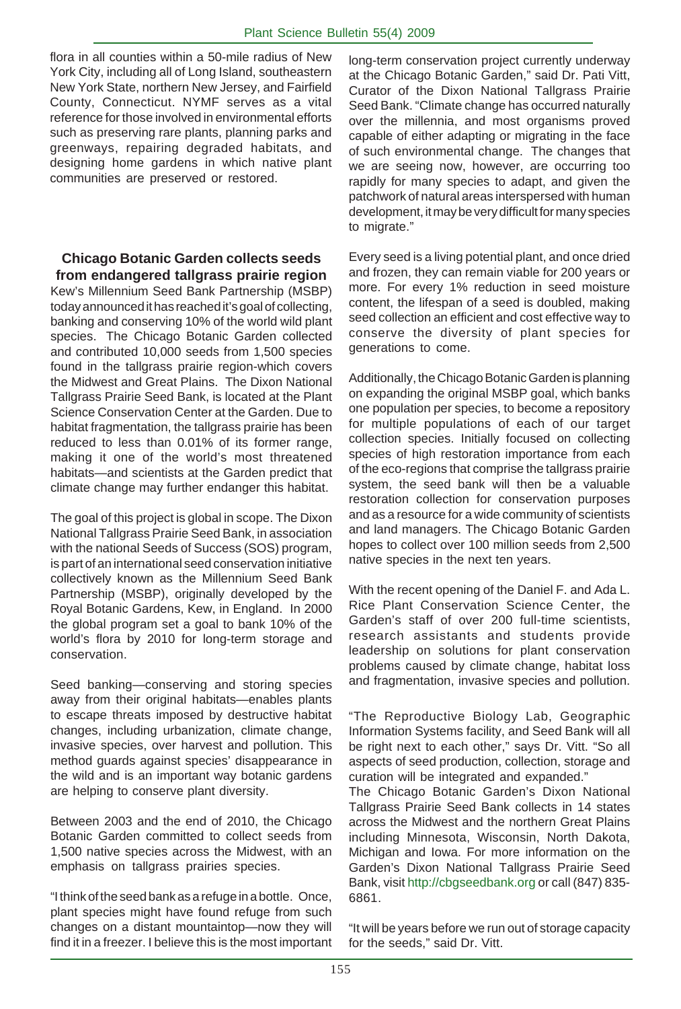flora in all counties within a 50-mile radius of New York City, including all of Long Island, southeastern New York State, northern New Jersey, and Fairfield County, Connecticut. NYMF serves as a vital reference for those involved in environmental efforts such as preserving rare plants, planning parks and greenways, repairing degraded habitats, and designing home gardens in which native plant communities are preserved or restored.

#### **Chicago Botanic Garden collects seeds from endangered tallgrass prairie region**

Kew's Millennium Seed Bank Partnership (MSBP) today announced it has reached it's goal of collecting, banking and conserving 10% of the world wild plant species. The Chicago Botanic Garden collected and contributed 10,000 seeds from 1,500 species found in the tallgrass prairie region-which covers the Midwest and Great Plains. The Dixon National Tallgrass Prairie Seed Bank, is located at the Plant Science Conservation Center at the Garden. Due to habitat fragmentation, the tallgrass prairie has been reduced to less than 0.01% of its former range, making it one of the world's most threatened habitats—and scientists at the Garden predict that climate change may further endanger this habitat.

The goal of this project is global in scope. The Dixon National Tallgrass Prairie Seed Bank, in association with the national Seeds of Success (SOS) program, is part of an international seed conservation initiative collectively known as the Millennium Seed Bank Partnership (MSBP), originally developed by the Royal Botanic Gardens, Kew, in England. In 2000 the global program set a goal to bank 10% of the world's flora by 2010 for long-term storage and conservation.

Seed banking—conserving and storing species away from their original habitats—enables plants to escape threats imposed by destructive habitat changes, including urbanization, climate change, invasive species, over harvest and pollution. This method guards against species' disappearance in the wild and is an important way botanic gardens are helping to conserve plant diversity.

Between 2003 and the end of 2010, the Chicago Botanic Garden committed to collect seeds from 1,500 native species across the Midwest, with an emphasis on tallgrass prairies species.

"I think of the seed bank as a refuge in a bottle. Once, plant species might have found refuge from such changes on a distant mountaintop—now they will find it in a freezer. I believe this is the most important long-term conservation project currently underway at the Chicago Botanic Garden," said Dr. Pati Vitt, Curator of the Dixon National Tallgrass Prairie Seed Bank. "Climate change has occurred naturally over the millennia, and most organisms proved capable of either adapting or migrating in the face of such environmental change. The changes that we are seeing now, however, are occurring too rapidly for many species to adapt, and given the patchwork of natural areas interspersed with human development, it may be very difficult for many species to migrate."

Every seed is a living potential plant, and once dried and frozen, they can remain viable for 200 years or more. For every 1% reduction in seed moisture content, the lifespan of a seed is doubled, making seed collection an efficient and cost effective way to conserve the diversity of plant species for generations to come.

Additionally, the Chicago Botanic Garden is planning on expanding the original MSBP goal, which banks one population per species, to become a repository for multiple populations of each of our target collection species. Initially focused on collecting species of high restoration importance from each of the eco-regions that comprise the tallgrass prairie system, the seed bank will then be a valuable restoration collection for conservation purposes and as a resource for a wide community of scientists and land managers. The Chicago Botanic Garden hopes to collect over 100 million seeds from 2,500 native species in the next ten years.

With the recent opening of the Daniel F. and Ada L. Rice Plant Conservation Science Center, the Garden's staff of over 200 full-time scientists, research assistants and students provide leadership on solutions for plant conservation problems caused by climate change, habitat loss and fragmentation, invasive species and pollution.

"The Reproductive Biology Lab, Geographic Information Systems facility, and Seed Bank will all be right next to each other," says Dr. Vitt. "So all aspects of seed production, collection, storage and curation will be integrated and expanded."

The Chicago Botanic Garden's Dixon National Tallgrass Prairie Seed Bank collects in 14 states across the Midwest and the northern Great Plains including Minnesota, Wisconsin, North Dakota, Michigan and Iowa. For more information on the Garden's Dixon National Tallgrass Prairie Seed Bank, visit http://cbgseedbank.org or call (847) 835- 6861.

"It will be years before we run out of storage capacity for the seeds," said Dr. Vitt.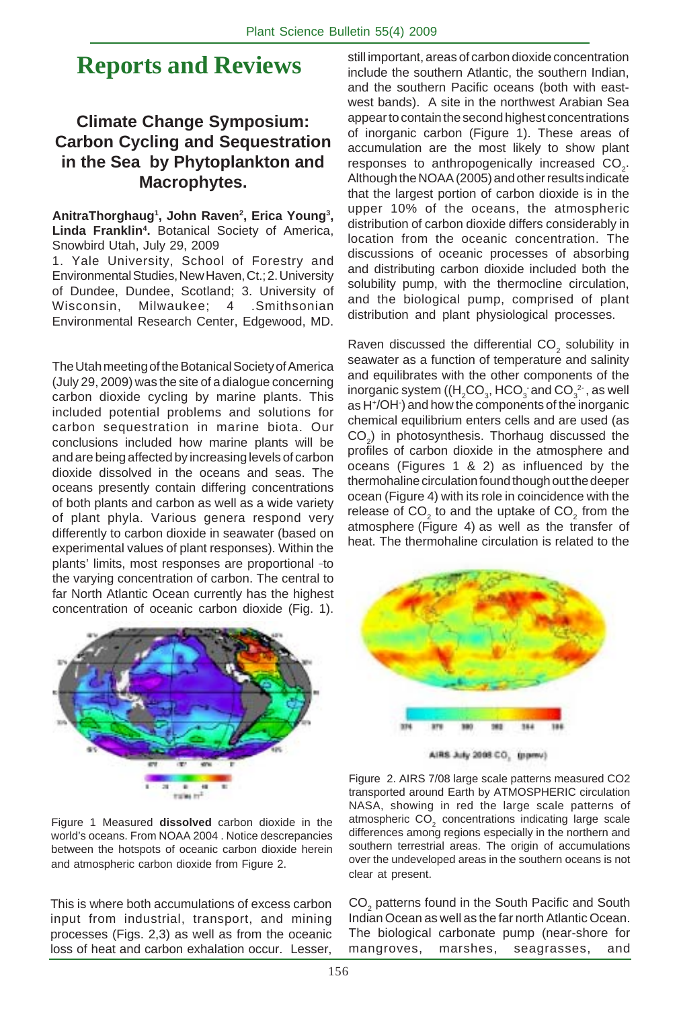## **Reports and Reviews**

## **Climate Change Symposium: Carbon Cycling and Sequestration in the Sea by Phytoplankton and Macrophytes.**

AnitraThorghaug<sup>1</sup>, John Raven<sup>2</sup>, Erica Young<sup>3</sup>, **Linda Franklin4 .** Botanical Society of America, Snowbird Utah, July 29, 2009

1. Yale University, School of Forestry and Environmental Studies, New Haven, Ct.; 2. University of Dundee, Dundee, Scotland; 3. University of Wisconsin, Milwaukee; 4 .Smithsonian Environmental Research Center, Edgewood, MD.

The Utah meeting of the Botanical Society of America (July 29, 2009) was the site of a dialogue concerning carbon dioxide cycling by marine plants. This included potential problems and solutions for carbon sequestration in marine biota. Our conclusions included how marine plants will be and are being affected by increasing levels of carbon dioxide dissolved in the oceans and seas. The oceans presently contain differing concentrations of both plants and carbon as well as a wide variety of plant phyla. Various genera respond very differently to carbon dioxide in seawater (based on experimental values of plant responses). Within the plants' limits, most responses are proportional -to the varying concentration of carbon. The central to far North Atlantic Ocean currently has the highest concentration of oceanic carbon dioxide (Fig. 1).



Figure 1 Measured **dissolved** carbon dioxide in the world's oceans. From NOAA 2004 . Notice descrepancies between the hotspots of oceanic carbon dioxide herein and atmospheric carbon dioxide from Figure 2.

This is where both accumulations of excess carbon input from industrial, transport, and mining processes (Figs. 2,3) as well as from the oceanic loss of heat and carbon exhalation occur. Lesser,

still important, areas of carbon dioxide concentration include the southern Atlantic, the southern Indian, and the southern Pacific oceans (both with eastwest bands). A site in the northwest Arabian Sea appear to contain the second highest concentrations of inorganic carbon (Figure 1). These areas of accumulation are the most likely to show plant responses to anthropogenically increased  $CO_{2}$ . Although the NOAA (2005) and other results indicate that the largest portion of carbon dioxide is in the upper 10% of the oceans, the atmospheric distribution of carbon dioxide differs considerably in location from the oceanic concentration. The discussions of oceanic processes of absorbing and distributing carbon dioxide included both the solubility pump, with the thermocline circulation, and the biological pump, comprised of plant distribution and plant physiological processes.

Raven discussed the differential CO<sub>2</sub> solubility in seawater as a function of temperature and salinity and equilibrates with the other components of the inorganic system ((H<sub>2</sub>CO<sub>3</sub>, HCO<sub>3</sub> and CO<sub>3</sub><sup>2</sup> , as well as H+/OH- ) and how the components of the inorganic chemical equilibrium enters cells and are used (as  $CO<sub>2</sub>$ ) in photosynthesis. Thorhaug discussed the profiles of carbon dioxide in the atmosphere and oceans (Figures 1 & 2) as influenced by the thermohaline circulation found though out the deeper ocean (Figure 4) with its role in coincidence with the release of CO<sub>2</sub> to and the uptake of CO<sub>2</sub> from the atmosphere (Figure 4) as well as the transfer of heat. The thermohaline circulation is related to the



AIRS July 2008 CO, (ppmv)

Figure 2. AIRS 7/08 large scale patterns measured CO2 transported around Earth by ATMOSPHERIC circulation NASA, showing in red the large scale patterns of atmospheric CO<sub>2</sub> concentrations indicating large scale differences among regions especially in the northern and southern terrestrial areas. The origin of accumulations over the undeveloped areas in the southern oceans is not clear at present.

 $\mathsf{CO}_2$  patterns found in the South Pacific and South Indian Ocean as well as the far north Atlantic Ocean. The biological carbonate pump (near-shore for mangroves, marshes, seagrasses, and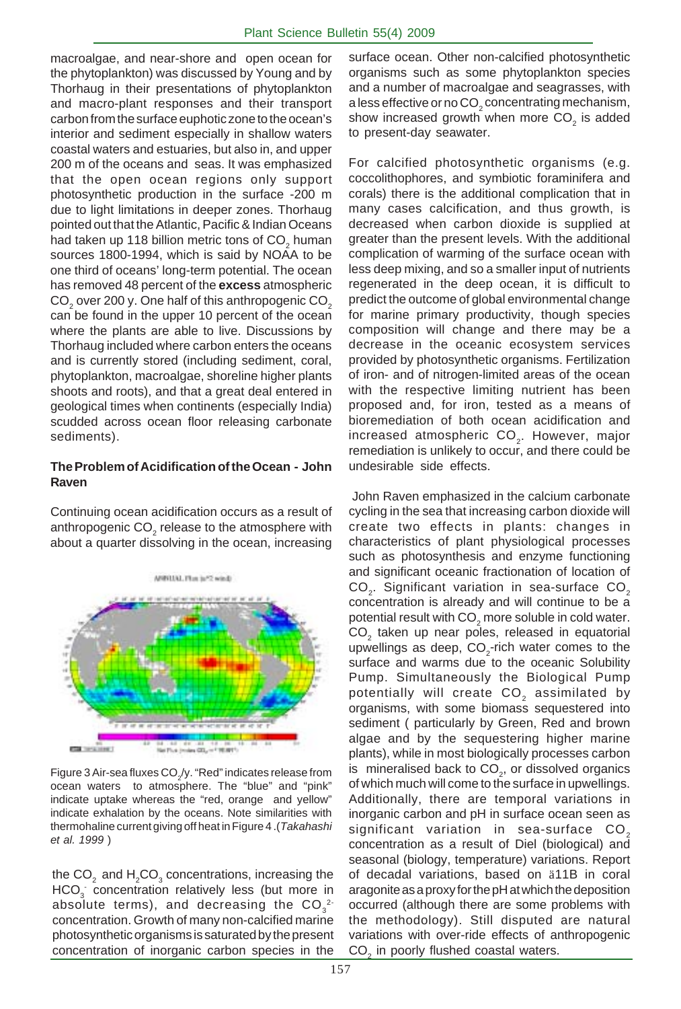macroalgae, and near-shore and open ocean for the phytoplankton) was discussed by Young and by Thorhaug in their presentations of phytoplankton and macro-plant responses and their transport carbon from the surface euphotic zone to the ocean's interior and sediment especially in shallow waters coastal waters and estuaries, but also in, and upper 200 m of the oceans and seas. It was emphasized that the open ocean regions only support photosynthetic production in the surface -200 m due to light limitations in deeper zones. Thorhaug pointed out that the Atlantic, Pacific & Indian Oceans had taken up 118 billion metric tons of CO<sub>2</sub> human sources 1800-1994, which is said by NOAA to be one third of oceans' long-term potential. The ocean has removed 48 percent of the **excess** atmospheric  $\mathsf{CO}_2^{}$  over 200 y. One half of this anthropogenic  $\mathsf{CO}_2^{}$ can be found in the upper 10 percent of the ocean where the plants are able to live. Discussions by Thorhaug included where carbon enters the oceans and is currently stored (including sediment, coral, phytoplankton, macroalgae, shoreline higher plants shoots and roots), and that a great deal entered in geological times when continents (especially India) scudded across ocean floor releasing carbonate sediments).

#### **The Problem of Acidification of the Ocean - John Raven**

Continuing ocean acidification occurs as a result of anthropogenic CO $_{_2}$  release to the atmosphere with about a quarter dissolving in the ocean, increasing



Figure 3 Air-sea fluxes CO $_{\rm z}$ /y. "Red" indicates release from ocean waters to atmosphere. The "blue" and "pink" indicate uptake whereas the "red, orange and yellow" indicate exhalation by the oceans. Note similarities with thermohaline current giving off heat in Figure 4 .(*Takahashi et al. 1999* )

the CO $_2$  and  $\rm{H}_{2}$ CO $_3$  concentrations, increasing the  $HCO<sub>3</sub>$  concentration relatively less (but more in absolute terms), and decreasing the  $\mathsf{CO}_3^{-2+}$ concentration. Growth of many non-calcified marine photosynthetic organisms is saturated by the present concentration of inorganic carbon species in the surface ocean. Other non-calcified photosynthetic organisms such as some phytoplankton species and a number of macroalgae and seagrasses, with a less effective or no CO $_2$  concentrating mechanism, show increased growth when more CO<sub>2</sub> is added to present-day seawater.

For calcified photosynthetic organisms (e.g. coccolithophores, and symbiotic foraminifera and corals) there is the additional complication that in many cases calcification, and thus growth, is decreased when carbon dioxide is supplied at greater than the present levels. With the additional complication of warming of the surface ocean with less deep mixing, and so a smaller input of nutrients regenerated in the deep ocean, it is difficult to predict the outcome of global environmental change for marine primary productivity, though species composition will change and there may be a decrease in the oceanic ecosystem services provided by photosynthetic organisms. Fertilization of iron- and of nitrogen-limited areas of the ocean with the respective limiting nutrient has been proposed and, for iron, tested as a means of bioremediation of both ocean acidification and increased atmospheric  $CO<sub>2</sub>$ . However, major remediation is unlikely to occur, and there could be undesirable side effects.

 John Raven emphasized in the calcium carbonate cycling in the sea that increasing carbon dioxide will create two effects in plants: changes in characteristics of plant physiological processes such as photosynthesis and enzyme functioning and significant oceanic fractionation of location of  $CO<sub>2</sub>$ . Significant variation in sea-surface  $CO<sub>2</sub>$ concentration is already and will continue to be a potential result with CO $_{_2}$  more soluble in cold water. CO<sub>2</sub> taken up near poles, released in equatorial upwellings as deep,  $CO_2$ -rich water comes to the surface and warms due to the oceanic Solubility Pump. Simultaneously the Biological Pump potentially will create  $CO<sub>2</sub>$  assimilated by organisms, with some biomass sequestered into sediment ( particularly by Green, Red and brown algae and by the sequestering higher marine plants), while in most biologically processes carbon is mineralised back to CO<sub>2</sub>, or dissolved organics of which much will come to the surface in upwellings. Additionally, there are temporal variations in inorganic carbon and pH in surface ocean seen as significant variation in sea-surface  $CO<sub>2</sub>$ concentration as a result of Diel (biological) and seasonal (biology, temperature) variations. Report of decadal variations, based on ä11B in coral aragonite as a proxy for the pH at which the deposition occurred (although there are some problems with the methodology). Still disputed are natural variations with over-ride effects of anthropogenic CO<sub>2</sub> in poorly flushed coastal waters.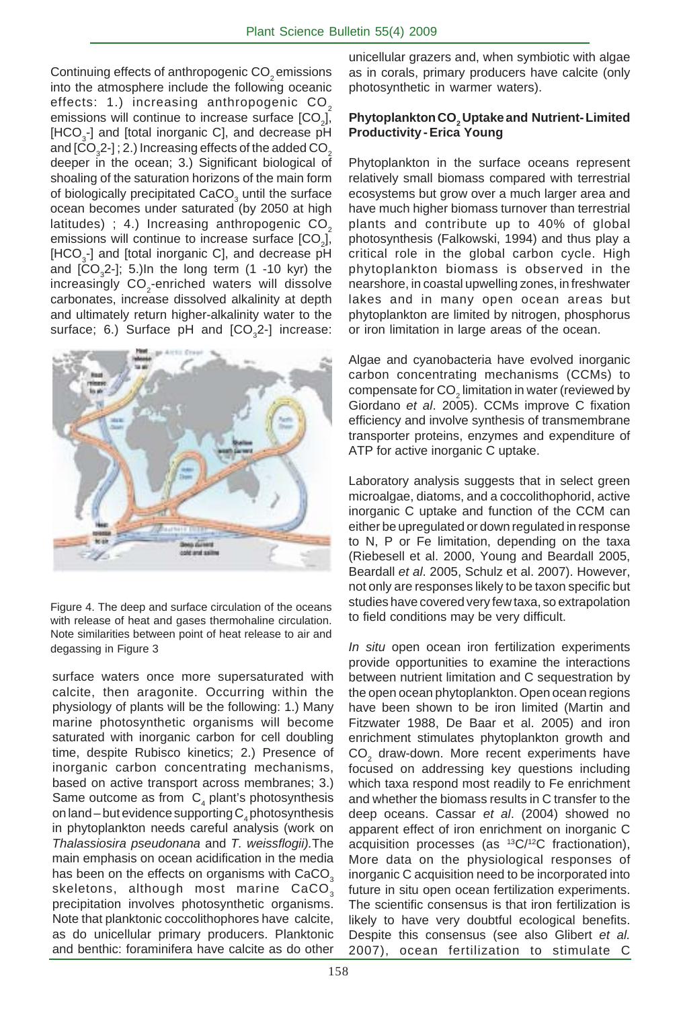Continuing effects of anthropogenic CO<sub>2</sub> emissions into the atmosphere include the following oceanic effects: 1.) increasing anthropogenic CO<sub>2</sub> emissions will continue to increase surface [CO<sub>2</sub>], [HCO<sub>3</sub>-] and [total inorganic C], and decrease pH and [CO $_{\scriptscriptstyle{3}}$ 2-] ; 2.) Increasing effects of the added CO $_{\scriptscriptstyle{2}}$ deeper in the ocean; 3.) Significant biological of shoaling of the saturation horizons of the main form of biologically precipitated CaCO<sub>3</sub> until the surface ocean becomes under saturated (by 2050 at high latitudes) ; 4.) Increasing anthropogenic  $CO<sub>2</sub>$ emissions will continue to increase surface [CO<sub>2</sub>], [HCO<sub>3</sub>-] and [total inorganic C], and decrease pH and  $[CO<sub>3</sub>2$ -]; 5.)In the long term (1 -10 kyr) the increasingly  $\mathsf{CO}_2$ -enriched waters will dissolve carbonates, increase dissolved alkalinity at depth and ultimately return higher-alkalinity water to the surface; 6.) Surface pH and  $[CO<sub>3</sub>2-]$  increase:





surface waters once more supersaturated with calcite, then aragonite. Occurring within the physiology of plants will be the following: 1.) Many marine photosynthetic organisms will become saturated with inorganic carbon for cell doubling time, despite Rubisco kinetics; 2.) Presence of inorganic carbon concentrating mechanisms, based on active transport across membranes; 3.) Same outcome as from  $C_4$  plant's photosynthesis on land – but evidence supporting  $\mathsf{C}_4$  photosynthesis in phytoplankton needs careful analysis (work on *Thalassiosira pseudonana* and *T. weissflogii).*The main emphasis on ocean acidification in the media has been on the effects on organisms with CaCO<sub>3</sub> skeletons, although most marine CaCO<sub>3</sub> precipitation involves photosynthetic organisms. Note that planktonic coccolithophores have calcite, as do unicellular primary producers. Planktonic and benthic: foraminifera have calcite as do other unicellular grazers and, when symbiotic with algae as in corals, primary producers have calcite (only photosynthetic in warmer waters).

#### **Phytoplankton CO2 Uptake and Nutrient- Limited Productivity - Erica Young**

Phytoplankton in the surface oceans represent relatively small biomass compared with terrestrial ecosystems but grow over a much larger area and have much higher biomass turnover than terrestrial plants and contribute up to 40% of global photosynthesis (Falkowski, 1994) and thus play a critical role in the global carbon cycle. High phytoplankton biomass is observed in the nearshore, in coastal upwelling zones, in freshwater lakes and in many open ocean areas but phytoplankton are limited by nitrogen, phosphorus or iron limitation in large areas of the ocean.

Algae and cyanobacteria have evolved inorganic carbon concentrating mechanisms (CCMs) to compensate for CO<sub>2</sub> limitation in water (reviewed by Giordano *et al*. 2005). CCMs improve C fixation efficiency and involve synthesis of transmembrane transporter proteins, enzymes and expenditure of ATP for active inorganic C uptake.

Laboratory analysis suggests that in select green microalgae, diatoms, and a coccolithophorid, active inorganic C uptake and function of the CCM can either be upregulated or down regulated in response to N, P or Fe limitation, depending on the taxa (Riebesell et al. 2000, Young and Beardall 2005, Beardall *et al*. 2005, Schulz et al. 2007). However, not only are responses likely to be taxon specific but studies have covered very few taxa, so extrapolation to field conditions may be very difficult.

*In situ* open ocean iron fertilization experiments provide opportunities to examine the interactions between nutrient limitation and C sequestration by the open ocean phytoplankton. Open ocean regions have been shown to be iron limited (Martin and Fitzwater 1988, De Baar et al. 2005) and iron enrichment stimulates phytoplankton growth and  $CO<sub>2</sub>$  draw-down. More recent experiments have focused on addressing key questions including which taxa respond most readily to Fe enrichment and whether the biomass results in C transfer to the deep oceans. Cassar *et al*. (2004) showed no apparent effect of iron enrichment on inorganic C acquisition processes (as  $13C/12C$  fractionation), More data on the physiological responses of inorganic C acquisition need to be incorporated into future in situ open ocean fertilization experiments. The scientific consensus is that iron fertilization is likely to have very doubtful ecological benefits. Despite this consensus (see also Glibert *et al.* 2007), ocean fertilization to stimulate C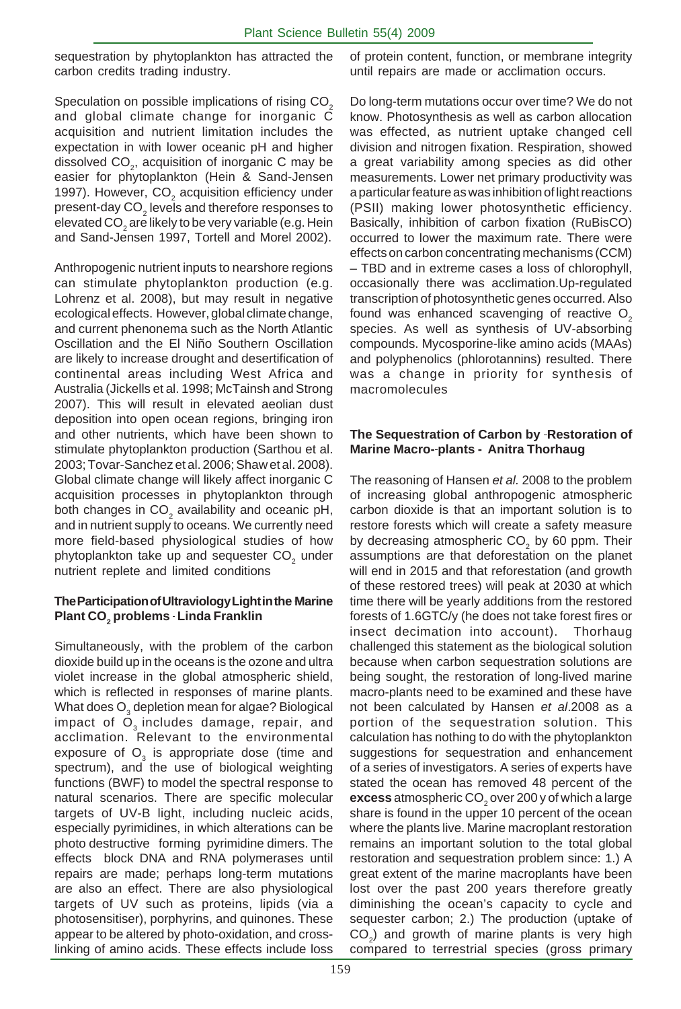sequestration by phytoplankton has attracted the carbon credits trading industry.

Speculation on possible implications of rising CO<sub>2</sub> and global climate change for inorganic C acquisition and nutrient limitation includes the expectation in with lower oceanic pH and higher dissolved  $\mathsf{CO}_2$ , acquisition of inorganic C may be easier for phytoplankton (Hein & Sand-Jensen 1997). However,  $CO<sub>2</sub>$  acquisition efficiency under present-day CO $_{\textrm{\tiny{2}}}$  levels and therefore responses to elevated CO $_{\tiny 2}$ are likely to be very variable (e.g. Hein and Sand-Jensen 1997, Tortell and Morel 2002).

Anthropogenic nutrient inputs to nearshore regions can stimulate phytoplankton production (e.g. Lohrenz et al. 2008), but may result in negative ecological effects. However, global climate change, and current phenonema such as the North Atlantic Oscillation and the El Niño Southern Oscillation are likely to increase drought and desertification of continental areas including West Africa and Australia (Jickells et al. 1998; McTainsh and Strong 2007). This will result in elevated aeolian dust deposition into open ocean regions, bringing iron and other nutrients, which have been shown to stimulate phytoplankton production (Sarthou et al. 2003; Tovar-Sanchez et al. 2006; Shaw et al. 2008). Global climate change will likely affect inorganic C acquisition processes in phytoplankton through both changes in CO<sub>2</sub> availability and oceanic pH, and in nutrient supply to oceans. We currently need more field-based physiological studies of how phytoplankton take up and sequester CO<sub>2</sub> under nutrient replete and limited conditions

#### **The Participation of Ultraviology Light in the Marine Plant CO<sub>2</sub> problems - Linda Franklin**

Simultaneously, with the problem of the carbon dioxide build up in the oceans is the ozone and ultra violet increase in the global atmospheric shield, which is reflected in responses of marine plants. What does  ${\mathsf O}_{_{\mathsf 3}}$  depletion mean for algae? Biological impact of  $\ddot{O}_3$  includes damage, repair, and acclimation. Relevant to the environmental exposure of  $\overline{\mathrm{O}}_{3}$  is appropriate dose (time and spectrum), and the use of biological weighting functions (BWF) to model the spectral response to natural scenarios. There are specific molecular targets of UV-B light, including nucleic acids, especially pyrimidines, in which alterations can be photo destructive forming pyrimidine dimers. The effects block DNA and RNA polymerases until repairs are made; perhaps long-term mutations are also an effect. There are also physiological targets of UV such as proteins, lipids (via a photosensitiser), porphyrins, and quinones. These appear to be altered by photo-oxidation, and crosslinking of amino acids. These effects include loss

of protein content, function, or membrane integrity until repairs are made or acclimation occurs.

Do long-term mutations occur over time? We do not know. Photosynthesis as well as carbon allocation was effected, as nutrient uptake changed cell division and nitrogen fixation. Respiration, showed a great variability among species as did other measurements. Lower net primary productivity was a particular feature as was inhibition of light reactions (PSII) making lower photosynthetic efficiency. Basically, inhibition of carbon fixation (RuBisCO) occurred to lower the maximum rate. There were effects on carbon concentrating mechanisms (CCM) – TBD and in extreme cases a loss of chlorophyll, occasionally there was acclimation.Up-regulated transcription of photosynthetic genes occurred. Also found was enhanced scavenging of reactive  $O<sub>2</sub>$ species. As well as synthesis of UV-absorbing compounds. Mycosporine-like amino acids (MAAs) and polyphenolics (phlorotannins) resulted. There was a change in priority for synthesis of macromolecules

#### **The Sequestration of Carbon by -Restoration of Marine Macro- plants - Anitra Thorhaug**

The reasoning of Hansen *et al.* 2008 to the problem of increasing global anthropogenic atmospheric carbon dioxide is that an important solution is to restore forests which will create a safety measure by decreasing atmospheric CO<sub>2</sub> by 60 ppm. Their assumptions are that deforestation on the planet will end in 2015 and that reforestation (and growth of these restored trees) will peak at 2030 at which time there will be yearly additions from the restored forests of 1.6GTC/y (he does not take forest fires or insect decimation into account). Thorhaug challenged this statement as the biological solution because when carbon sequestration solutions are being sought, the restoration of long-lived marine macro-plants need to be examined and these have not been calculated by Hansen *et al*.2008 as a portion of the sequestration solution. This calculation has nothing to do with the phytoplankton suggestions for sequestration and enhancement of a series of investigators. A series of experts have stated the ocean has removed 48 percent of the  $\mathsf{excess}$  atmospheric  $\mathsf{CO}_2^{}$  over 200 y of which a large share is found in the upper 10 percent of the ocean where the plants live. Marine macroplant restoration remains an important solution to the total global restoration and sequestration problem since: 1.) A great extent of the marine macroplants have been lost over the past 200 years therefore greatly diminishing the ocean's capacity to cycle and sequester carbon; 2.) The production (uptake of  $CO<sub>2</sub>$ ) and growth of marine plants is very high compared to terrestrial species (gross primary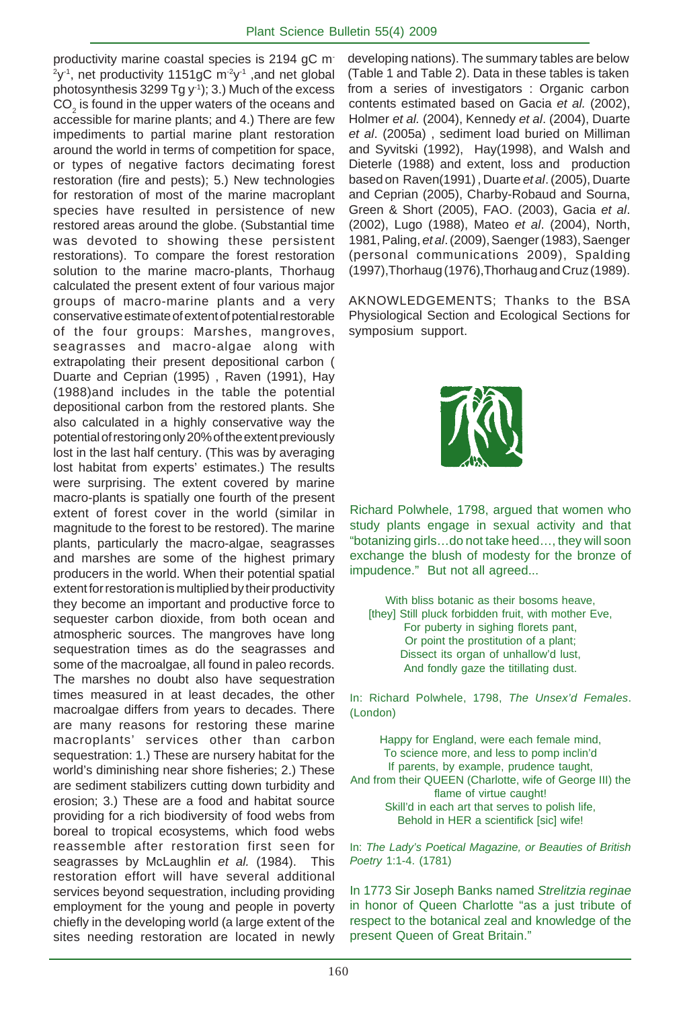productivity marine coastal species is 2194 gC m- $2y<sup>-1</sup>$ , net productivity 1151gC m $2y<sup>-1</sup>$  ,and net global photosynthesis  $3299$  Tg y<sup>-1</sup>); 3.) Much of the excess  $\mathsf{CO}_2$  is found in the upper waters of the oceans and accessible for marine plants; and 4.) There are few impediments to partial marine plant restoration around the world in terms of competition for space, or types of negative factors decimating forest restoration (fire and pests); 5.) New technologies for restoration of most of the marine macroplant species have resulted in persistence of new restored areas around the globe. (Substantial time was devoted to showing these persistent restorations). To compare the forest restoration solution to the marine macro-plants, Thorhaug calculated the present extent of four various major groups of macro-marine plants and a very conservative estimate of extent of potential restorable of the four groups: Marshes, mangroves, seagrasses and macro-algae along with extrapolating their present depositional carbon ( Duarte and Ceprian (1995) , Raven (1991), Hay (1988)and includes in the table the potential depositional carbon from the restored plants. She also calculated in a highly conservative way the potential of restoring only 20% of the extent previously lost in the last half century. (This was by averaging lost habitat from experts' estimates.) The results were surprising. The extent covered by marine macro-plants is spatially one fourth of the present extent of forest cover in the world (similar in magnitude to the forest to be restored). The marine plants, particularly the macro-algae, seagrasses and marshes are some of the highest primary producers in the world. When their potential spatial extent for restoration is multiplied by their productivity they become an important and productive force to sequester carbon dioxide, from both ocean and atmospheric sources. The mangroves have long sequestration times as do the seagrasses and some of the macroalgae, all found in paleo records. The marshes no doubt also have sequestration times measured in at least decades, the other macroalgae differs from years to decades. There are many reasons for restoring these marine macroplants' services other than carbon sequestration: 1.) These are nursery habitat for the world's diminishing near shore fisheries; 2.) These are sediment stabilizers cutting down turbidity and erosion; 3.) These are a food and habitat source providing for a rich biodiversity of food webs from boreal to tropical ecosystems, which food webs reassemble after restoration first seen for seagrasses by McLaughlin *et al.* (1984). This restoration effort will have several additional services beyond sequestration, including providing employment for the young and people in poverty chiefly in the developing world (a large extent of the sites needing restoration are located in newly

contents estimated based on Gacia *et al.* (2002), Holmer *et al.* (2004), Kennedy *et al*. (2004), Duarte *et al*. (2005a) , sediment load buried on Milliman and Syvitski (1992), Hay(1998), and Walsh and Dieterle (1988) and extent, loss and production based on Raven(1991) , Duarte *et al*. (2005), Duarte and Ceprian (2005), Charby-Robaud and Sourna, Green & Short (2005), FAO. (2003), Gacia *et al*. (2002), Lugo (1988), Mateo *et al*. (2004), North, 1981, Paling, *et al*. (2009), Saenger (1983), Saenger (personal communications 2009), Spalding (1997),Thorhaug (1976),Thorhaug and Cruz (1989). developing nations). The summary tables are below (Table 1 and Table 2). Data in these tables is taken from a series of investigators : Organic carbon

AKNOWLEDGEMENTS; Thanks to the BSA Physiological Section and Ecological Sections for symposium support.



Richard Polwhele, 1798, argued that women who study plants engage in sexual activity and that "botanizing girls…do not take heed…, they will soon exchange the blush of modesty for the bronze of impudence." But not all agreed...

With bliss botanic as their bosoms heave, [they] Still pluck forbidden fruit, with mother Eve, For puberty in sighing florets pant, Or point the prostitution of a plant; Dissect its organ of unhallow'd lust, And fondly gaze the titillating dust.

In: Richard Polwhele, 1798, *The Unsex'd Females*. (London)

Happy for England, were each female mind, To science more, and less to pomp inclin'd If parents, by example, prudence taught, And from their QUEEN (Charlotte, wife of George III) the flame of virtue caught! Skill'd in each art that serves to polish life, Behold in HER a scientifick [sic] wife!

In: *The Lady's Poetical Magazine, or Beauties of British Poetry* 1:1-4. (1781)

In 1773 Sir Joseph Banks named *Strelitzia reginae* in honor of Queen Charlotte "as a just tribute of respect to the botanical zeal and knowledge of the present Queen of Great Britain."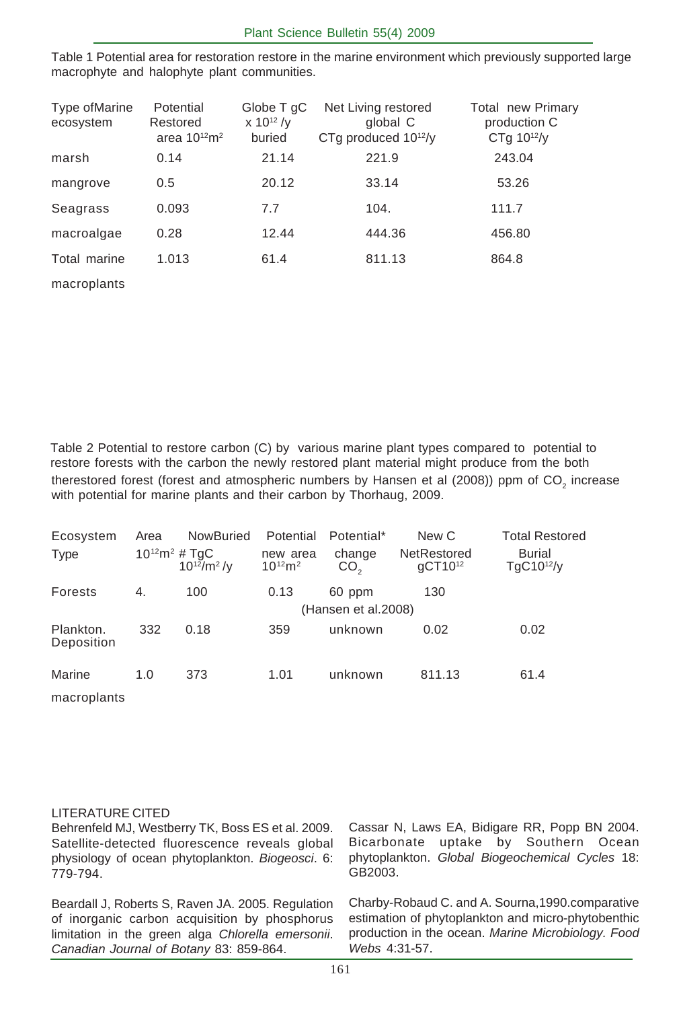Table 1 Potential area for restoration restore in the marine environment which previously supported large macrophyte and halophyte plant communities.

| Type of Marine<br>ecosystem | Potential<br>Restored<br>area $10^{12}$ m <sup>2</sup> | Globe T gC<br>$x 10^{12} / y$<br>buried | Net Living restored<br>global C<br>CTq produced $10^{12}/v$ | Total new Primary<br>production C<br>$CTq 10^{12}/v$ |
|-----------------------------|--------------------------------------------------------|-----------------------------------------|-------------------------------------------------------------|------------------------------------------------------|
| marsh                       | 0.14                                                   | 21.14                                   | 221.9                                                       | 243.04                                               |
| mangrove                    | 0.5                                                    | 20.12                                   | 33.14                                                       | 53.26                                                |
| Seagrass                    | 0.093                                                  | 7.7                                     | 104.                                                        | 111.7                                                |
| macroalgae                  | 0.28                                                   | 12.44                                   | 444.36                                                      | 456.80                                               |
| Total marine                | 1.013                                                  | 61.4                                    | 811.13                                                      | 864.8                                                |
| macroplants                 |                                                        |                                         |                                                             |                                                      |

therestored forest (forest and atmospheric numbers by Hansen et al (2008)) ppm of CO<sub>2</sub> increase with potential for marine plants and their carbon by Thorhaug, 2009. Table 2 Potential to restore carbon (C) by various marine plant types compared to potential to restore forests with the carbon the newly restored plant material might produce from the both

| Ecosystem<br><b>Type</b> | Area | NowBuried<br>$10^{12}m^2 \# TgC$<br>$10^{12}$ /m <sup>2</sup> /v | Potential<br>new area<br>$10^{12}m^2$ | Potential*<br>change<br>CO <sub>2</sub> | New C<br>NetRestored<br>$qCT10^{12}$ | <b>Total Restored</b><br><b>Burial</b><br>$TqC10^{12}/v$ |
|--------------------------|------|------------------------------------------------------------------|---------------------------------------|-----------------------------------------|--------------------------------------|----------------------------------------------------------|
| Forests                  | 4.   | 100                                                              | 0.13                                  | 60 ppm                                  | 130                                  |                                                          |
|                          |      |                                                                  |                                       | (Hansen et al.2008)                     |                                      |                                                          |
| Plankton.<br>Deposition  | 332  | 0.18                                                             | 359                                   | unknown                                 | 0.02                                 | 0.02                                                     |
| Marine                   | 1.0  | 373                                                              | 1.01                                  | unknown                                 | 811.13                               | 61.4                                                     |
| macroplants              |      |                                                                  |                                       |                                         |                                      |                                                          |

#### LITERATURE CITED

limitation in the green alga *Chlorella emersonii*. *Canadian Journal of Botany* 83: 859-864.

Behrenfeld MJ, Westberry TK, Boss ES et al. 2009. Satellite-detected fluorescence reveals global physiology of ocean phytoplankton. *Biogeosci*. 6: 779-794. Beardall J, Roberts S, Raven JA. 2005. Regulation of inorganic carbon acquisition by phosphorus Cassar N, Laws EA, Bidigare RR, Popp BN 2004. Bicarbonate uptake by Southern Ocean phytoplankton. *Global Biogeochemical Cycles* 18: GB2003. Charby-Robaud C. and A. Sourna,1990.comparative estimation of phytoplankton and micro-phytobenthic

*Webs* 4:31-57.

production in the ocean. *Marine Microbiology. Food*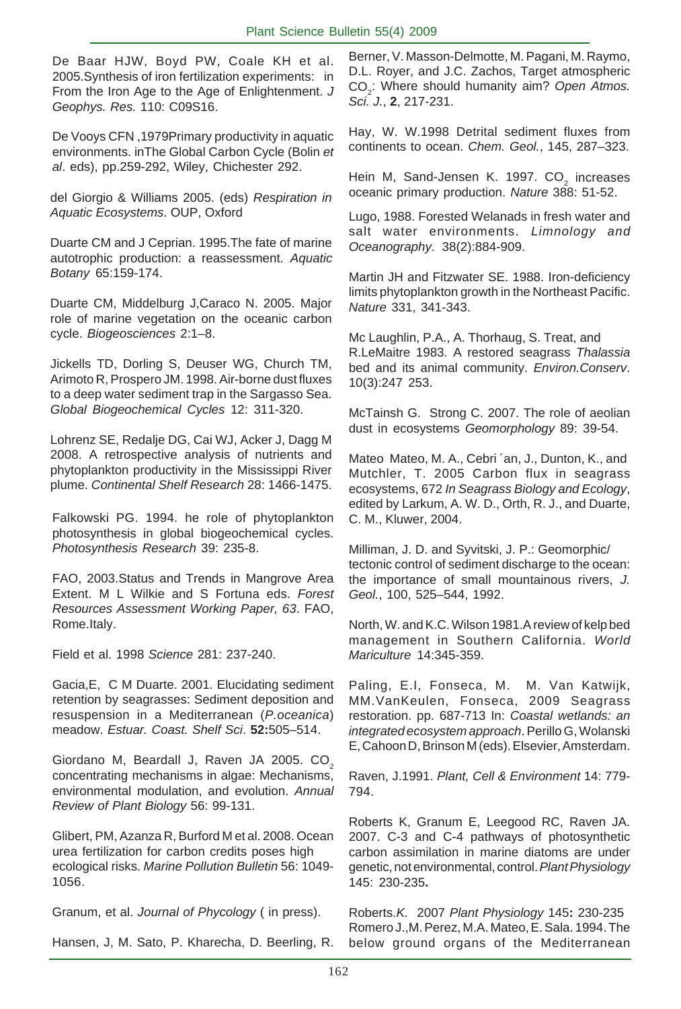De Baar HJW, Boyd PW, Coale KH et al. 2005.Synthesis of iron fertilization experiments: in From the Iron Age to the Age of Enlightenment. *J Geophys. Res.* 110: C09S16.

De Vooys CFN ,1979Primary productivity in aquatic environments. inThe Global Carbon Cycle (Bolin *et al*. eds), pp.259-292, Wiley, Chichester 292.

del Giorgio & Williams 2005. (eds) *Respiration in Aquatic Ecosystems*. OUP, Oxford

Duarte CM and J Ceprian. 1995.The fate of marine autotrophic production: a reassessment. *Aquatic Botany* 65:159-174.

Duarte CM, Middelburg J,Caraco N. 2005. Major role of marine vegetation on the oceanic carbon cycle. *Biogeosciences* 2:1–8.

Jickells TD, Dorling S, Deuser WG, Church TM, Arimoto R, Prospero JM. 1998. Air-borne dust fluxes to a deep water sediment trap in the Sargasso Sea. *Global Biogeochemical Cycles* 12: 311-320.

Lohrenz SE, Redalje DG, Cai WJ, Acker J, Dagg M 2008. A retrospective analysis of nutrients and phytoplankton productivity in the Mississippi River plume. *Continental Shelf Research* 28: 1466-1475.

Falkowski PG. 1994. he role of phytoplankton photosynthesis in global biogeochemical cycles. *Photosynthesis Research* 39: 235-8.

FAO, 2003.Status and Trends in Mangrove Area Extent. M L Wilkie and S Fortuna eds. *Forest Resources Assessment Working Paper, 63*. FAO, Rome.Italy.

Field et al. 1998 *Science* 281: 237-240.

Gacia,E, C M Duarte. 2001. Elucidating sediment retention by seagrasses: Sediment deposition and resuspension in a Mediterranean (*P.oceanica*) meadow. *Estuar. Coast. Shelf Sci*. **52:**505–514.

Giordano M, Beardall J, Raven JA 2005. CO<sub>2</sub> concentrating mechanisms in algae: Mechanisms, environmental modulation, and evolution. *Annual Review of Plant Biology* 56: 99-131.

Glibert, PM, Azanza R, Burford M et al. 2008. Ocean urea fertilization for carbon credits poses high ecological risks. *Marine Pollution Bulletin* 56: 1049- 1056.

Granum, et al. *Journal of Phycology* ( in press).

Hansen, J, M. Sato, P. Kharecha, D. Beerling, R.

Berner, V. Masson-Delmotte, M. Pagani, M. Raymo, D.L. Royer, and J.C. Zachos, Target atmospheric CO<sub>2</sub>: Where should humanity aim? Open Atmos. *Sci. J.*, **2**, 217-231.

Hay, W. W.1998 Detrital sediment fluxes from continents to ocean. *Chem. Geol.*, 145, 287–323.

Hein M, Sand-Jensen K. 1997. CO<sub>2</sub> increases oceanic primary production. *Nature* 388: 51-52.

Lugo, 1988. Forested Welanads in fresh water and salt water environments. *Limnology and Oceanography*. 38(2):884-909.

Martin JH and Fitzwater SE. 1988. Iron-deficiency limits phytoplankton growth in the Northeast Pacific. *Nature* 331, 341-343.

Mc Laughlin, P.A., A. Thorhaug, S. Treat, and R.LeMaitre 1983. A restored seagrass *Thalassia* bed and its animal community. *Environ.Conserv*. 10(3):247 253.

McTainsh G. Strong C. 2007. The role of aeolian dust in ecosystems *Geomorphology* 89: 39-54.

Mateo Mateo, M. A., Cebri ´an, J., Dunton, K., and Mutchler, T. 2005 Carbon flux in seagrass ecosystems, 672 *In Seagrass Biology and Ecology*, edited by Larkum, A. W. D., Orth, R. J., and Duarte, C. M., Kluwer, 2004.

Milliman, J. D. and Syvitski, J. P.: Geomorphic/ tectonic control of sediment discharge to the ocean: the importance of small mountainous rivers, *J. Geol.*, 100, 525–544, 1992.

North, W. and K.C. Wilson 1981.A review of kelp bed management in Southern California. *World Mariculture* 14:345-359.

Paling, E.I, Fonseca, M. M. Van Katwijk, MM.VanKeulen, Fonseca, 2009 Seagrass restoration. pp. 687-713 In: *Coastal wetlands: an integrated ecosystem approach*. Perillo G, Wolanski E, Cahoon D, Brinson M (eds). Elsevier, Amsterdam.

Raven, J.1991. *Plant, Cell & Environment* 14: 779- 794.

Roberts K, Granum E, Leegood RC, Raven JA. 2007. C-3 and C-4 pathways of photosynthetic carbon assimilation in marine diatoms are under genetic, not environmental, control. *Plant Physiology* 145: 230-235**.**

Roberts*.K.* 2007 *Plant Physiology* 145**:** 230-235 Romero J.,M. Perez, M.A. Mateo, E. Sala. 1994. The below ground organs of the Mediterranean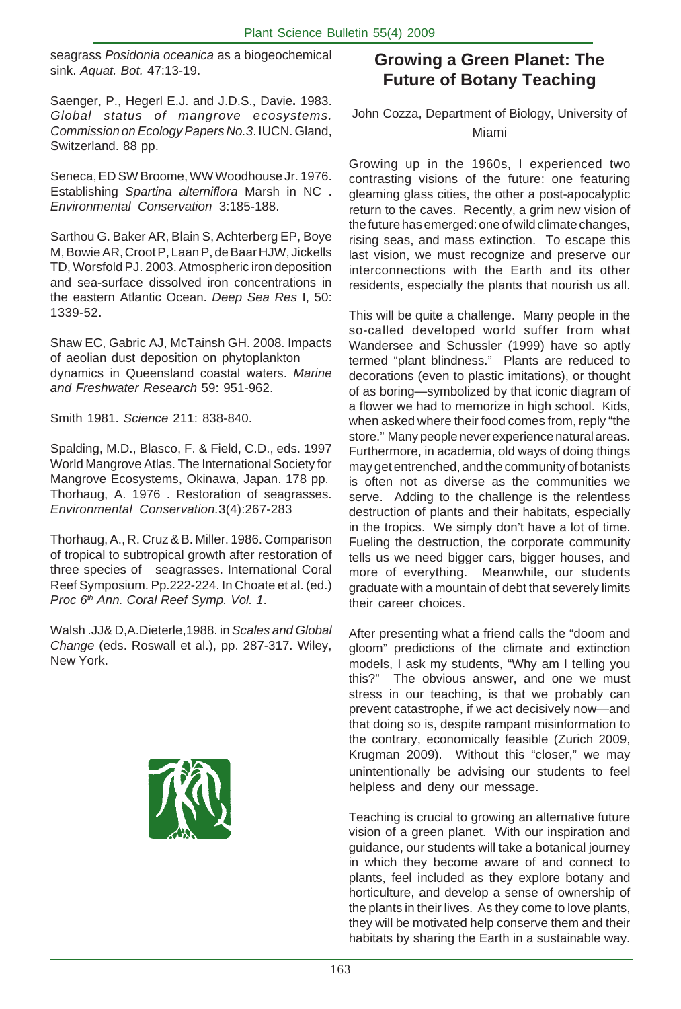seagrass *Posidonia oceanica* as a biogeochemical sink. *Aquat. Bot.* 47:13-19.

Saenger, P., Hegerl E.J. and J.D.S., Davie**.** 1983. *Global status of mangrove ecosystems. Commission on Ecology Papers No.3*. IUCN. Gland, Switzerland. 88 pp.

Seneca, ED SW Broome, WW Woodhouse Jr. 1976. Establishing *Spartina alterniflora* Marsh in NC . *Environmental Conservation* 3:185-188.

Sarthou G. Baker AR, Blain S, Achterberg EP, Boye M, Bowie AR, Croot P, Laan P, de Baar HJW, Jickells TD, Worsfold PJ. 2003. Atmospheric iron deposition and sea-surface dissolved iron concentrations in the eastern Atlantic Ocean. *Deep Sea Res* I, 50: 1339-52.

Shaw EC, Gabric AJ, McTainsh GH. 2008. Impacts of aeolian dust deposition on phytoplankton dynamics in Queensland coastal waters. *Marine and Freshwater Research* 59: 951-962.

Smith 1981. *Science* 211: 838-840.

Spalding, M.D., Blasco, F. & Field, C.D., eds. 1997 World Mangrove Atlas. The International Society for Mangrove Ecosystems, Okinawa, Japan. 178 pp. Thorhaug, A. 1976 . Restoration of seagrasses. *Environmental Conservation.*3(4):267-283

Thorhaug, A., R. Cruz & B. Miller. 1986. Comparison of tropical to subtropical growth after restoration of three species of seagrasses. International Coral Reef Symposium. Pp.222-224. In Choate et al. (ed.) *Proc 6th Ann. Coral Reef Symp. Vol. 1*.

Walsh .JJ& D,A.Dieterle,1988. in *Scales and Global Change* (eds. Roswall et al.), pp. 287-317. Wiley, New York.



## **Growing a Green Planet: The Future of Botany Teaching**

#### John Cozza, Department of Biology, University of Miami

Growing up in the 1960s, I experienced two contrasting visions of the future: one featuring gleaming glass cities, the other a post-apocalyptic return to the caves. Recently, a grim new vision of the future has emerged: one of wild climate changes, rising seas, and mass extinction. To escape this last vision, we must recognize and preserve our interconnections with the Earth and its other residents, especially the plants that nourish us all.

This will be quite a challenge. Many people in the so-called developed world suffer from what Wandersee and Schussler (1999) have so aptly termed "plant blindness." Plants are reduced to decorations (even to plastic imitations), or thought of as boring—symbolized by that iconic diagram of a flower we had to memorize in high school. Kids, when asked where their food comes from, reply "the store." Many people never experience natural areas. Furthermore, in academia, old ways of doing things may get entrenched, and the community of botanists is often not as diverse as the communities we serve. Adding to the challenge is the relentless destruction of plants and their habitats, especially in the tropics. We simply don't have a lot of time. Fueling the destruction, the corporate community tells us we need bigger cars, bigger houses, and more of everything. Meanwhile, our students graduate with a mountain of debt that severely limits their career choices.

After presenting what a friend calls the "doom and gloom" predictions of the climate and extinction models, I ask my students, "Why am I telling you this?" The obvious answer, and one we must stress in our teaching, is that we probably can prevent catastrophe, if we act decisively now—and that doing so is, despite rampant misinformation to the contrary, economically feasible (Zurich 2009, Krugman 2009). Without this "closer," we may unintentionally be advising our students to feel helpless and deny our message.

Teaching is crucial to growing an alternative future vision of a green planet. With our inspiration and guidance, our students will take a botanical journey in which they become aware of and connect to plants, feel included as they explore botany and horticulture, and develop a sense of ownership of the plants in their lives. As they come to love plants, they will be motivated help conserve them and their habitats by sharing the Earth in a sustainable way.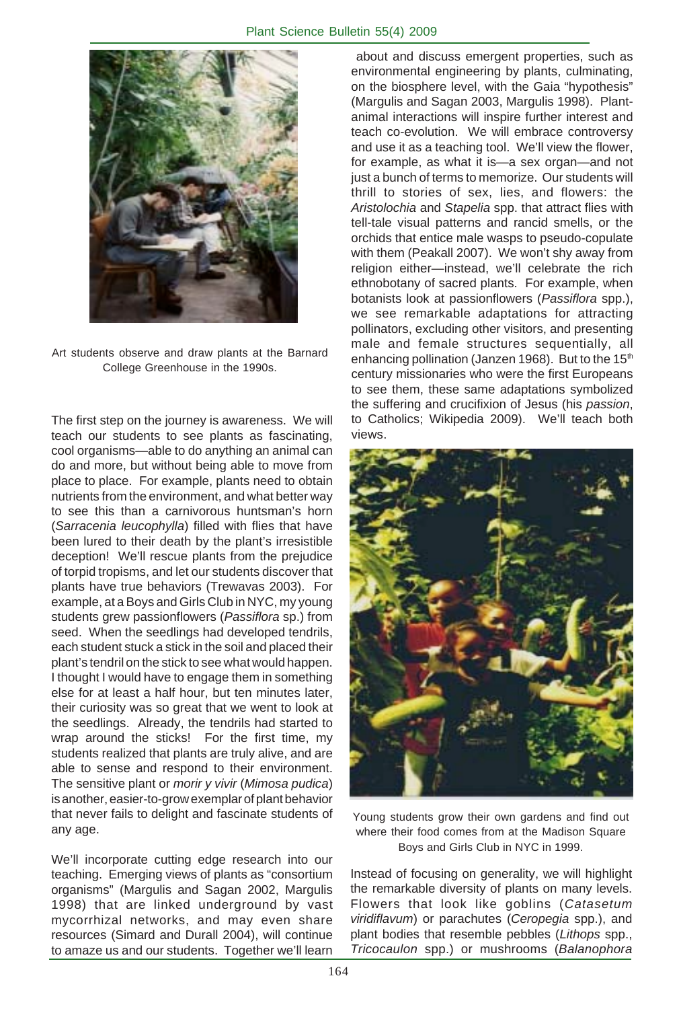

Art students observe and draw plants at the Barnard College Greenhouse in the 1990s.

The first step on the journey is awareness. We will teach our students to see plants as fascinating, cool organisms—able to do anything an animal can do and more, but without being able to move from place to place. For example, plants need to obtain nutrients from the environment, and what better way to see this than a carnivorous huntsman's horn (*Sarracenia leucophylla*) filled with flies that have been lured to their death by the plant's irresistible deception! We'll rescue plants from the prejudice of torpid tropisms, and let our students discover that plants have true behaviors (Trewavas 2003). For example, at a Boys and Girls Club in NYC, my young students grew passionflowers (*Passiflora* sp.) from seed. When the seedlings had developed tendrils, each student stuck a stick in the soil and placed their plant's tendril on the stick to see what would happen. I thought I would have to engage them in something else for at least a half hour, but ten minutes later, their curiosity was so great that we went to look at the seedlings. Already, the tendrils had started to wrap around the sticks! For the first time, my students realized that plants are truly alive, and are able to sense and respond to their environment. The sensitive plant or *morir y vivir* (*Mimosa pudica*) is another, easier-to-grow exemplar of plant behavior that never fails to delight and fascinate students of any age.

We'll incorporate cutting edge research into our teaching. Emerging views of plants as "consortium organisms" (Margulis and Sagan 2002, Margulis 1998) that are linked underground by vast mycorrhizal networks, and may even share resources (Simard and Durall 2004), will continue to amaze us and our students. Together we'll learn

 about and discuss emergent properties, such as environmental engineering by plants, culminating, on the biosphere level, with the Gaia "hypothesis" (Margulis and Sagan 2003, Margulis 1998). Plantanimal interactions will inspire further interest and teach co-evolution. We will embrace controversy and use it as a teaching tool. We'll view the flower, for example, as what it is—a sex organ—and not just a bunch of terms to memorize. Our students will thrill to stories of sex, lies, and flowers: the *Aristolochia* and *Stapelia* spp. that attract flies with tell-tale visual patterns and rancid smells, or the orchids that entice male wasps to pseudo-copulate with them (Peakall 2007). We won't shy away from religion either—instead, we'll celebrate the rich ethnobotany of sacred plants. For example, when botanists look at passionflowers (*Passiflora* spp.), we see remarkable adaptations for attracting pollinators, excluding other visitors, and presenting male and female structures sequentially, all enhancing pollination (Janzen 1968). But to the 15<sup>th</sup> century missionaries who were the first Europeans to see them, these same adaptations symbolized the suffering and crucifixion of Jesus (his *passion*, to Catholics; Wikipedia 2009). We'll teach both views.



Young students grow their own gardens and find out where their food comes from at the Madison Square Boys and Girls Club in NYC in 1999.

Instead of focusing on generality, we will highlight the remarkable diversity of plants on many levels. Flowers that look like goblins (*Catasetum viridiflavum*) or parachutes (*Ceropegia* spp.), and plant bodies that resemble pebbles (*Lithops* spp., *Tricocaulon* spp.) or mushrooms (*Balanophora*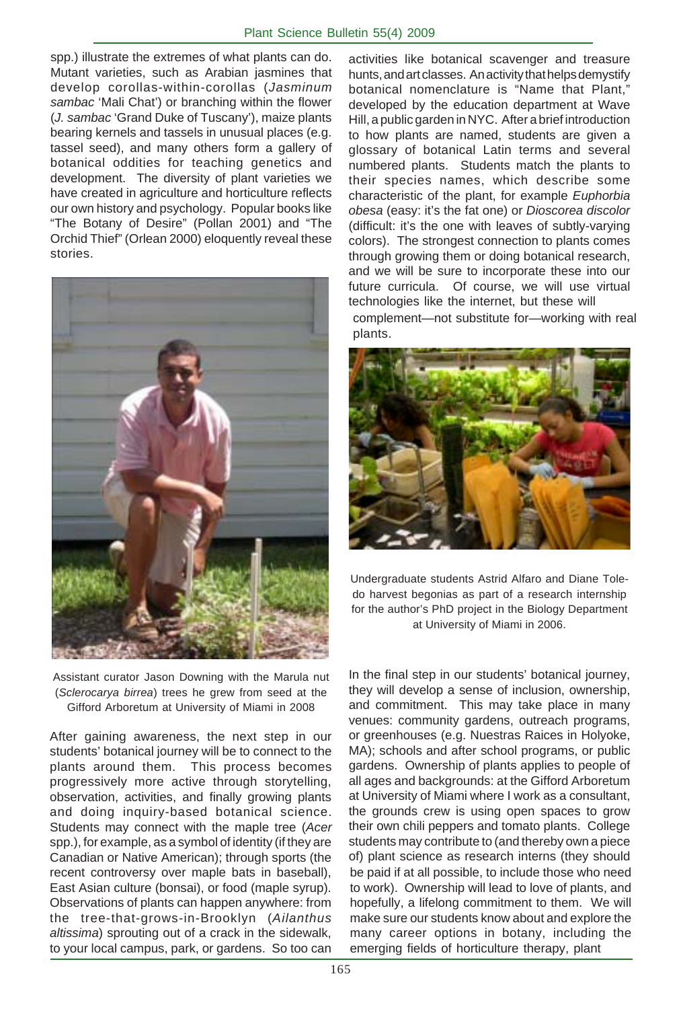spp.) illustrate the extremes of what plants can do. Mutant varieties, such as Arabian jasmines that develop corollas-within-corollas (*Jasminum sambac* 'Mali Chat') or branching within the flower (*J. sambac* 'Grand Duke of Tuscany'), maize plants bearing kernels and tassels in unusual places (e.g. tassel seed), and many others form a gallery of botanical oddities for teaching genetics and development. The diversity of plant varieties we have created in agriculture and horticulture reflects our own history and psychology. Popular books like "The Botany of Desire" (Pollan 2001) and "The Orchid Thief" (Orlean 2000) eloquently reveal these stories.



Assistant curator Jason Downing with the Marula nut (*Sclerocarya birrea*) trees he grew from seed at the Gifford Arboretum at University of Miami in 2008

After gaining awareness, the next step in our students' botanical journey will be to connect to the plants around them. This process becomes progressively more active through storytelling, observation, activities, and finally growing plants and doing inquiry-based botanical science. Students may connect with the maple tree (*Acer* spp.), for example, as a symbol of identity (if they are Canadian or Native American); through sports (the recent controversy over maple bats in baseball), East Asian culture (bonsai), or food (maple syrup). Observations of plants can happen anywhere: from the tree-that-grows-in-Brooklyn (*Ailanthus altissima*) sprouting out of a crack in the sidewalk, to your local campus, park, or gardens. So too can

complement—not substitute for—working with real plants. activities like botanical scavenger and treasure hunts, and art classes. An activity that helps demystify botanical nomenclature is "Name that Plant," developed by the education department at Wave Hill, a public garden in NYC. After a brief introduction to how plants are named, students are given a glossary of botanical Latin terms and several numbered plants. Students match the plants to their species names, which describe some characteristic of the plant, for example *Euphorbia obesa* (easy: it's the fat one) or *Dioscorea discolor* (difficult: it's the one with leaves of subtly-varying colors). The strongest connection to plants comes through growing them or doing botanical research, and we will be sure to incorporate these into our future curricula. Of course, we will use virtual technologies like the internet, but these will



Undergraduate students Astrid Alfaro and Diane Toledo harvest begonias as part of a research internship for the author's PhD project in the Biology Department at University of Miami in 2006.

In the final step in our students' botanical journey, they will develop a sense of inclusion, ownership, and commitment. This may take place in many venues: community gardens, outreach programs, or greenhouses (e.g. Nuestras Raices in Holyoke, MA); schools and after school programs, or public gardens. Ownership of plants applies to people of all ages and backgrounds: at the Gifford Arboretum at University of Miami where I work as a consultant, the grounds crew is using open spaces to grow their own chili peppers and tomato plants. College students may contribute to (and thereby own a piece of) plant science as research interns (they should be paid if at all possible, to include those who need to work). Ownership will lead to love of plants, and hopefully, a lifelong commitment to them. We will make sure our students know about and explore the many career options in botany, including the emerging fields of horticulture therapy, plant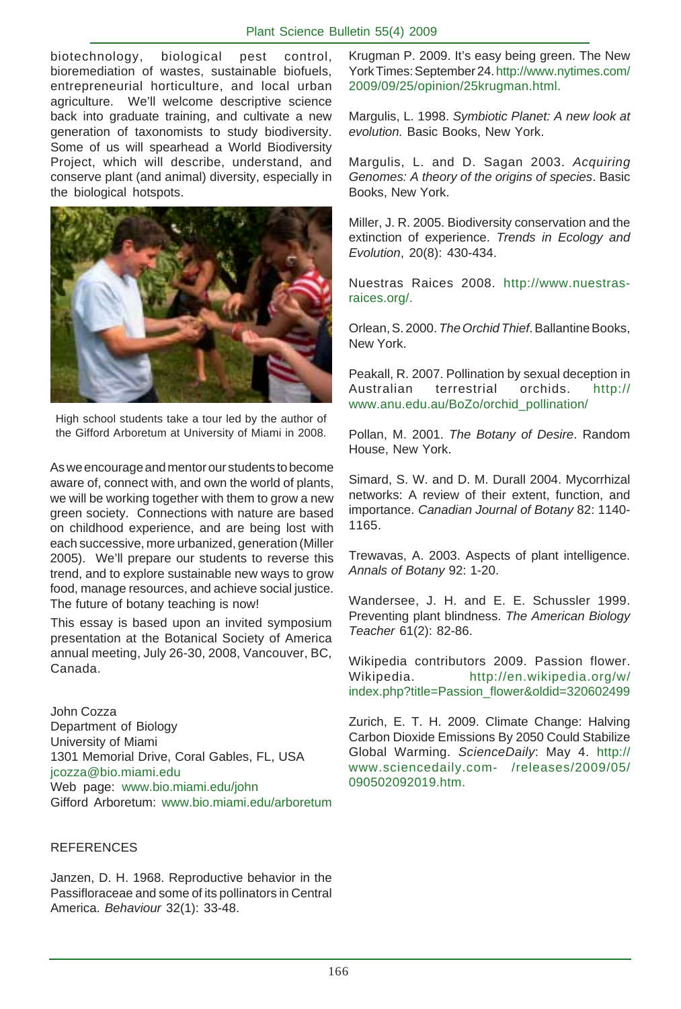biotechnology, biological pest control, bioremediation of wastes, sustainable biofuels, entrepreneurial horticulture, and local urban agriculture. We'll welcome descriptive science back into graduate training, and cultivate a new generation of taxonomists to study biodiversity. Some of us will spearhead a World Biodiversity Project, which will describe, understand, and conserve plant (and animal) diversity, especially in the biological hotspots.



High school students take a tour led by the author of the Gifford Arboretum at University of Miami in 2008.

As we encourage and mentor our students to become aware of, connect with, and own the world of plants, we will be working together with them to grow a new green society. Connections with nature are based on childhood experience, and are being lost with each successive, more urbanized, generation (Miller 2005). We'll prepare our students to reverse this trend, and to explore sustainable new ways to grow food, manage resources, and achieve social justice. The future of botany teaching is now!

This essay is based upon an invited symposium presentation at the Botanical Society of America annual meeting, July 26-30, 2008, Vancouver, BC, Canada.

John Cozza Department of Biology University of Miami 1301 Memorial Drive, Coral Gables, FL, USA jcozza@bio.miami.edu Web page: www.bio.miami.edu/john Gifford Arboretum: www.bio.miami.edu/arboretum

#### REFERENCES

Janzen, D. H. 1968. Reproductive behavior in the Passifloraceae and some of its pollinators in Central America. *Behaviour* 32(1): 33-48.

Krugman P. 2009. It's easy being green. The New York Times: September 24. http://www.nytimes.com/ 2009/09/25/opinion/25krugman.html.

Margulis, L. 1998. *Symbiotic Planet: A new look at evolution.* Basic Books, New York.

Margulis, L. and D. Sagan 2003. *Acquiring Genomes: A theory of the origins of species*. Basic Books, New York.

Miller, J. R. 2005. Biodiversity conservation and the extinction of experience. *Trends in Ecology and Evolution*, 20(8): 430-434.

Nuestras Raices 2008. http://www.nuestrasraices.org/.

Orlean, S. 2000. *The Orchid Thief*. Ballantine Books, New York.

Peakall, R. 2007. Pollination by sexual deception in Australian terrestrial orchids. http:// www.anu.edu.au/BoZo/orchid\_pollination/

Pollan, M. 2001. *The Botany of Desire*. Random House, New York.

Simard, S. W. and D. M. Durall 2004. Mycorrhizal networks: A review of their extent, function, and importance. *Canadian Journal of Botany* 82: 1140- 1165.

Trewavas, A. 2003. Aspects of plant intelligence. *Annals of Botany* 92: 1-20.

Wandersee, J. H. and E. E. Schussler 1999. Preventing plant blindness. *The American Biology Teacher* 61(2): 82-86.

Wikipedia contributors 2009. Passion flower. Wikipedia. http://en.wikipedia.org/w/ index.php?title=Passion\_flower&oldid=320602499

Zurich, E. T. H. 2009. Climate Change: Halving Carbon Dioxide Emissions By 2050 Could Stabilize Global Warming. *ScienceDaily*: May 4. http:// www.sciencedaily.com- /releases/2009/05/ 090502092019.htm.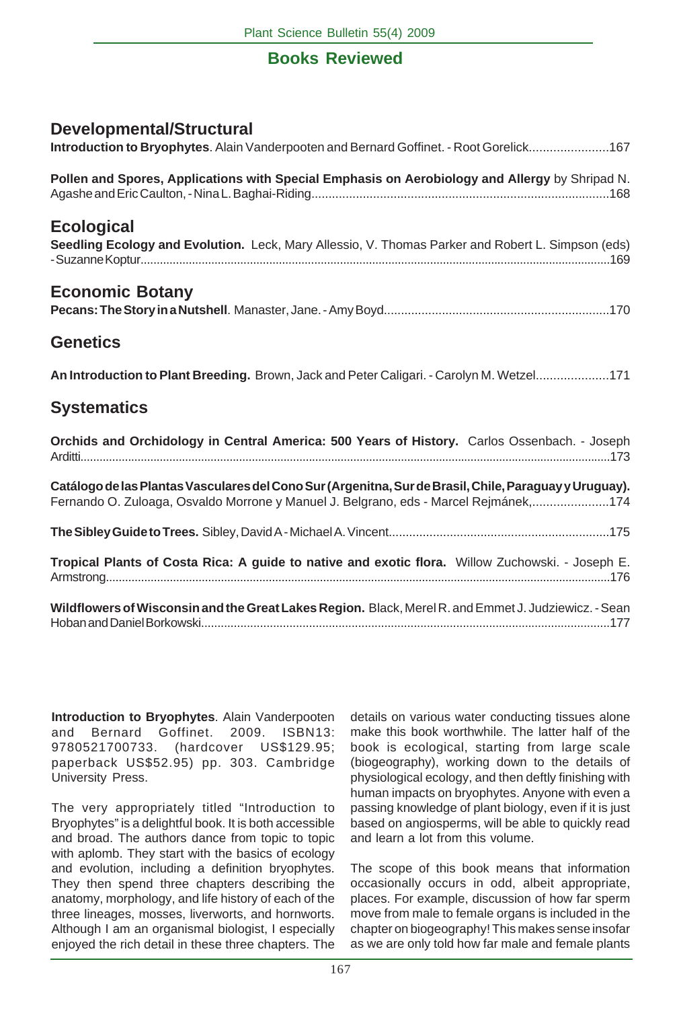## **Books Reviewed**

| <b>Developmental/Structural</b><br>Introduction to Bryophytes. Alain Vanderpooten and Bernard Goffinet. - Root Gorelick167                                                                     |
|------------------------------------------------------------------------------------------------------------------------------------------------------------------------------------------------|
| Pollen and Spores, Applications with Special Emphasis on Aerobiology and Allergy by Shripad N.                                                                                                 |
| <b>Ecological</b><br>Seedling Ecology and Evolution. Leck, Mary Allessio, V. Thomas Parker and Robert L. Simpson (eds)                                                                         |
| <b>Economic Botany</b>                                                                                                                                                                         |
| <b>Genetics</b>                                                                                                                                                                                |
| An Introduction to Plant Breeding. Brown, Jack and Peter Caligari. - Carolyn M. Wetzel171                                                                                                      |
| <b>Systematics</b>                                                                                                                                                                             |
| Orchids and Orchidology in Central America: 500 Years of History. Carlos Ossenbach. - Joseph                                                                                                   |
| Catálogo de las Plantas Vasculares del Cono Sur (Argenitna, Sur de Brasil, Chile, Paraguay y Uruguay).<br>Fernando O. Zuloaga, Osvaldo Morrone y Manuel J. Belgrano, eds - Marcel Rejmánek,174 |
|                                                                                                                                                                                                |
| Tropical Plants of Costa Rica: A guide to native and exotic flora. Willow Zuchowski. - Joseph E.                                                                                               |
| Wildflowers of Wisconsin and the Great Lakes Region. Black, Merel R. and Emmet J. Judziewicz. - Sean                                                                                           |

**Introduction to Bryophytes**. Alain Vanderpooten and Bernard Goffinet. 2009. ISBN13: 9780521700733. (hardcover US\$129.95; paperback US\$52.95) pp. 303. Cambridge University Press.

The very appropriately titled "Introduction to Bryophytes" is a delightful book. It is both accessible and broad. The authors dance from topic to topic with aplomb. They start with the basics of ecology and evolution, including a definition bryophytes. They then spend three chapters describing the anatomy, morphology, and life history of each of the three lineages, mosses, liverworts, and hornworts. Although I am an organismal biologist, I especially enjoyed the rich detail in these three chapters. The details on various water conducting tissues alone make this book worthwhile. The latter half of the book is ecological, starting from large scale (biogeography), working down to the details of physiological ecology, and then deftly finishing with human impacts on bryophytes. Anyone with even a passing knowledge of plant biology, even if it is just based on angiosperms, will be able to quickly read and learn a lot from this volume.

The scope of this book means that information occasionally occurs in odd, albeit appropriate, places. For example, discussion of how far sperm move from male to female organs is included in the chapter on biogeography! This makes sense insofar as we are only told how far male and female plants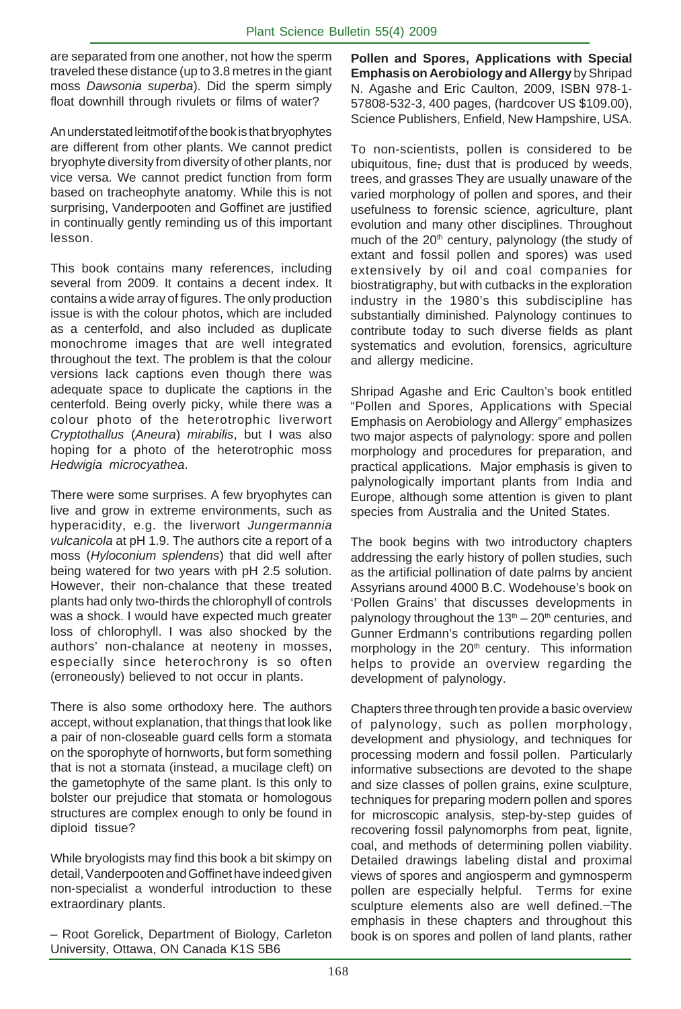are separated from one another, not how the sperm traveled these distance (up to 3.8 metres in the giant moss *Dawsonia superba*). Did the sperm simply float downhill through rivulets or films of water?

An understated leitmotif of the book is that bryophytes are different from other plants. We cannot predict bryophyte diversity from diversity of other plants, nor vice versa. We cannot predict function from form based on tracheophyte anatomy. While this is not surprising, Vanderpooten and Goffinet are justified in continually gently reminding us of this important lesson.

This book contains many references, including several from 2009. It contains a decent index. It contains a wide array of figures. The only production issue is with the colour photos, which are included as a centerfold, and also included as duplicate monochrome images that are well integrated throughout the text. The problem is that the colour versions lack captions even though there was adequate space to duplicate the captions in the centerfold. Being overly picky, while there was a colour photo of the heterotrophic liverwort *Cryptothallus* (*Aneura*) *mirabilis*, but I was also hoping for a photo of the heterotrophic moss *Hedwigia microcyathea*.

There were some surprises. A few bryophytes can live and grow in extreme environments, such as hyperacidity, e.g. the liverwort *Jungermannia vulcanicola* at pH 1.9. The authors cite a report of a moss (*Hyloconium splendens*) that did well after being watered for two years with pH 2.5 solution. However, their non-chalance that these treated plants had only two-thirds the chlorophyll of controls was a shock. I would have expected much greater loss of chlorophyll. I was also shocked by the authors' non-chalance at neoteny in mosses, especially since heterochrony is so often (erroneously) believed to not occur in plants.

There is also some orthodoxy here. The authors accept, without explanation, that things that look like a pair of non-closeable guard cells form a stomata on the sporophyte of hornworts, but form something that is not a stomata (instead, a mucilage cleft) on the gametophyte of the same plant. Is this only to bolster our prejudice that stomata or homologous structures are complex enough to only be found in diploid tissue?

While bryologists may find this book a bit skimpy on detail, Vanderpooten and Goffinet have indeed given non-specialist a wonderful introduction to these extraordinary plants.

– Root Gorelick, Department of Biology, Carleton University, Ottawa, ON Canada K1S 5B6

**Pollen and Spores, Applications with Special Emphasis on Aerobiology and Allergy** by Shripad N. Agashe and Eric Caulton, 2009, ISBN 978-1- 57808-532-3, 400 pages, (hardcover US \$109.00), Science Publishers, Enfield, New Hampshire, USA.

To non-scientists, pollen is considered to be ubiquitous, fine, dust that is produced by weeds, trees, and grasses They are usually unaware of the varied morphology of pollen and spores, and their usefulness to forensic science, agriculture, plant evolution and many other disciplines. Throughout much of the 20<sup>th</sup> century, palynology (the study of extant and fossil pollen and spores) was used extensively by oil and coal companies for biostratigraphy, but with cutbacks in the exploration industry in the 1980's this subdiscipline has substantially diminished. Palynology continues to contribute today to such diverse fields as plant systematics and evolution, forensics, agriculture and allergy medicine.

Shripad Agashe and Eric Caulton's book entitled "Pollen and Spores, Applications with Special Emphasis on Aerobiology and Allergy" emphasizes two major aspects of palynology: spore and pollen morphology and procedures for preparation, and practical applications. Major emphasis is given to palynologically important plants from India and Europe, although some attention is given to plant species from Australia and the United States.

The book begins with two introductory chapters addressing the early history of pollen studies, such as the artificial pollination of date palms by ancient Assyrians around 4000 B.C. Wodehouse's book on 'Pollen Grains' that discusses developments in palynology throughout the  $13<sup>th</sup> - 20<sup>th</sup>$  centuries, and Gunner Erdmann's contributions regarding pollen morphology in the  $20<sup>th</sup>$  century. This information helps to provide an overview regarding the development of palynology.

Chapters three through ten provide a basic overview of palynology, such as pollen morphology, development and physiology, and techniques for processing modern and fossil pollen. Particularly informative subsections are devoted to the shape and size classes of pollen grains, exine sculpture, techniques for preparing modern pollen and spores for microscopic analysis, step-by-step guides of recovering fossil palynomorphs from peat, lignite, coal, and methods of determining pollen viability. Detailed drawings labeling distal and proximal views of spores and angiosperm and gymnosperm pollen are especially helpful. Terms for exine sculpture elements also are well defined.-The emphasis in these chapters and throughout this book is on spores and pollen of land plants, rather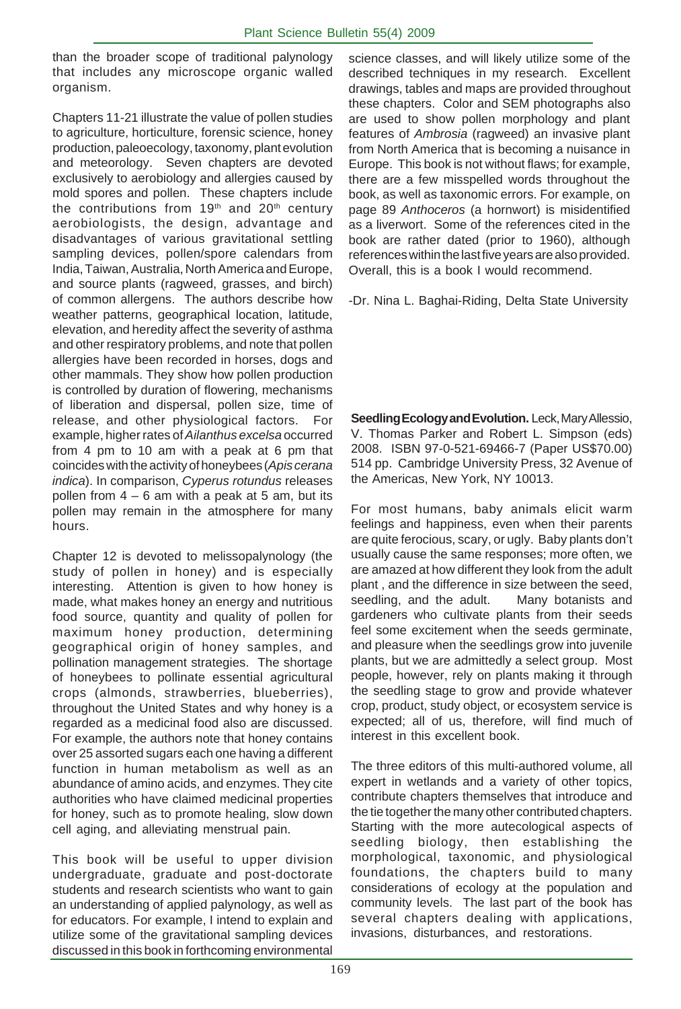than the broader scope of traditional palynology that includes any microscope organic walled organism.

Chapters 11-21 illustrate the value of pollen studies to agriculture, horticulture, forensic science, honey production, paleoecology, taxonomy, plant evolution and meteorology. Seven chapters are devoted exclusively to aerobiology and allergies caused by mold spores and pollen. These chapters include the contributions from 19<sup>th</sup> and 20<sup>th</sup> century aerobiologists, the design, advantage and disadvantages of various gravitational settling sampling devices, pollen/spore calendars from India, Taiwan, Australia, North America and Europe, and source plants (ragweed, grasses, and birch) of common allergens. The authors describe how weather patterns, geographical location, latitude, elevation, and heredity affect the severity of asthma and other respiratory problems, and note that pollen allergies have been recorded in horses, dogs and other mammals. They show how pollen production is controlled by duration of flowering, mechanisms of liberation and dispersal, pollen size, time of release, and other physiological factors. For example, higher rates of *Ailanthus excelsa* occurred from 4 pm to 10 am with a peak at 6 pm that coincides with the activity of honeybees (*Apis cerana indica*). In comparison, *Cyperus rotundus* releases pollen from  $4 - 6$  am with a peak at 5 am, but its pollen may remain in the atmosphere for many hours.

Chapter 12 is devoted to melissopalynology (the study of pollen in honey) and is especially interesting. Attention is given to how honey is made, what makes honey an energy and nutritious food source, quantity and quality of pollen for maximum honey production, determining geographical origin of honey samples, and pollination management strategies. The shortage of honeybees to pollinate essential agricultural crops (almonds, strawberries, blueberries), throughout the United States and why honey is a regarded as a medicinal food also are discussed. For example, the authors note that honey contains over 25 assorted sugars each one having a different function in human metabolism as well as an abundance of amino acids, and enzymes. They cite authorities who have claimed medicinal properties for honey, such as to promote healing, slow down cell aging, and alleviating menstrual pain.

This book will be useful to upper division undergraduate, graduate and post-doctorate students and research scientists who want to gain an understanding of applied palynology, as well as for educators. For example, I intend to explain and utilize some of the gravitational sampling devices discussed in this book in forthcoming environmental

science classes, and will likely utilize some of the described techniques in my research. Excellent drawings, tables and maps are provided throughout these chapters. Color and SEM photographs also are used to show pollen morphology and plant features of *Ambrosia* (ragweed) an invasive plant from North America that is becoming a nuisance in Europe. This book is not without flaws; for example, there are a few misspelled words throughout the book, as well as taxonomic errors. For example, on page 89 *Anthoceros* (a hornwort) is misidentified as a liverwort. Some of the references cited in the book are rather dated (prior to 1960), although references within the last five years are also provided. Overall, this is a book I would recommend.

-Dr. Nina L. Baghai-Riding, Delta State University

**Seedling Ecology and Evolution.** Leck, Mary Allessio, V. Thomas Parker and Robert L. Simpson (eds) 2008. ISBN 97-0-521-69466-7 (Paper US\$70.00) 514 pp. Cambridge University Press, 32 Avenue of the Americas, New York, NY 10013.

For most humans, baby animals elicit warm feelings and happiness, even when their parents are quite ferocious, scary, or ugly. Baby plants don't usually cause the same responses; more often, we are amazed at how different they look from the adult plant , and the difference in size between the seed, seedling, and the adult. Many botanists and gardeners who cultivate plants from their seeds feel some excitement when the seeds germinate, and pleasure when the seedlings grow into juvenile plants, but we are admittedly a select group. Most people, however, rely on plants making it through the seedling stage to grow and provide whatever crop, product, study object, or ecosystem service is expected; all of us, therefore, will find much of interest in this excellent book.

The three editors of this multi-authored volume, all expert in wetlands and a variety of other topics, contribute chapters themselves that introduce and the tie together the many other contributed chapters. Starting with the more autecological aspects of seedling biology, then establishing the morphological, taxonomic, and physiological foundations, the chapters build to many considerations of ecology at the population and community levels. The last part of the book has several chapters dealing with applications, invasions, disturbances, and restorations.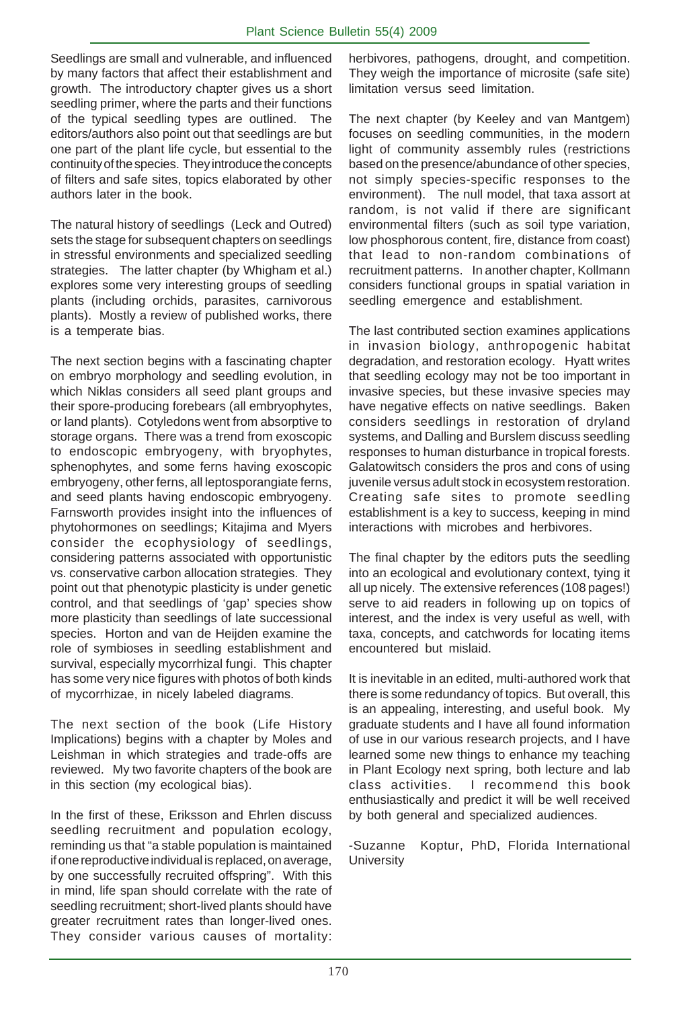Seedlings are small and vulnerable, and influenced by many factors that affect their establishment and growth. The introductory chapter gives us a short seedling primer, where the parts and their functions of the typical seedling types are outlined. The editors/authors also point out that seedlings are but one part of the plant life cycle, but essential to the continuity of the species. They introduce the concepts of filters and safe sites, topics elaborated by other authors later in the book.

The natural history of seedlings (Leck and Outred) sets the stage for subsequent chapters on seedlings in stressful environments and specialized seedling strategies. The latter chapter (by Whigham et al.) explores some very interesting groups of seedling plants (including orchids, parasites, carnivorous plants). Mostly a review of published works, there is a temperate bias.

The next section begins with a fascinating chapter on embryo morphology and seedling evolution, in which Niklas considers all seed plant groups and their spore-producing forebears (all embryophytes, or land plants). Cotyledons went from absorptive to storage organs. There was a trend from exoscopic to endoscopic embryogeny, with bryophytes, sphenophytes, and some ferns having exoscopic embryogeny, other ferns, all leptosporangiate ferns, and seed plants having endoscopic embryogeny. Farnsworth provides insight into the influences of phytohormones on seedlings; Kitajima and Myers consider the ecophysiology of seedlings, considering patterns associated with opportunistic vs. conservative carbon allocation strategies. They point out that phenotypic plasticity is under genetic control, and that seedlings of 'gap' species show more plasticity than seedlings of late successional species. Horton and van de Heijden examine the role of symbioses in seedling establishment and survival, especially mycorrhizal fungi. This chapter has some very nice figures with photos of both kinds of mycorrhizae, in nicely labeled diagrams.

The next section of the book (Life History Implications) begins with a chapter by Moles and Leishman in which strategies and trade-offs are reviewed. My two favorite chapters of the book are in this section (my ecological bias).

In the first of these, Eriksson and Ehrlen discuss seedling recruitment and population ecology, reminding us that "a stable population is maintained if one reproductive individual is replaced, on average, by one successfully recruited offspring". With this in mind, life span should correlate with the rate of seedling recruitment; short-lived plants should have greater recruitment rates than longer-lived ones. They consider various causes of mortality: herbivores, pathogens, drought, and competition. They weigh the importance of microsite (safe site) limitation versus seed limitation.

The next chapter (by Keeley and van Mantgem) focuses on seedling communities, in the modern light of community assembly rules (restrictions based on the presence/abundance of other species, not simply species-specific responses to the environment). The null model, that taxa assort at random, is not valid if there are significant environmental filters (such as soil type variation, low phosphorous content, fire, distance from coast) that lead to non-random combinations of recruitment patterns. In another chapter, Kollmann considers functional groups in spatial variation in seedling emergence and establishment.

The last contributed section examines applications in invasion biology, anthropogenic habitat degradation, and restoration ecology. Hyatt writes that seedling ecology may not be too important in invasive species, but these invasive species may have negative effects on native seedlings. Baken considers seedlings in restoration of dryland systems, and Dalling and Burslem discuss seedling responses to human disturbance in tropical forests. Galatowitsch considers the pros and cons of using juvenile versus adult stock in ecosystem restoration. Creating safe sites to promote seedling establishment is a key to success, keeping in mind interactions with microbes and herbivores.

The final chapter by the editors puts the seedling into an ecological and evolutionary context, tying it all up nicely. The extensive references (108 pages!) serve to aid readers in following up on topics of interest, and the index is very useful as well, with taxa, concepts, and catchwords for locating items encountered but mislaid.

It is inevitable in an edited, multi-authored work that there is some redundancy of topics. But overall, this is an appealing, interesting, and useful book. My graduate students and I have all found information of use in our various research projects, and I have learned some new things to enhance my teaching in Plant Ecology next spring, both lecture and lab class activities. I recommend this book enthusiastically and predict it will be well received by both general and specialized audiences.

-Suzanne Koptur, PhD, Florida International **University**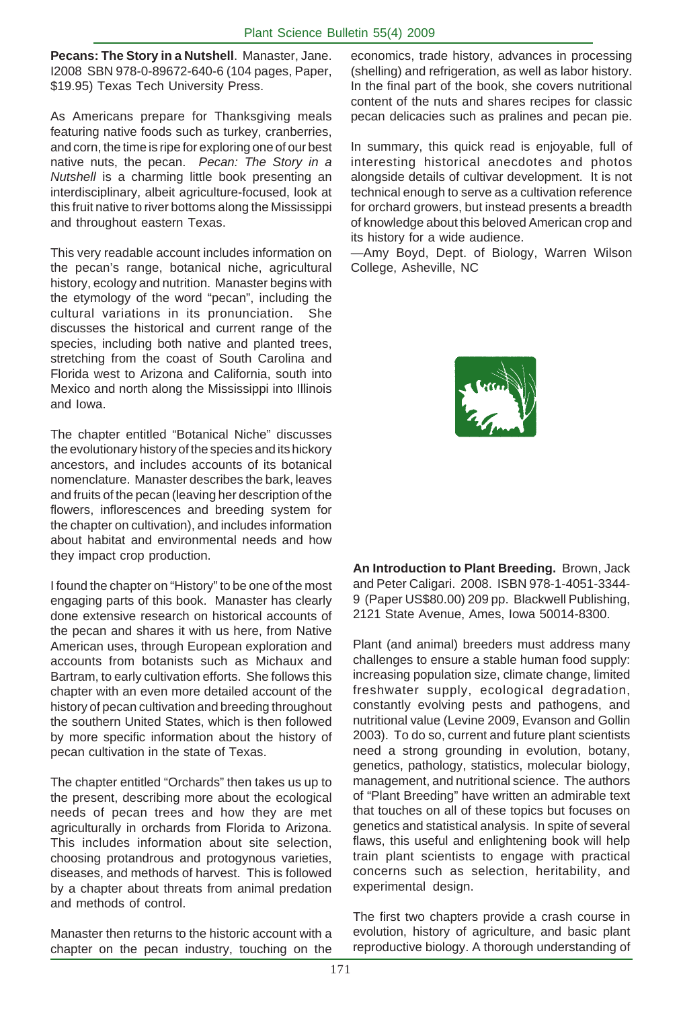**Pecans: The Story in a Nutshell**. Manaster, Jane. I2008 SBN 978-0-89672-640-6 (104 pages, Paper, \$19.95) Texas Tech University Press.

As Americans prepare for Thanksgiving meals featuring native foods such as turkey, cranberries, and corn, the time is ripe for exploring one of our best native nuts, the pecan. *Pecan: The Story in a Nutshell* is a charming little book presenting an interdisciplinary, albeit agriculture-focused, look at this fruit native to river bottoms along the Mississippi and throughout eastern Texas.

This very readable account includes information on the pecan's range, botanical niche, agricultural history, ecology and nutrition. Manaster begins with the etymology of the word "pecan", including the cultural variations in its pronunciation. She discusses the historical and current range of the species, including both native and planted trees, stretching from the coast of South Carolina and Florida west to Arizona and California, south into Mexico and north along the Mississippi into Illinois and Iowa.

The chapter entitled "Botanical Niche" discusses the evolutionary history of the species and its hickory ancestors, and includes accounts of its botanical nomenclature. Manaster describes the bark, leaves and fruits of the pecan (leaving her description of the flowers, inflorescences and breeding system for the chapter on cultivation), and includes information about habitat and environmental needs and how they impact crop production.

I found the chapter on "History" to be one of the most engaging parts of this book. Manaster has clearly done extensive research on historical accounts of the pecan and shares it with us here, from Native American uses, through European exploration and accounts from botanists such as Michaux and Bartram, to early cultivation efforts. She follows this chapter with an even more detailed account of the history of pecan cultivation and breeding throughout the southern United States, which is then followed by more specific information about the history of pecan cultivation in the state of Texas.

The chapter entitled "Orchards" then takes us up to the present, describing more about the ecological needs of pecan trees and how they are met agriculturally in orchards from Florida to Arizona. This includes information about site selection, choosing protandrous and protogynous varieties, diseases, and methods of harvest. This is followed by a chapter about threats from animal predation and methods of control.

Manaster then returns to the historic account with a chapter on the pecan industry, touching on the economics, trade history, advances in processing (shelling) and refrigeration, as well as labor history. In the final part of the book, she covers nutritional content of the nuts and shares recipes for classic pecan delicacies such as pralines and pecan pie.

In summary, this quick read is enjoyable, full of interesting historical anecdotes and photos alongside details of cultivar development. It is not technical enough to serve as a cultivation reference for orchard growers, but instead presents a breadth of knowledge about this beloved American crop and its history for a wide audience.

—Amy Boyd, Dept. of Biology, Warren Wilson College, Asheville, NC



**An Introduction to Plant Breeding.** Brown, Jack and Peter Caligari. 2008. ISBN 978-1-4051-3344- 9 (Paper US\$80.00) 209 pp. Blackwell Publishing, 2121 State Avenue, Ames, Iowa 50014-8300.

Plant (and animal) breeders must address many challenges to ensure a stable human food supply: increasing population size, climate change, limited freshwater supply, ecological degradation, constantly evolving pests and pathogens, and nutritional value (Levine 2009, Evanson and Gollin 2003). To do so, current and future plant scientists need a strong grounding in evolution, botany, genetics, pathology, statistics, molecular biology, management, and nutritional science. The authors of "Plant Breeding" have written an admirable text that touches on all of these topics but focuses on genetics and statistical analysis. In spite of several flaws, this useful and enlightening book will help train plant scientists to engage with practical concerns such as selection, heritability, and experimental design.

The first two chapters provide a crash course in evolution, history of agriculture, and basic plant reproductive biology. A thorough understanding of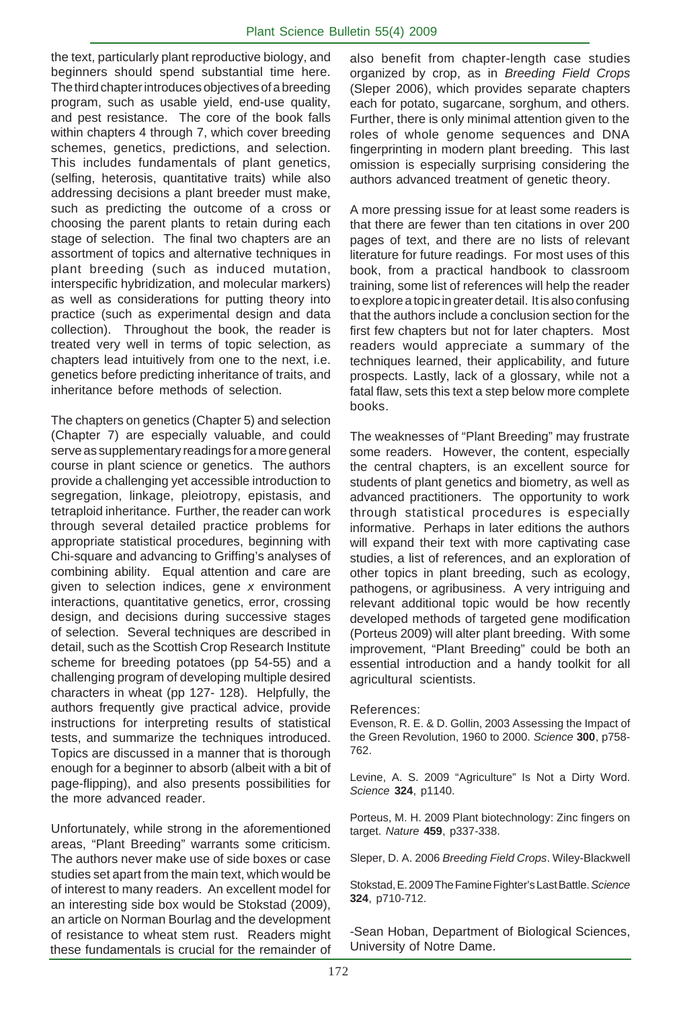the text, particularly plant reproductive biology, and beginners should spend substantial time here. The third chapter introduces objectives of a breeding program, such as usable yield, end-use quality, and pest resistance. The core of the book falls within chapters 4 through 7, which cover breeding schemes, genetics, predictions, and selection. This includes fundamentals of plant genetics, (selfing, heterosis, quantitative traits) while also addressing decisions a plant breeder must make, such as predicting the outcome of a cross or choosing the parent plants to retain during each stage of selection. The final two chapters are an assortment of topics and alternative techniques in plant breeding (such as induced mutation, interspecific hybridization, and molecular markers) as well as considerations for putting theory into practice (such as experimental design and data collection). Throughout the book, the reader is treated very well in terms of topic selection, as chapters lead intuitively from one to the next, i.e. genetics before predicting inheritance of traits, and inheritance before methods of selection.

The chapters on genetics (Chapter 5) and selection (Chapter 7) are especially valuable, and could serve as supplementary readings for a more general course in plant science or genetics. The authors provide a challenging yet accessible introduction to segregation, linkage, pleiotropy, epistasis, and tetraploid inheritance. Further, the reader can work through several detailed practice problems for appropriate statistical procedures, beginning with Chi-square and advancing to Griffing's analyses of combining ability. Equal attention and care are given to selection indices, gene *x* environment interactions, quantitative genetics, error, crossing design, and decisions during successive stages of selection. Several techniques are described in detail, such as the Scottish Crop Research Institute scheme for breeding potatoes (pp 54-55) and a challenging program of developing multiple desired characters in wheat (pp 127- 128). Helpfully, the authors frequently give practical advice, provide instructions for interpreting results of statistical tests, and summarize the techniques introduced. Topics are discussed in a manner that is thorough enough for a beginner to absorb (albeit with a bit of page-flipping), and also presents possibilities for the more advanced reader.

Unfortunately, while strong in the aforementioned areas, "Plant Breeding" warrants some criticism. The authors never make use of side boxes or case studies set apart from the main text, which would be of interest to many readers. An excellent model for an interesting side box would be Stokstad (2009), an article on Norman Bourlag and the development of resistance to wheat stem rust. Readers might these fundamentals is crucial for the remainder of also benefit from chapter-length case studies organized by crop, as in *Breeding Field Crops* (Sleper 2006), which provides separate chapters each for potato, sugarcane, sorghum, and others. Further, there is only minimal attention given to the roles of whole genome sequences and DNA fingerprinting in modern plant breeding. This last omission is especially surprising considering the authors advanced treatment of genetic theory.

A more pressing issue for at least some readers is that there are fewer than ten citations in over 200 pages of text, and there are no lists of relevant literature for future readings. For most uses of this book, from a practical handbook to classroom training, some list of references will help the reader to explore a topic in greater detail. It is also confusing that the authors include a conclusion section for the first few chapters but not for later chapters. Most readers would appreciate a summary of the techniques learned, their applicability, and future prospects. Lastly, lack of a glossary, while not a fatal flaw, sets this text a step below more complete books.

The weaknesses of "Plant Breeding" may frustrate some readers. However, the content, especially the central chapters, is an excellent source for students of plant genetics and biometry, as well as advanced practitioners. The opportunity to work through statistical procedures is especially informative. Perhaps in later editions the authors will expand their text with more captivating case studies, a list of references, and an exploration of other topics in plant breeding, such as ecology, pathogens, or agribusiness. A very intriguing and relevant additional topic would be how recently developed methods of targeted gene modification (Porteus 2009) will alter plant breeding. With some improvement, "Plant Breeding" could be both an essential introduction and a handy toolkit for all agricultural scientists.

#### References:

Evenson, R. E. & D. Gollin, 2003 Assessing the Impact of the Green Revolution, 1960 to 2000. *Science* **300**, p758- 762.

Levine, A. S. 2009 "Agriculture" Is Not a Dirty Word. *Science* **324**, p1140.

Porteus, M. H. 2009 Plant biotechnology: Zinc fingers on target. *Nature* **459**, p337-338.

Sleper, D. A. 2006 *Breeding Field Crops*. Wiley-Blackwell

Stokstad, E. 2009 The Famine Fighter's Last Battle. *Science* **324**, p710-712.

-Sean Hoban, Department of Biological Sciences, University of Notre Dame.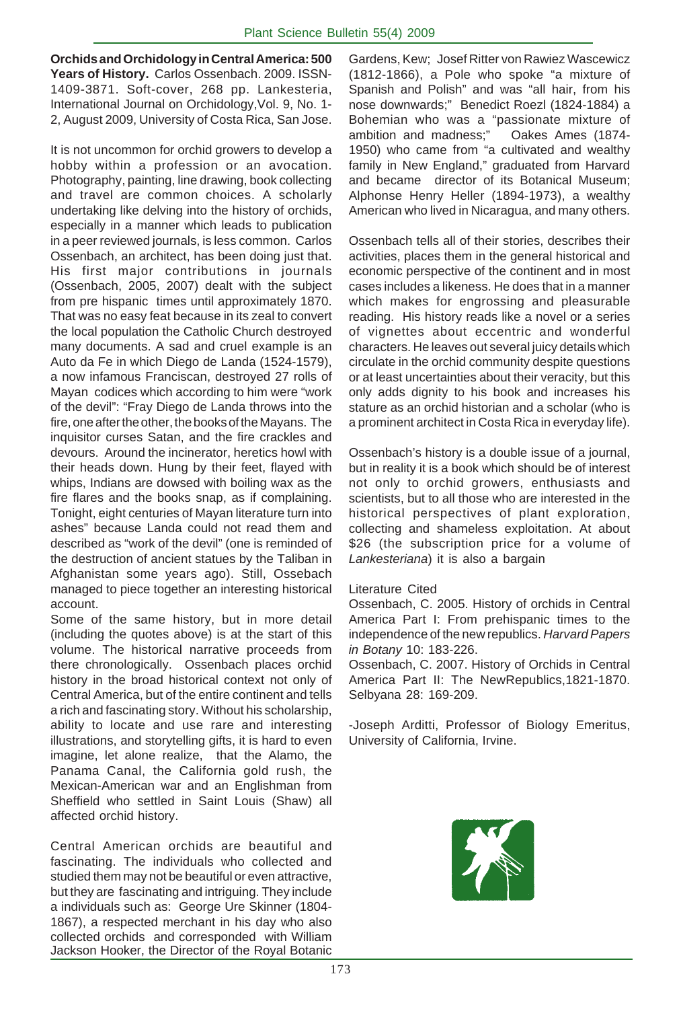**Orchids and Orchidology in Central America: 500 Years of History.** Carlos Ossenbach. 2009. ISSN-1409-3871. Soft-cover, 268 pp. Lankesteria, International Journal on Orchidology,Vol. 9, No. 1- 2, August 2009, University of Costa Rica, San Jose.

It is not uncommon for orchid growers to develop a hobby within a profession or an avocation. Photography, painting, line drawing, book collecting and travel are common choices. A scholarly undertaking like delving into the history of orchids, especially in a manner which leads to publication in a peer reviewed journals, is less common. Carlos Ossenbach, an architect, has been doing just that. His first major contributions in journals (Ossenbach, 2005, 2007) dealt with the subject from pre hispanic times until approximately 1870. That was no easy feat because in its zeal to convert the local population the Catholic Church destroyed many documents. A sad and cruel example is an Auto da Fe in which Diego de Landa (1524-1579), a now infamous Franciscan, destroyed 27 rolls of Mayan codices which according to him were "work of the devil": "Fray Diego de Landa throws into the fire, one after the other, the books of the Mayans. The inquisitor curses Satan, and the fire crackles and devours. Around the incinerator, heretics howl with their heads down. Hung by their feet, flayed with whips, Indians are dowsed with boiling wax as the fire flares and the books snap, as if complaining. Tonight, eight centuries of Mayan literature turn into ashes" because Landa could not read them and described as "work of the devil" (one is reminded of the destruction of ancient statues by the Taliban in Afghanistan some years ago). Still, Ossebach managed to piece together an interesting historical account.

Some of the same history, but in more detail (including the quotes above) is at the start of this volume. The historical narrative proceeds from there chronologically. Ossenbach places orchid history in the broad historical context not only of Central America, but of the entire continent and tells a rich and fascinating story. Without his scholarship, ability to locate and use rare and interesting illustrations, and storytelling gifts, it is hard to even imagine, let alone realize, that the Alamo, the Panama Canal, the California gold rush, the Mexican-American war and an Englishman from Sheffield who settled in Saint Louis (Shaw) all affected orchid history.

Central American orchids are beautiful and fascinating. The individuals who collected and studied them may not be beautiful or even attractive, but they are fascinating and intriguing. They include a individuals such as: George Ure Skinner (1804- 1867), a respected merchant in his day who also collected orchids and corresponded with William Jackson Hooker, the Director of the Royal Botanic Gardens, Kew; Josef Ritter von Rawiez Wascewicz (1812-1866), a Pole who spoke "a mixture of Spanish and Polish" and was "all hair, from his nose downwards;" Benedict Roezl (1824-1884) a Bohemian who was a "passionate mixture of ambition and madness;" Oakes Ames (1874- 1950) who came from "a cultivated and wealthy family in New England," graduated from Harvard and became director of its Botanical Museum; Alphonse Henry Heller (1894-1973), a wealthy American who lived in Nicaragua, and many others.

Ossenbach tells all of their stories, describes their activities, places them in the general historical and economic perspective of the continent and in most cases includes a likeness. He does that in a manner which makes for engrossing and pleasurable reading. His history reads like a novel or a series of vignettes about eccentric and wonderful characters. He leaves out several juicy details which circulate in the orchid community despite questions or at least uncertainties about their veracity, but this only adds dignity to his book and increases his stature as an orchid historian and a scholar (who is a prominent architect in Costa Rica in everyday life).

Ossenbach's history is a double issue of a journal, but in reality it is a book which should be of interest not only to orchid growers, enthusiasts and scientists, but to all those who are interested in the historical perspectives of plant exploration, collecting and shameless exploitation. At about \$26 (the subscription price for a volume of *Lankesteriana*) it is also a bargain

#### Literature Cited

Ossenbach, C. 2005. History of orchids in Central America Part I: From prehispanic times to the independence of the new republics. *Harvard Papers in Botany* 10: 183-226.

Ossenbach, C. 2007. History of Orchids in Central America Part II: The NewRepublics,1821-1870. Selbyana 28: 169-209.

-Joseph Arditti, Professor of Biology Emeritus, University of California, Irvine.

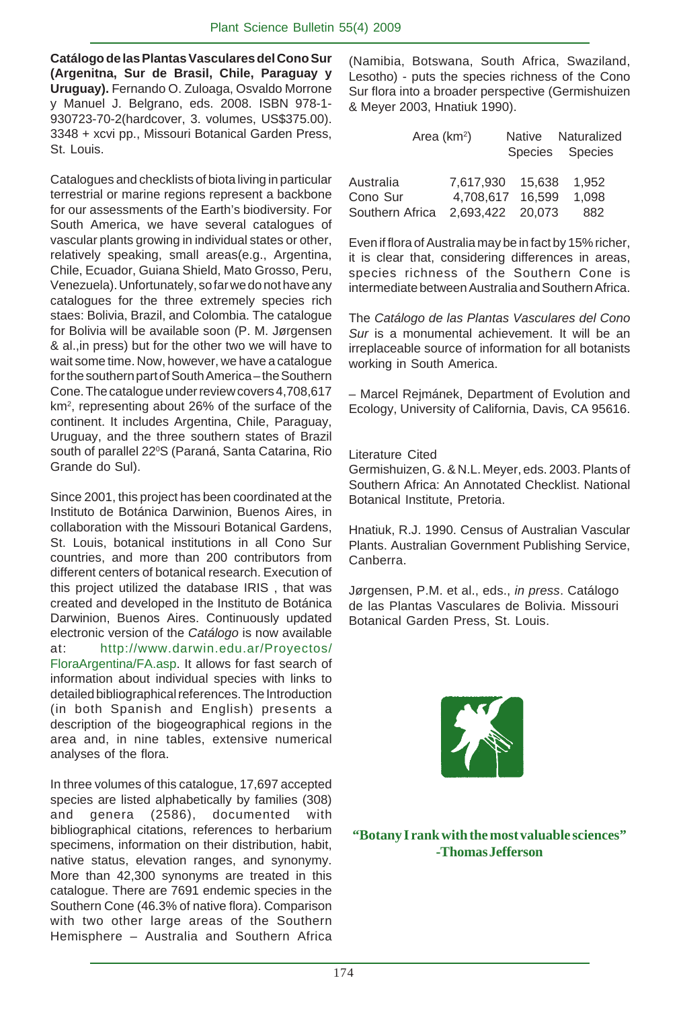**Catálogo de las Plantas Vasculares del Cono Sur (Argenitna, Sur de Brasil, Chile, Paraguay y Uruguay).** Fernando O. Zuloaga, Osvaldo Morrone y Manuel J. Belgrano, eds. 2008. ISBN 978-1- 930723-70-2(hardcover, 3. volumes, US\$375.00). 3348 + xcvi pp., Missouri Botanical Garden Press, St. Louis.

Catalogues and checklists of biota living in particular terrestrial or marine regions represent a backbone for our assessments of the Earth's biodiversity. For South America, we have several catalogues of vascular plants growing in individual states or other, relatively speaking, small areas(e.g., Argentina, Chile, Ecuador, Guiana Shield, Mato Grosso, Peru, Venezuela). Unfortunately, so far we do not have any catalogues for the three extremely species rich staes: Bolivia, Brazil, and Colombia. The catalogue for Bolivia will be available soon (P. M. Jørgensen & al.,in press) but for the other two we will have to wait some time. Now, however, we have a catalogue for the southern part of South America – the Southern Cone. The catalogue under review covers 4,708,617 km<sup>2</sup>, representing about 26% of the surface of the continent. It includes Argentina, Chile, Paraguay, Uruguay, and the three southern states of Brazil south of parallel 22ºS (Paraná, Santa Catarina, Rio Grande do Sul).

Since 2001, this project has been coordinated at the Instituto de Botánica Darwinion, Buenos Aires, in collaboration with the Missouri Botanical Gardens, St. Louis, botanical institutions in all Cono Sur countries, and more than 200 contributors from different centers of botanical research. Execution of this project utilized the database IRIS , that was created and developed in the Instituto de Botánica Darwinion, Buenos Aires. Continuously updated electronic version of the *Catálogo* is now available at: http://www.darwin.edu.ar/Proyectos/ FloraArgentina/FA.asp. It allows for fast search of information about individual species with links to detailed bibliographical references. The Introduction (in both Spanish and English) presents a description of the biogeographical regions in the area and, in nine tables, extensive numerical analyses of the flora.

In three volumes of this catalogue, 17,697 accepted species are listed alphabetically by families (308) and genera (2586), documented with bibliographical citations, references to herbarium specimens, information on their distribution, habit, native status, elevation ranges, and synonymy. More than 42,300 synonyms are treated in this catalogue. There are 7691 endemic species in the Southern Cone (46.3% of native flora). Comparison with two other large areas of the Southern Hemisphere – Australia and Southern Africa

(Namibia, Botswana, South Africa, Swaziland, Lesotho) - puts the species richness of the Cono Sur flora into a broader perspective (Germishuizen & Meyer 2003, Hnatiuk 1990).

|                 | Area $(km^2)$    | Native Naturalized |  |
|-----------------|------------------|--------------------|--|
|                 |                  | Species Species    |  |
| Australia       | 7.617.930 15.638 | 1.952              |  |
| Cono Sur        | 4.708.617 16.599 | 1.098              |  |
| Southern Africa | 2.693.422 20.073 | 882                |  |

Even if flora of Australia may be in fact by 15% richer, it is clear that, considering differences in areas, species richness of the Southern Cone is intermediate between Australia and Southern Africa.

The *Catálogo de las Plantas Vasculares del Cono Sur* is a monumental achievement. It will be an irreplaceable source of information for all botanists working in South America.

– Marcel Rejmánek, Department of Evolution and Ecology, University of California, Davis, CA 95616.

#### Literature Cited

Germishuizen, G. & N.L. Meyer, eds. 2003. Plants of Southern Africa: An Annotated Checklist. National Botanical Institute, Pretoria.

Hnatiuk, R.J. 1990. Census of Australian Vascular Plants. Australian Government Publishing Service, Canberra.

Jørgensen, P.M. et al., eds., *in press*. Catálogo de las Plantas Vasculares de Bolivia. Missouri Botanical Garden Press, St. Louis.



**"Botany I rank with the most valuable sciences" -Thomas Jefferson**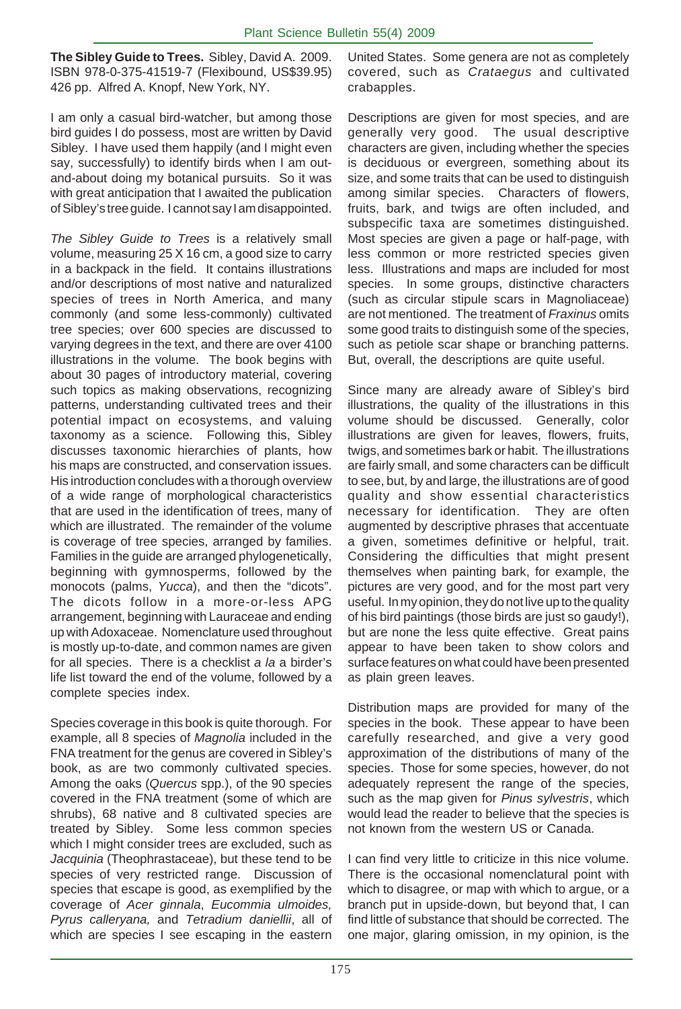**The Sibley Guide to Trees.** Sibley, David A. 2009. ISBN 978-0-375-41519-7 (Flexibound, US\$39.95) 426 pp. Alfred A. Knopf, New York, NY.

I am only a casual bird-watcher, but among those bird guides I do possess, most are written by David Sibley. I have used them happily (and I might even say, successfully) to identify birds when I am outand-about doing my botanical pursuits. So it was with great anticipation that I awaited the publication of Sibley's tree guide. I cannot say I am disappointed.

*The Sibley Guide to Trees* is a relatively small volume, measuring 25 X 16 cm, a good size to carry in a backpack in the field. It contains illustrations and/or descriptions of most native and naturalized species of trees in North America, and many commonly (and some less-commonly) cultivated tree species; over 600 species are discussed to varying degrees in the text, and there are over 4100 illustrations in the volume. The book begins with about 30 pages of introductory material, covering such topics as making observations, recognizing patterns, understanding cultivated trees and their potential impact on ecosystems, and valuing taxonomy as a science. Following this, Sibley discusses taxonomic hierarchies of plants, how his maps are constructed, and conservation issues. His introduction concludes with a thorough overview of a wide range of morphological characteristics that are used in the identification of trees, many of which are illustrated. The remainder of the volume is coverage of tree species, arranged by families. Families in the guide are arranged phylogenetically, beginning with gymnosperms, followed by the monocots (palms, *Yucca*), and then the "dicots". The dicots follow in a more-or-less APG arrangement, beginning with Lauraceae and ending up with Adoxaceae. Nomenclature used throughout is mostly up-to-date, and common names are given for all species. There is a checklist *a la* a birder's life list toward the end of the volume, followed by a complete species index.

Species coverage in this book is quite thorough. For example, all 8 species of *Magnolia* included in the FNA treatment for the genus are covered in Sibley's book, as are two commonly cultivated species. Among the oaks (*Quercus* spp.), of the 90 species covered in the FNA treatment (some of which are shrubs), 68 native and 8 cultivated species are treated by Sibley. Some less common species which I might consider trees are excluded, such as *Jacquinia* (Theophrastaceae), but these tend to be species of very restricted range. Discussion of species that escape is good, as exemplified by the coverage of *Acer ginnala*, *Eucommia ulmoides, Pyrus calleryana,* and *Tetradium daniellii*, all of which are species I see escaping in the eastern

United States. Some genera are not as completely covered, such as *Crataegus* and cultivated crabapples.

Descriptions are given for most species, and are generally very good. The usual descriptive characters are given, including whether the species is deciduous or evergreen, something about its size, and some traits that can be used to distinguish among similar species. Characters of flowers, fruits, bark, and twigs are often included, and subspecific taxa are sometimes distinguished. Most species are given a page or half-page, with less common or more restricted species given less. Illustrations and maps are included for most species. In some groups, distinctive characters (such as circular stipule scars in Magnoliaceae) are not mentioned. The treatment of *Fraxinus* omits some good traits to distinguish some of the species, such as petiole scar shape or branching patterns. But, overall, the descriptions are quite useful.

Since many are already aware of Sibley's bird illustrations, the quality of the illustrations in this volume should be discussed. Generally, color illustrations are given for leaves, flowers, fruits, twigs, and sometimes bark or habit. The illustrations are fairly small, and some characters can be difficult to see, but, by and large, the illustrations are of good quality and show essential characteristics necessary for identification. They are often augmented by descriptive phrases that accentuate a given, sometimes definitive or helpful, trait. Considering the difficulties that might present themselves when painting bark, for example, the pictures are very good, and for the most part very useful. In my opinion, they do not live up to the quality of his bird paintings (those birds are just so gaudy!), but are none the less quite effective. Great pains appear to have been taken to show colors and surface features on what could have been presented as plain green leaves.

Distribution maps are provided for many of the species in the book. These appear to have been carefully researched, and give a very good approximation of the distributions of many of the species. Those for some species, however, do not adequately represent the range of the species, such as the map given for *Pinus sylvestris*, which would lead the reader to believe that the species is not known from the western US or Canada.

I can find very little to criticize in this nice volume. There is the occasional nomenclatural point with which to disagree, or map with which to argue, or a branch put in upside-down, but beyond that, I can find little of substance that should be corrected. The one major, glaring omission, in my opinion, is the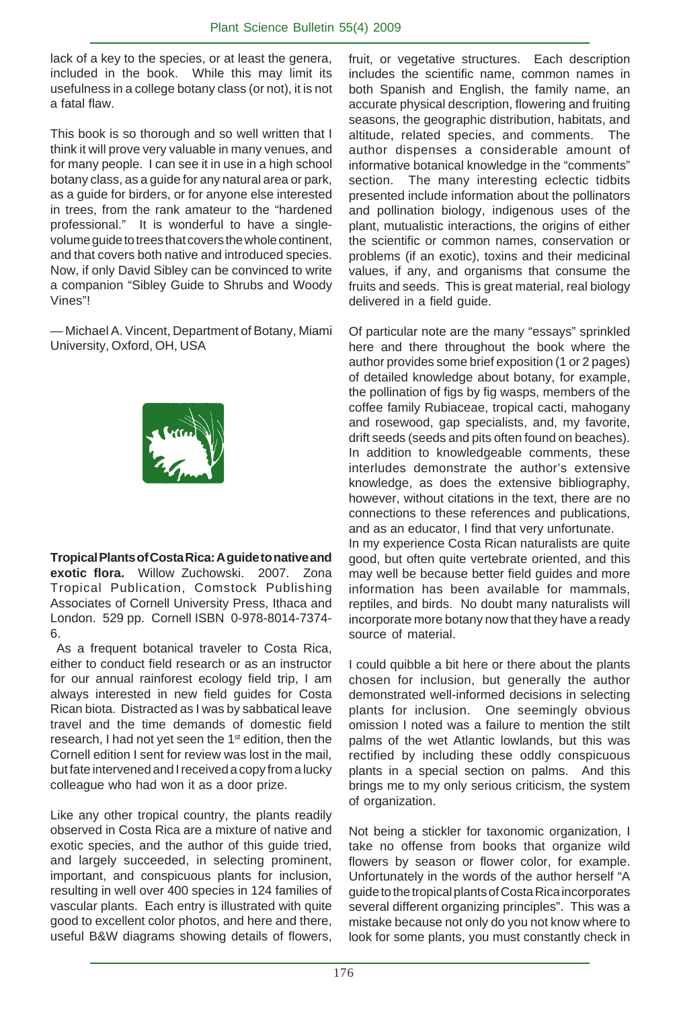lack of a key to the species, or at least the genera, included in the book. While this may limit its usefulness in a college botany class (or not), it is not a fatal flaw.

This book is so thorough and so well written that I think it will prove very valuable in many venues, and for many people. I can see it in use in a high school botany class, as a guide for any natural area or park, as a guide for birders, or for anyone else interested in trees, from the rank amateur to the "hardened professional." It is wonderful to have a singlevolume guide to trees that covers the whole continent, and that covers both native and introduced species. Now, if only David Sibley can be convinced to write a companion "Sibley Guide to Shrubs and Woody Vines"!

— Michael A. Vincent, Department of Botany, Miami University, Oxford, OH, USA



**Tropical Plants of Costa Rica: A guide to native and exotic flora.** Willow Zuchowski. 2007. Zona Tropical Publication, Comstock Publishing Associates of Cornell University Press, Ithaca and London. 529 pp. Cornell ISBN 0-978-8014-7374- 6.

 As a frequent botanical traveler to Costa Rica, either to conduct field research or as an instructor for our annual rainforest ecology field trip, I am always interested in new field guides for Costa Rican biota. Distracted as I was by sabbatical leave travel and the time demands of domestic field research, I had not yet seen the 1<sup>st</sup> edition, then the Cornell edition I sent for review was lost in the mail, but fate intervened and I received a copy from a lucky colleague who had won it as a door prize.

Like any other tropical country, the plants readily observed in Costa Rica are a mixture of native and exotic species, and the author of this guide tried, and largely succeeded, in selecting prominent, important, and conspicuous plants for inclusion, resulting in well over 400 species in 124 families of vascular plants. Each entry is illustrated with quite good to excellent color photos, and here and there, useful B&W diagrams showing details of flowers,

fruit, or vegetative structures. Each description includes the scientific name, common names in both Spanish and English, the family name, an accurate physical description, flowering and fruiting seasons, the geographic distribution, habitats, and altitude, related species, and comments. The author dispenses a considerable amount of informative botanical knowledge in the "comments" section. The many interesting eclectic tidbits presented include information about the pollinators and pollination biology, indigenous uses of the plant, mutualistic interactions, the origins of either the scientific or common names, conservation or problems (if an exotic), toxins and their medicinal values, if any, and organisms that consume the fruits and seeds. This is great material, real biology delivered in a field guide.

Of particular note are the many "essays" sprinkled here and there throughout the book where the author provides some brief exposition (1 or 2 pages) of detailed knowledge about botany, for example, the pollination of figs by fig wasps, members of the coffee family Rubiaceae, tropical cacti, mahogany and rosewood, gap specialists, and, my favorite, drift seeds (seeds and pits often found on beaches). In addition to knowledgeable comments, these interludes demonstrate the author's extensive knowledge, as does the extensive bibliography, however, without citations in the text, there are no connections to these references and publications, and as an educator, I find that very unfortunate. In my experience Costa Rican naturalists are quite good, but often quite vertebrate oriented, and this may well be because better field guides and more information has been available for mammals, reptiles, and birds. No doubt many naturalists will incorporate more botany now that they have a ready source of material.

I could quibble a bit here or there about the plants chosen for inclusion, but generally the author demonstrated well-informed decisions in selecting plants for inclusion. One seemingly obvious omission I noted was a failure to mention the stilt palms of the wet Atlantic lowlands, but this was rectified by including these oddly conspicuous plants in a special section on palms. And this brings me to my only serious criticism, the system of organization.

Not being a stickler for taxonomic organization, I take no offense from books that organize wild flowers by season or flower color, for example. Unfortunately in the words of the author herself "A guide to the tropical plants of Costa Rica incorporates several different organizing principles". This was a mistake because not only do you not know where to look for some plants, you must constantly check in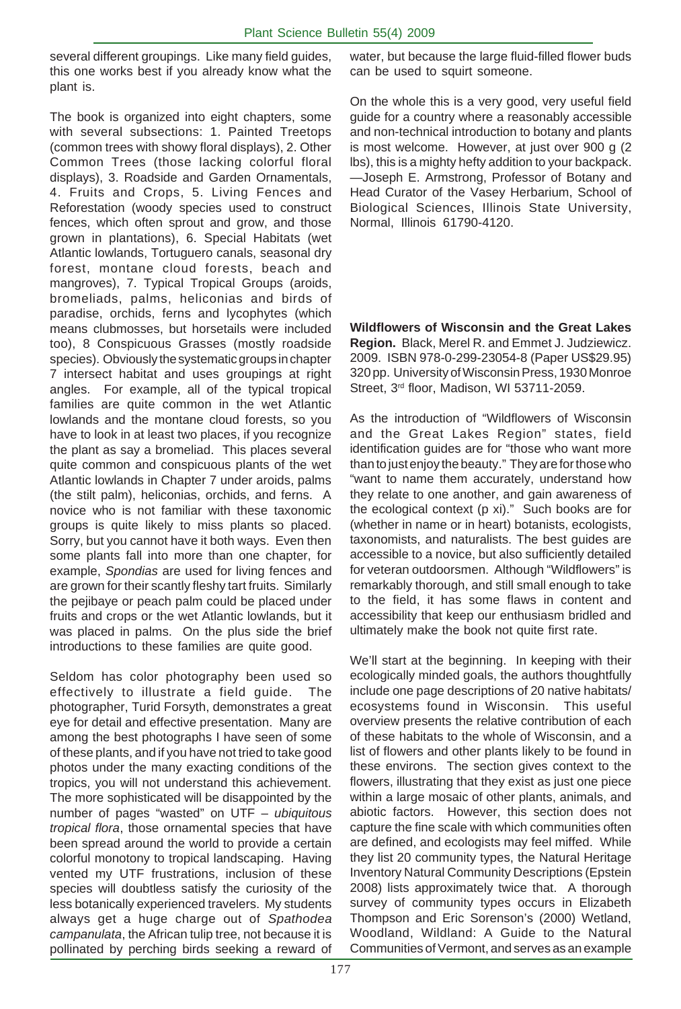several different groupings. Like many field guides, this one works best if you already know what the plant is.

The book is organized into eight chapters, some with several subsections: 1. Painted Treetops (common trees with showy floral displays), 2. Other Common Trees (those lacking colorful floral displays), 3. Roadside and Garden Ornamentals, 4. Fruits and Crops, 5. Living Fences and Reforestation (woody species used to construct fences, which often sprout and grow, and those grown in plantations), 6. Special Habitats (wet Atlantic lowlands, Tortuguero canals, seasonal dry forest, montane cloud forests, beach and mangroves), 7. Typical Tropical Groups (aroids, bromeliads, palms, heliconias and birds of paradise, orchids, ferns and lycophytes (which means clubmosses, but horsetails were included too), 8 Conspicuous Grasses (mostly roadside species). Obviously the systematic groups in chapter 7 intersect habitat and uses groupings at right angles. For example, all of the typical tropical families are quite common in the wet Atlantic lowlands and the montane cloud forests, so you have to look in at least two places, if you recognize the plant as say a bromeliad. This places several quite common and conspicuous plants of the wet Atlantic lowlands in Chapter 7 under aroids, palms (the stilt palm), heliconias, orchids, and ferns. A novice who is not familiar with these taxonomic groups is quite likely to miss plants so placed. Sorry, but you cannot have it both ways. Even then some plants fall into more than one chapter, for example, *Spondias* are used for living fences and are grown for their scantly fleshy tart fruits. Similarly the pejibaye or peach palm could be placed under fruits and crops or the wet Atlantic lowlands, but it was placed in palms. On the plus side the brief introductions to these families are quite good.

Seldom has color photography been used so effectively to illustrate a field guide. The photographer, Turid Forsyth, demonstrates a great eye for detail and effective presentation. Many are among the best photographs I have seen of some of these plants, and if you have not tried to take good photos under the many exacting conditions of the tropics, you will not understand this achievement. The more sophisticated will be disappointed by the number of pages "wasted" on UTF – *ubiquitous tropical flora*, those ornamental species that have been spread around the world to provide a certain colorful monotony to tropical landscaping. Having vented my UTF frustrations, inclusion of these species will doubtless satisfy the curiosity of the less botanically experienced travelers. My students always get a huge charge out of *Spathodea campanulata*, the African tulip tree, not because it is pollinated by perching birds seeking a reward of

water, but because the large fluid-filled flower buds can be used to squirt someone.

On the whole this is a very good, very useful field guide for a country where a reasonably accessible and non-technical introduction to botany and plants is most welcome. However, at just over 900 g (2 lbs), this is a mighty hefty addition to your backpack. —Joseph E. Armstrong, Professor of Botany and Head Curator of the Vasey Herbarium, School of Biological Sciences, Illinois State University, Normal, Illinois 61790-4120.

**Wildflowers of Wisconsin and the Great Lakes Region.** Black, Merel R. and Emmet J. Judziewicz. 2009. ISBN 978-0-299-23054-8 (Paper US\$29.95) 320 pp. University of Wisconsin Press, 1930 Monroe Street, 3<sup>rd</sup> floor, Madison, WI 53711-2059.

As the introduction of "Wildflowers of Wisconsin and the Great Lakes Region" states, field identification guides are for "those who want more than to just enjoy the beauty." They are for those who "want to name them accurately, understand how they relate to one another, and gain awareness of the ecological context (p xi)." Such books are for (whether in name or in heart) botanists, ecologists, taxonomists, and naturalists. The best guides are accessible to a novice, but also sufficiently detailed for veteran outdoorsmen. Although "Wildflowers" is remarkably thorough, and still small enough to take to the field, it has some flaws in content and accessibility that keep our enthusiasm bridled and ultimately make the book not quite first rate.

We'll start at the beginning. In keeping with their ecologically minded goals, the authors thoughtfully include one page descriptions of 20 native habitats/ ecosystems found in Wisconsin. This useful overview presents the relative contribution of each of these habitats to the whole of Wisconsin, and a list of flowers and other plants likely to be found in these environs. The section gives context to the flowers, illustrating that they exist as just one piece within a large mosaic of other plants, animals, and abiotic factors. However, this section does not capture the fine scale with which communities often are defined, and ecologists may feel miffed. While they list 20 community types, the Natural Heritage Inventory Natural Community Descriptions (Epstein 2008) lists approximately twice that. A thorough survey of community types occurs in Elizabeth Thompson and Eric Sorenson's (2000) Wetland, Woodland, Wildland: A Guide to the Natural Communities of Vermont, and serves as an example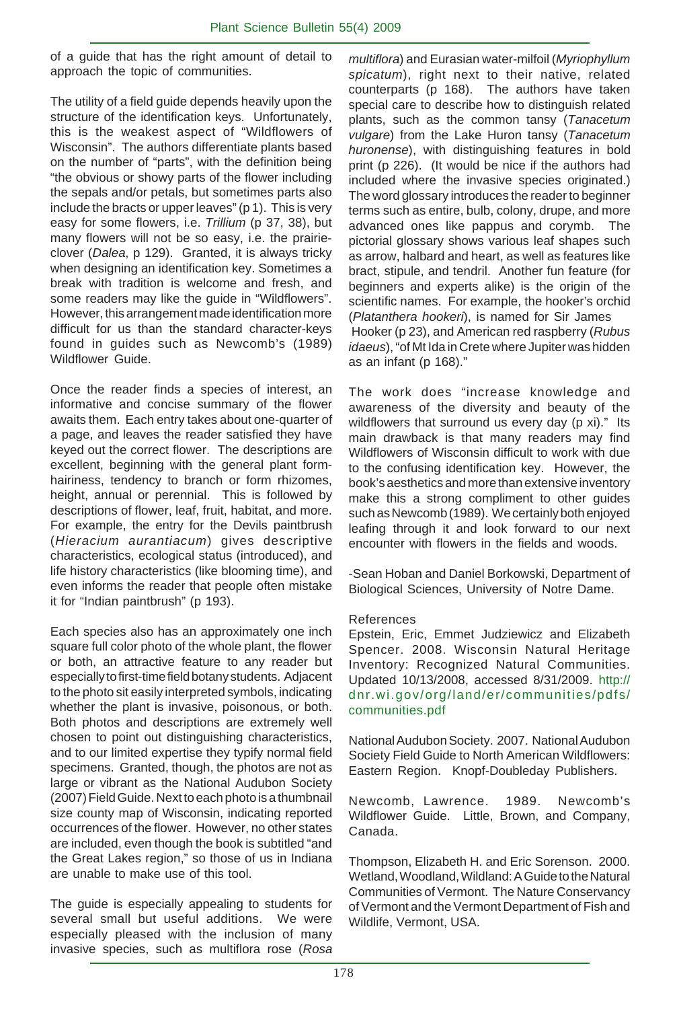of a guide that has the right amount of detail to approach the topic of communities.

The utility of a field guide depends heavily upon the structure of the identification keys. Unfortunately, this is the weakest aspect of "Wildflowers of Wisconsin". The authors differentiate plants based on the number of "parts", with the definition being "the obvious or showy parts of the flower including the sepals and/or petals, but sometimes parts also include the bracts or upper leaves" (p 1). This is very easy for some flowers, i.e. *Trillium* (p 37, 38), but many flowers will not be so easy, i.e. the prairieclover (*Dalea*, p 129). Granted, it is always tricky when designing an identification key. Sometimes a break with tradition is welcome and fresh, and some readers may like the guide in "Wildflowers". However, this arrangement made identification more difficult for us than the standard character-keys found in guides such as Newcomb's (1989) Wildflower Guide.

Once the reader finds a species of interest, an informative and concise summary of the flower awaits them. Each entry takes about one-quarter of a page, and leaves the reader satisfied they have keyed out the correct flower. The descriptions are excellent, beginning with the general plant formhairiness, tendency to branch or form rhizomes, height, annual or perennial. This is followed by descriptions of flower, leaf, fruit, habitat, and more. For example, the entry for the Devils paintbrush (*Hieracium aurantiacum*) gives descriptive characteristics, ecological status (introduced), and life history characteristics (like blooming time), and even informs the reader that people often mistake it for "Indian paintbrush" (p 193).

Each species also has an approximately one inch square full color photo of the whole plant, the flower or both, an attractive feature to any reader but especially to first-time field botany students. Adjacent to the photo sit easily interpreted symbols, indicating whether the plant is invasive, poisonous, or both. Both photos and descriptions are extremely well chosen to point out distinguishing characteristics, and to our limited expertise they typify normal field specimens. Granted, though, the photos are not as large or vibrant as the National Audubon Society (2007) Field Guide. Next to each photo is a thumbnail size county map of Wisconsin, indicating reported occurrences of the flower. However, no other states are included, even though the book is subtitled "and the Great Lakes region," so those of us in Indiana are unable to make use of this tool.

The guide is especially appealing to students for several small but useful additions. We were especially pleased with the inclusion of many invasive species, such as multiflora rose (*Rosa* *multiflora*) and Eurasian water-milfoil (*Myriophyllum spicatum*), right next to their native, related counterparts (p 168). The authors have taken special care to describe how to distinguish related plants, such as the common tansy (*Tanacetum vulgare*) from the Lake Huron tansy (*Tanacetum huronense*), with distinguishing features in bold print (p 226). (It would be nice if the authors had included where the invasive species originated.) The word glossary introduces the reader to beginner terms such as entire, bulb, colony, drupe, and more advanced ones like pappus and corymb. The pictorial glossary shows various leaf shapes such as arrow, halbard and heart, as well as features like bract, stipule, and tendril. Another fun feature (for beginners and experts alike) is the origin of the scientific names. For example, the hooker's orchid (*Platanthera hookeri*), is named for Sir James Hooker (p 23), and American red raspberry (*Rubus idaeus*), "of Mt Ida in Crete where Jupiter was hidden as an infant (p 168)."

The work does "increase knowledge and awareness of the diversity and beauty of the wildflowers that surround us every day (p xi)." Its main drawback is that many readers may find Wildflowers of Wisconsin difficult to work with due to the confusing identification key. However, the book's aesthetics and more than extensive inventory make this a strong compliment to other guides such as Newcomb (1989). We certainly both enjoyed leafing through it and look forward to our next encounter with flowers in the fields and woods.

-Sean Hoban and Daniel Borkowski, Department of Biological Sciences, University of Notre Dame.

#### References

Epstein, Eric, Emmet Judziewicz and Elizabeth Spencer. 2008. Wisconsin Natural Heritage Inventory: Recognized Natural Communities. Updated 10/13/2008, accessed 8/31/2009. http:// dnr.wi.gov/org/land/er/communities/pdfs/ communities.pdf

National Audubon Society. 2007. National Audubon Society Field Guide to North American Wildflowers: Eastern Region. Knopf-Doubleday Publishers.

Newcomb, Lawrence. 1989. Newcomb's Wildflower Guide. Little, Brown, and Company, Canada.

Thompson, Elizabeth H. and Eric Sorenson. 2000. Wetland, Woodland, Wildland: A Guide to the Natural Communities of Vermont. The Nature Conservancy of Vermont and the Vermont Department of Fish and Wildlife, Vermont, USA.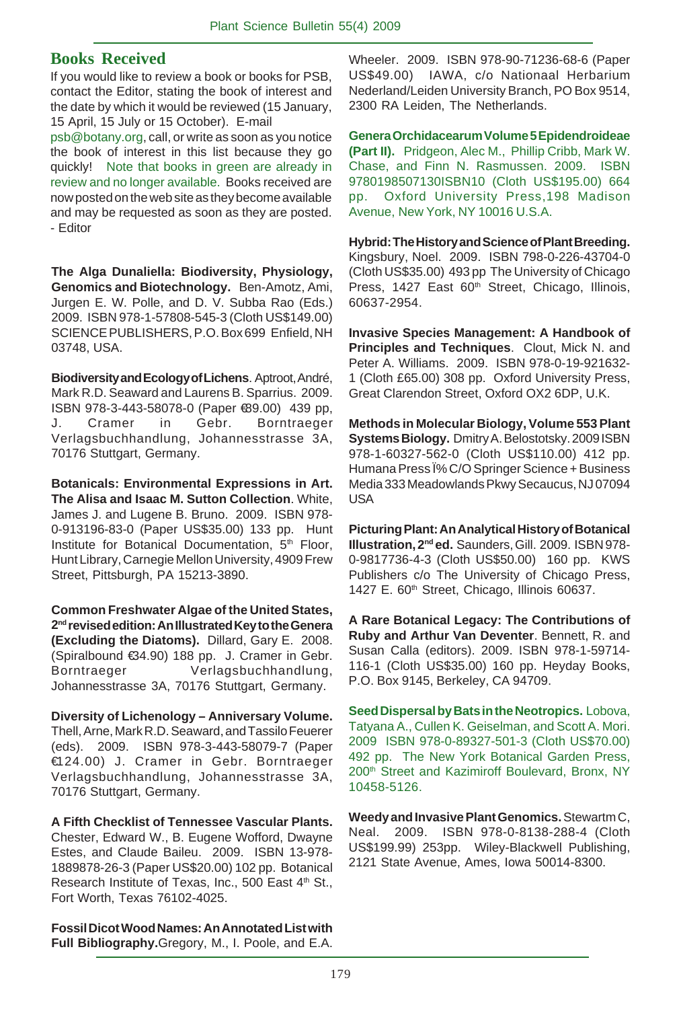#### **Books Received**

If you would like to review a book or books for PSB, contact the Editor, stating the book of interest and the date by which it would be reviewed (15 January, 15 April, 15 July or 15 October). E-mail

psb@botany.org, call, or write as soon as you notice the book of interest in this list because they go quickly! Note that books in green are already in review and no longer available. Books received are now posted on the web site as they become available and may be requested as soon as they are posted. - Editor

**The Alga Dunaliella: Biodiversity, Physiology, Genomics and Biotechnology.** Ben-Amotz, Ami, Jurgen E. W. Polle, and D. V. Subba Rao (Eds.) 2009. ISBN 978-1-57808-545-3 (Cloth US\$149.00) SCIENCE PUBLISHERS, P.O. Box 699 Enfield, NH 03748, USA.

**Biodiversity and Ecology of Lichens**. Aptroot, André, Mark R.D. Seaward and Laurens B. Sparrius. 2009. ISBN 978-3-443-58078-0 (Paper €89.00) 439 pp, J. Cramer in Gebr. Borntraeger Verlagsbuchhandlung, Johannesstrasse 3A, 70176 Stuttgart, Germany.

**Botanicals: Environmental Expressions in Art. The Alisa and Isaac M. Sutton Collection**. White, James J. and Lugene B. Bruno. 2009. ISBN 978- 0-913196-83-0 (Paper US\$35.00) 133 pp. Hunt Institute for Botanical Documentation, 5<sup>th</sup> Floor, Hunt Library, Carnegie Mellon University, 4909 Frew Street, Pittsburgh, PA 15213-3890.

**Common Freshwater Algae of the United States, 2nd revised edition: An Illustrated Key to the Genera (Excluding the Diatoms).** Dillard, Gary E. 2008. (Spiralbound €34.90) 188 pp. J. Cramer in Gebr. Borntraeger Verlagsbuchhandlung, Johannesstrasse 3A, 70176 Stuttgart, Germany.

**Diversity of Lichenology – Anniversary Volume.** Thell, Arne, Mark R.D. Seaward, and Tassilo Feuerer (eds). 2009. ISBN 978-3-443-58079-7 (Paper €124.00) J. Cramer in Gebr. Borntraeger Verlagsbuchhandlung, Johannesstrasse 3A, 70176 Stuttgart, Germany.

**A Fifth Checklist of Tennessee Vascular Plants.** Chester, Edward W., B. Eugene Wofford, Dwayne Estes, and Claude Baileu. 2009. ISBN 13-978- 1889878-26-3 (Paper US\$20.00) 102 pp. Botanical Research Institute of Texas, Inc., 500 East 4<sup>th</sup> St., Fort Worth, Texas 76102-4025.

**Fossil Dicot Wood Names: An Annotated List with Full Bibliography.**Gregory, M., I. Poole, and E.A. Wheeler. 2009. ISBN 978-90-71236-68-6 (Paper US\$49.00) IAWA, c/o Nationaal Herbarium Nederland/Leiden University Branch, PO Box 9514, 2300 RA Leiden, The Netherlands.

**Genera Orchidacearum Volume 5 Epidendroideae (Part II).** Pridgeon, Alec M., Phillip Cribb, Mark W. Chase, and Finn N. Rasmussen. 2009. ISBN 9780198507130ISBN10 (Cloth US\$195.00) 664 pp. Oxford University Press,198 Madison Avenue, New York, NY 10016 U.S.A.

**Hybrid: The History and Science of Plant Breeding.** Kingsbury, Noel. 2009. ISBN 798-0-226-43704-0 (Cloth US\$35.00) 493 pp The University of Chicago Press, 1427 East 60<sup>th</sup> Street, Chicago, Illinois, 60637-2954.

**Invasive Species Management: A Handbook of Principles and Techniques**. Clout, Mick N. and Peter A. Williams. 2009. ISBN 978-0-19-921632- 1 (Cloth £65.00) 308 pp. Oxford University Press, Great Clarendon Street, Oxford OX2 6DP, U.K.

**Methods in Molecular Biology, Volume 553 Plant Systems Biology.** Dmitry A. Belostotsky. 2009 ISBN 978-1-60327-562-0 (Cloth US\$110.00) 412 pp. Humana Press Ï% C/O Springer Science + Business Media 333 Meadowlands Pkwy Secaucus, NJ 07094 USA

**Picturing Plant: An Analytical History of Botanical Illustration, 2nd ed.** Saunders, Gill. 2009. ISBN 978- 0-9817736-4-3 (Cloth US\$50.00) 160 pp. KWS Publishers c/o The University of Chicago Press, 1427 E. 60<sup>th</sup> Street, Chicago, Illinois 60637.

**A Rare Botanical Legacy: The Contributions of Ruby and Arthur Van Deventer**. Bennett, R. and Susan Calla (editors). 2009. ISBN 978-1-59714- 116-1 (Cloth US\$35.00) 160 pp. Heyday Books, P.O. Box 9145, Berkeley, CA 94709.

**Seed Dispersal by Bats in the Neotropics.** Lobova, Tatyana A., Cullen K. Geiselman, and Scott A. Mori. 2009 ISBN 978-0-89327-501-3 (Cloth US\$70.00) 492 pp. The New York Botanical Garden Press, 200<sup>th</sup> Street and Kazimiroff Boulevard, Bronx, NY 10458-5126.

**Weedy and Invasive Plant Genomics.** Stewartm C, Neal. 2009. ISBN 978-0-8138-288-4 (Cloth US\$199.99) 253pp. Wiley-Blackwell Publishing, 2121 State Avenue, Ames, Iowa 50014-8300.